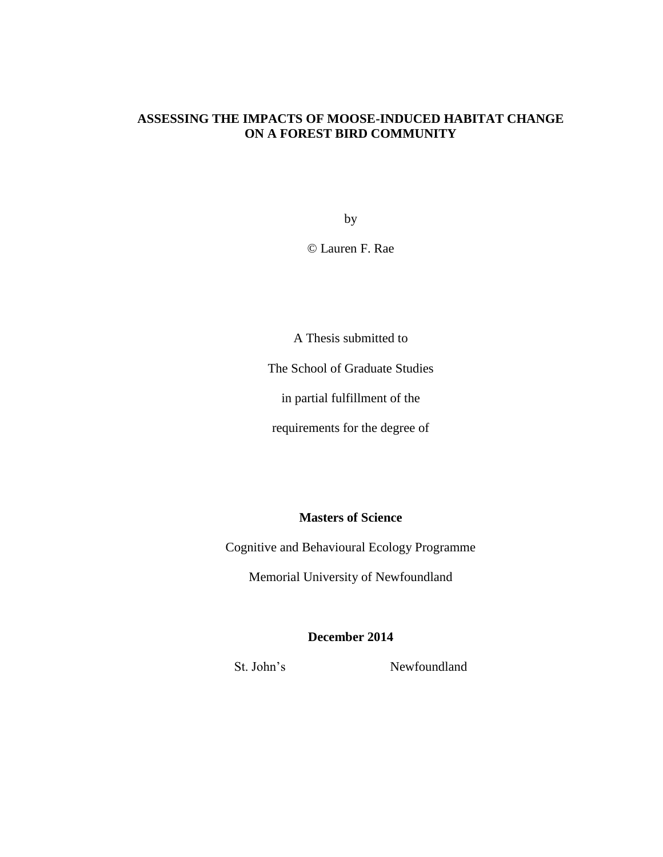# **ASSESSING THE IMPACTS OF MOOSE-INDUCED HABITAT CHANGE ON A FOREST BIRD COMMUNITY**

by

© Lauren F. Rae

A Thesis submitted to

The School of Graduate Studies

in partial fulfillment of the

requirements for the degree of

**Masters of Science**

Cognitive and Behavioural Ecology Programme

Memorial University of Newfoundland

# **December 2014**

St. John's Newfoundland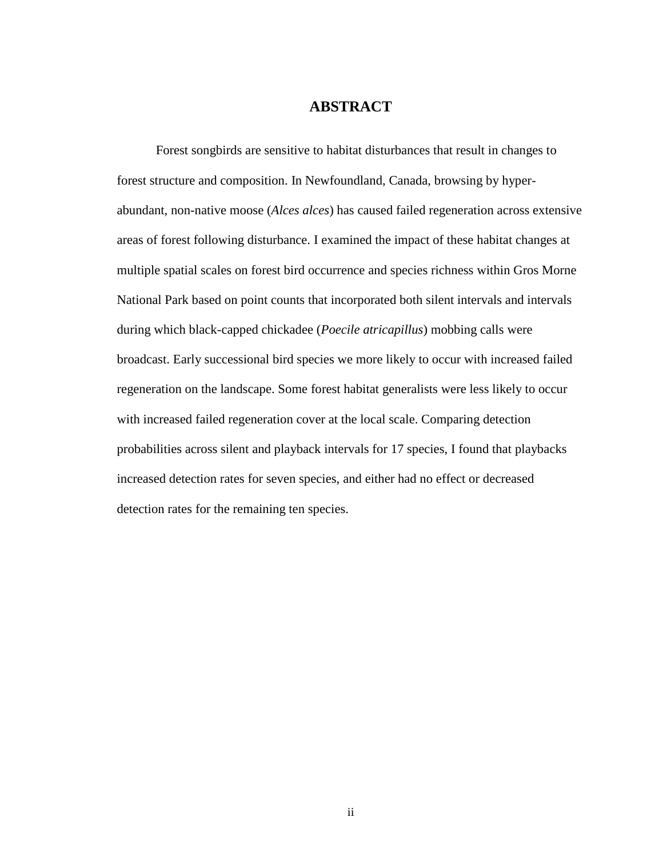# **ABSTRACT**

Forest songbirds are sensitive to habitat disturbances that result in changes to forest structure and composition. In Newfoundland, Canada, browsing by hyperabundant, non-native moose (*Alces alces*) has caused failed regeneration across extensive areas of forest following disturbance. I examined the impact of these habitat changes at multiple spatial scales on forest bird occurrence and species richness within Gros Morne National Park based on point counts that incorporated both silent intervals and intervals during which black-capped chickadee (*Poecile atricapillus*) mobbing calls were broadcast. Early successional bird species we more likely to occur with increased failed regeneration on the landscape. Some forest habitat generalists were less likely to occur with increased failed regeneration cover at the local scale. Comparing detection probabilities across silent and playback intervals for 17 species, I found that playbacks increased detection rates for seven species, and either had no effect or decreased detection rates for the remaining ten species.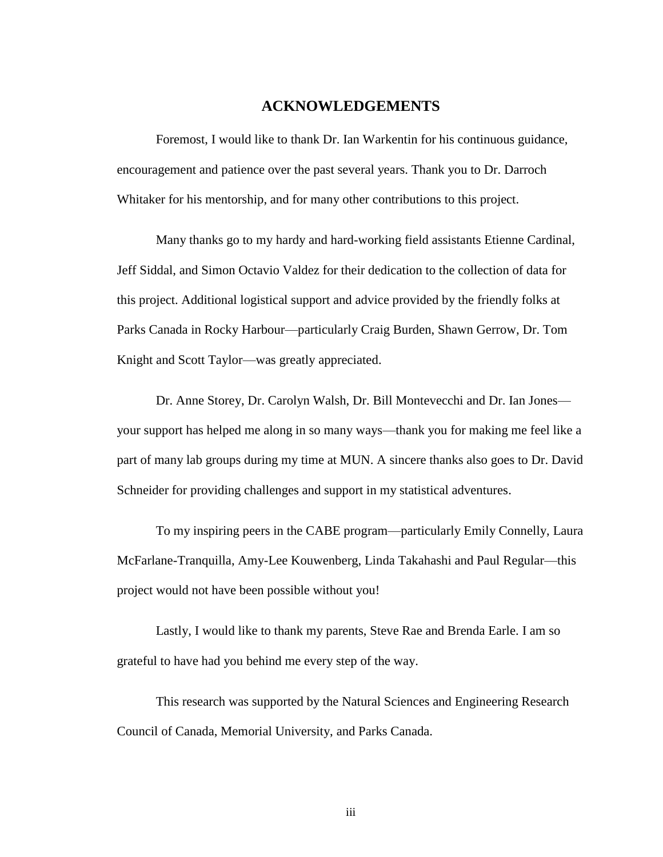# **ACKNOWLEDGEMENTS**

<span id="page-2-0"></span>Foremost, I would like to thank Dr. Ian Warkentin for his continuous guidance, encouragement and patience over the past several years. Thank you to Dr. Darroch Whitaker for his mentorship, and for many other contributions to this project.

Many thanks go to my hardy and hard-working field assistants Etienne Cardinal, Jeff Siddal, and Simon Octavio Valdez for their dedication to the collection of data for this project. Additional logistical support and advice provided by the friendly folks at Parks Canada in Rocky Harbour—particularly Craig Burden, Shawn Gerrow, Dr. Tom Knight and Scott Taylor—was greatly appreciated.

Dr. Anne Storey, Dr. Carolyn Walsh, Dr. Bill Montevecchi and Dr. Ian Jones your support has helped me along in so many ways—thank you for making me feel like a part of many lab groups during my time at MUN. A sincere thanks also goes to Dr. David Schneider for providing challenges and support in my statistical adventures.

To my inspiring peers in the CABE program—particularly Emily Connelly, Laura McFarlane-Tranquilla, Amy-Lee Kouwenberg, Linda Takahashi and Paul Regular—this project would not have been possible without you!

Lastly, I would like to thank my parents, Steve Rae and Brenda Earle. I am so grateful to have had you behind me every step of the way.

This research was supported by the Natural Sciences and Engineering Research Council of Canada, Memorial University, and Parks Canada.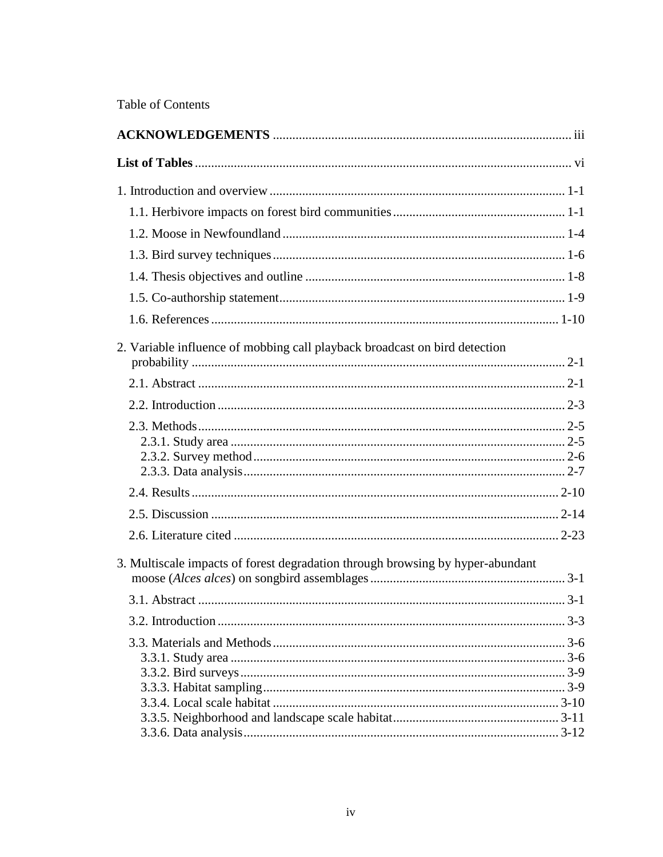Table of Contents

| 2. Variable influence of mobbing call playback broadcast on bird detection     |  |
|--------------------------------------------------------------------------------|--|
|                                                                                |  |
|                                                                                |  |
|                                                                                |  |
|                                                                                |  |
|                                                                                |  |
|                                                                                |  |
| 3. Multiscale impacts of forest degradation through browsing by hyper-abundant |  |
|                                                                                |  |
|                                                                                |  |
|                                                                                |  |
|                                                                                |  |
|                                                                                |  |
|                                                                                |  |
|                                                                                |  |
|                                                                                |  |
|                                                                                |  |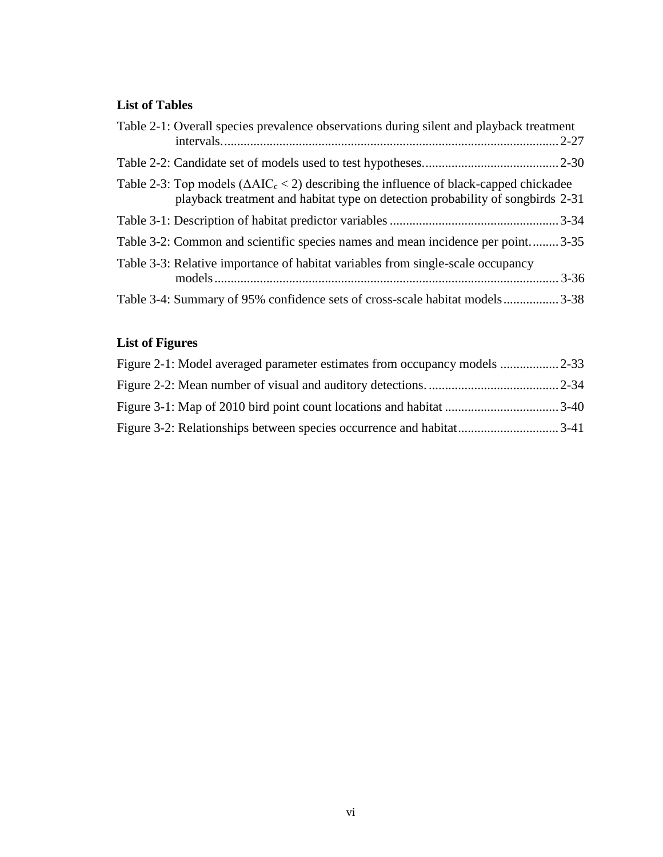# <span id="page-5-0"></span>**List of Tables**

| Table 2-1: Overall species prevalence observations during silent and playback treatment                                                                                           |  |
|-----------------------------------------------------------------------------------------------------------------------------------------------------------------------------------|--|
|                                                                                                                                                                                   |  |
| Table 2-3: Top models ( $\Delta AIC_c < 2$ ) describing the influence of black-capped chickadee<br>playback treatment and habitat type on detection probability of songbirds 2-31 |  |
|                                                                                                                                                                                   |  |
| Table 3-2: Common and scientific species names and mean incidence per point 3-35                                                                                                  |  |
| Table 3-3: Relative importance of habitat variables from single-scale occupancy                                                                                                   |  |
| Table 3-4: Summary of 95% confidence sets of cross-scale habitat models3-38                                                                                                       |  |

# **List of Figures**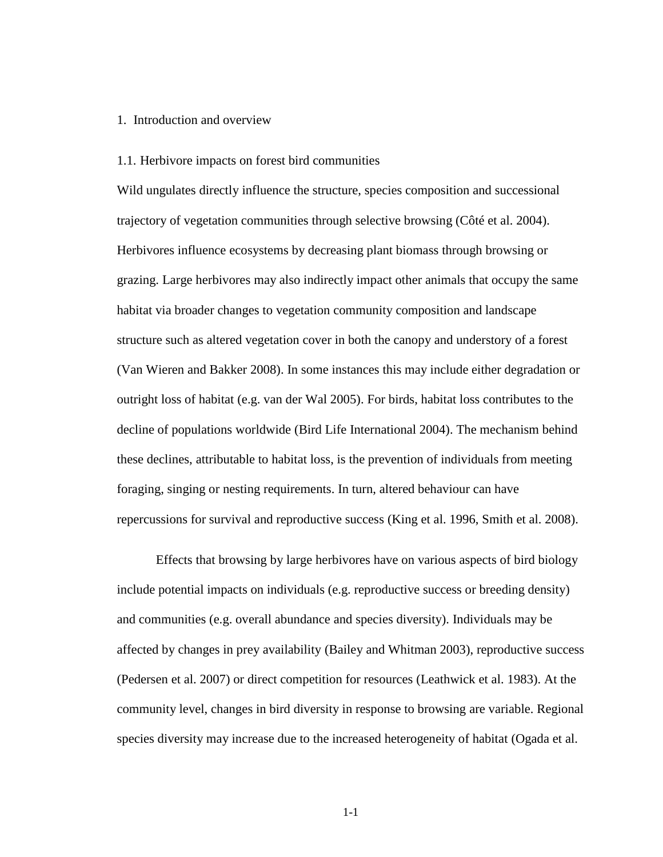# <span id="page-6-0"></span>1. Introduction and overview

# <span id="page-6-1"></span>1.1. Herbivore impacts on forest bird communities

Wild ungulates directly influence the structure, species composition and successional trajectory of vegetation communities through selective browsing (Côté et al. 2004). Herbivores influence ecosystems by decreasing plant biomass through browsing or grazing. Large herbivores may also indirectly impact other animals that occupy the same habitat via broader changes to vegetation community composition and landscape structure such as altered vegetation cover in both the canopy and understory of a forest (Van Wieren and Bakker 2008). In some instances this may include either degradation or outright loss of habitat (e.g. van der Wal 2005). For birds, habitat loss contributes to the decline of populations worldwide (Bird Life International 2004). The mechanism behind these declines, attributable to habitat loss, is the prevention of individuals from meeting foraging, singing or nesting requirements. In turn, altered behaviour can have repercussions for survival and reproductive success (King et al. 1996, Smith et al. 2008).

Effects that browsing by large herbivores have on various aspects of bird biology include potential impacts on individuals (e.g. reproductive success or breeding density) and communities (e.g. overall abundance and species diversity). Individuals may be affected by changes in prey availability (Bailey and Whitman 2003), reproductive success (Pedersen et al. 2007) or direct competition for resources (Leathwick et al. 1983). At the community level, changes in bird diversity in response to browsing are variable. Regional species diversity may increase due to the increased heterogeneity of habitat (Ogada et al.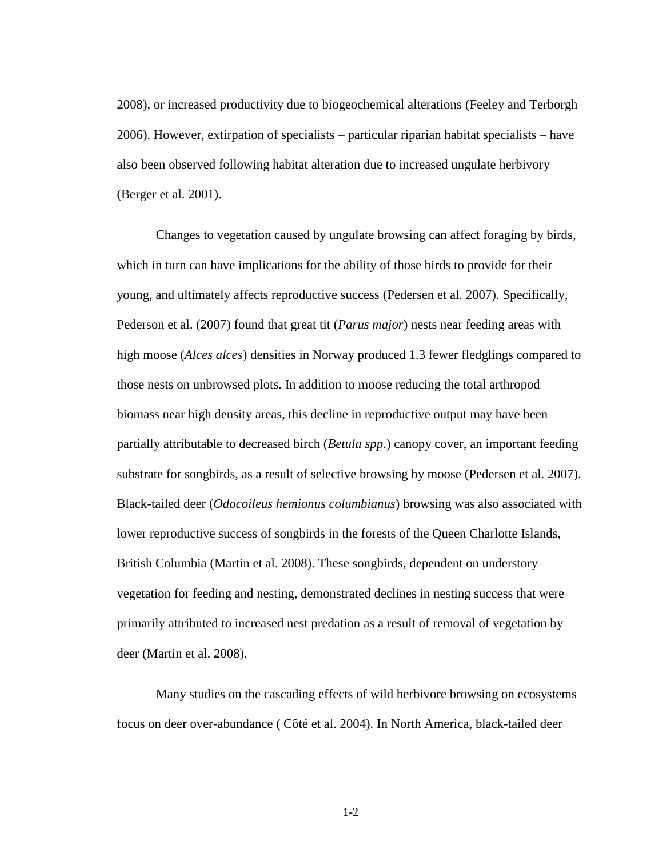2008), or increased productivity due to biogeochemical alterations (Feeley and Terborgh 2006). However, extirpation of specialists – particular riparian habitat specialists – have also been observed following habitat alteration due to increased ungulate herbivory (Berger et al. 2001).

Changes to vegetation caused by ungulate browsing can affect foraging by birds, which in turn can have implications for the ability of those birds to provide for their young, and ultimately affects reproductive success (Pedersen et al. 2007). Specifically, Pederson et al. (2007) found that great tit (*Parus major*) nests near feeding areas with high moose (*Alces alces*) densities in Norway produced 1.3 fewer fledglings compared to those nests on unbrowsed plots. In addition to moose reducing the total arthropod biomass near high density areas, this decline in reproductive output may have been partially attributable to decreased birch (*Betula spp*.) canopy cover, an important feeding substrate for songbirds, as a result of selective browsing by moose (Pedersen et al. 2007). Black-tailed deer (*Odocoileus hemionus columbianus*) browsing was also associated with lower reproductive success of songbirds in the forests of the Queen Charlotte Islands, British Columbia (Martin et al. 2008). These songbirds, dependent on understory vegetation for feeding and nesting, demonstrated declines in nesting success that were primarily attributed to increased nest predation as a result of removal of vegetation by deer (Martin et al. 2008).

Many studies on the cascading effects of wild herbivore browsing on ecosystems focus on deer over-abundance ( Côté et al. 2004). In North America, black-tailed deer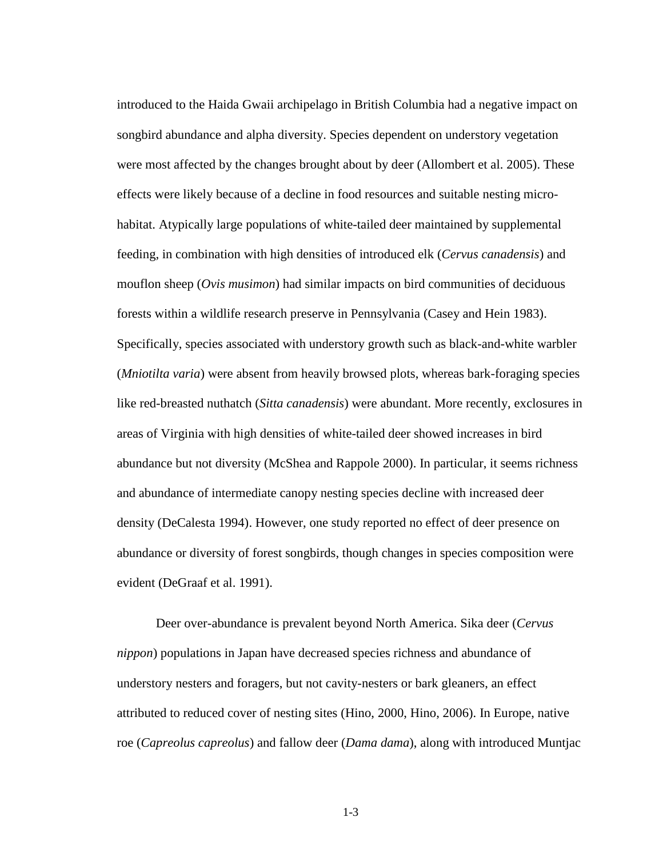introduced to the Haida Gwaii archipelago in British Columbia had a negative impact on songbird abundance and alpha diversity. Species dependent on understory vegetation were most affected by the changes brought about by deer (Allombert et al. 2005). These effects were likely because of a decline in food resources and suitable nesting microhabitat. Atypically large populations of white-tailed deer maintained by supplemental feeding, in combination with high densities of introduced elk (*Cervus canadensis*) and mouflon sheep (*Ovis musimon*) had similar impacts on bird communities of deciduous forests within a wildlife research preserve in Pennsylvania (Casey and Hein 1983). Specifically, species associated with understory growth such as black-and-white warbler (*Mniotilta varia*) were absent from heavily browsed plots, whereas bark-foraging species like red-breasted nuthatch (*Sitta canadensis*) were abundant. More recently, exclosures in areas of Virginia with high densities of white-tailed deer showed increases in bird abundance but not diversity (McShea and Rappole 2000). In particular, it seems richness and abundance of intermediate canopy nesting species decline with increased deer density (DeCalesta 1994). However, one study reported no effect of deer presence on abundance or diversity of forest songbirds, though changes in species composition were evident (DeGraaf et al. 1991).

Deer over-abundance is prevalent beyond North America. Sika deer (*Cervus nippon*) populations in Japan have decreased species richness and abundance of understory nesters and foragers, but not cavity-nesters or bark gleaners, an effect attributed to reduced cover of nesting sites (Hino, 2000, Hino, 2006). In Europe, native roe (*Capreolus capreolus*) and fallow deer (*Dama dama*), along with introduced Muntjac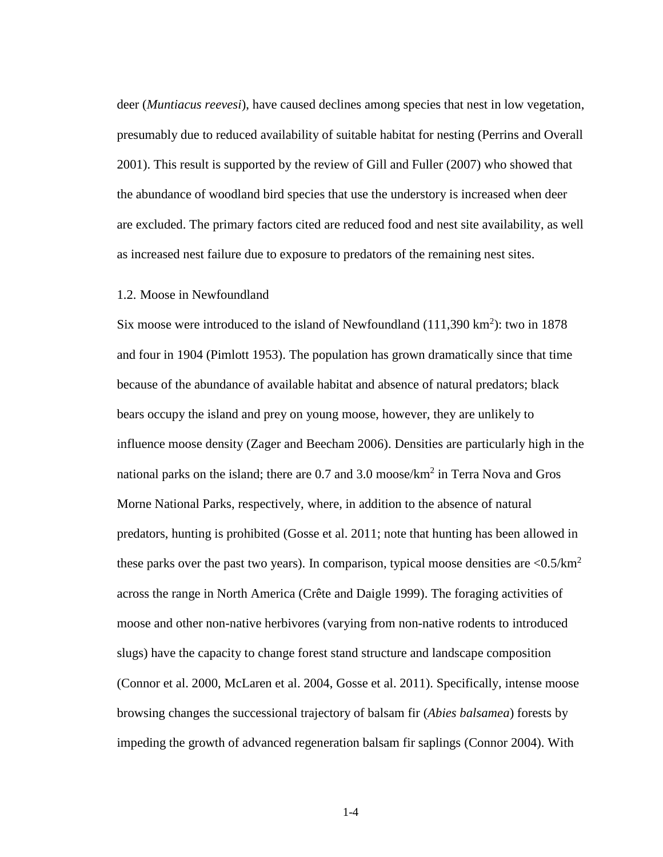deer (*Muntiacus reevesi*), have caused declines among species that nest in low vegetation, presumably due to reduced availability of suitable habitat for nesting (Perrins and Overall 2001). This result is supported by the review of Gill and Fuller (2007) who showed that the abundance of woodland bird species that use the understory is increased when deer are excluded. The primary factors cited are reduced food and nest site availability, as well as increased nest failure due to exposure to predators of the remaining nest sites.

## <span id="page-9-0"></span>1.2. Moose in Newfoundland

Six moose were introduced to the island of Newfoundland  $(111,390 \text{ km}^2)$ : two in 1878 and four in 1904 (Pimlott 1953). The population has grown dramatically since that time because of the abundance of available habitat and absence of natural predators; black bears occupy the island and prey on young moose, however, they are unlikely to influence moose density (Zager and Beecham 2006). Densities are particularly high in the national parks on the island; there are  $0.7$  and  $3.0$  moose/ $km^2$  in Terra Nova and Gros Morne National Parks, respectively, where, in addition to the absence of natural predators, hunting is prohibited (Gosse et al. 2011; note that hunting has been allowed in these parks over the past two years). In comparison, typical moose densities are  $\langle 0.5/km^2 \rangle$ across the range in North America (Crête and Daigle 1999). The foraging activities of moose and other non-native herbivores (varying from non-native rodents to introduced slugs) have the capacity to change forest stand structure and landscape composition (Connor et al. 2000, McLaren et al. 2004, Gosse et al. 2011). Specifically, intense moose browsing changes the successional trajectory of balsam fir (*Abies balsamea*) forests by impeding the growth of advanced regeneration balsam fir saplings (Connor 2004). With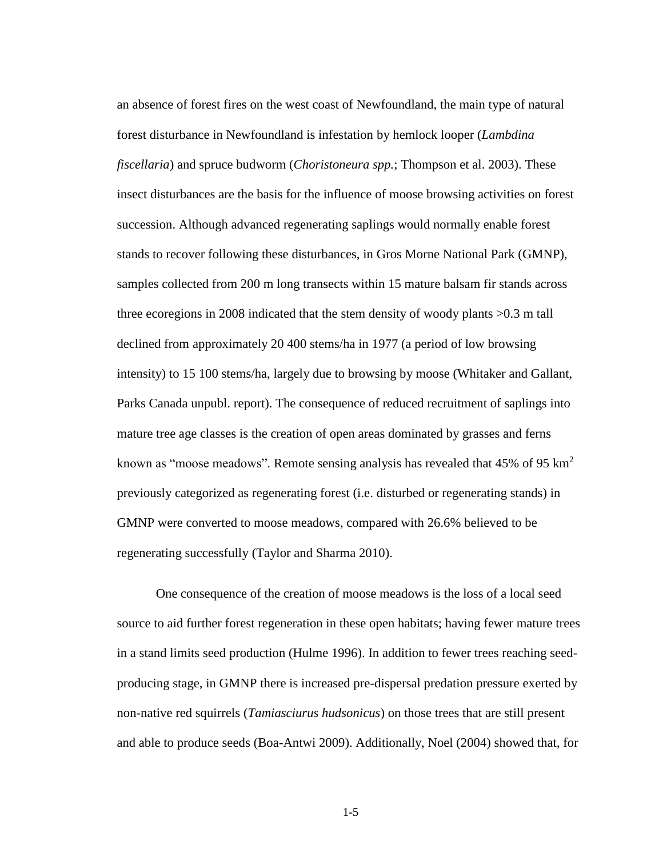an absence of forest fires on the west coast of Newfoundland, the main type of natural forest disturbance in Newfoundland is infestation by hemlock looper (*Lambdina fiscellaria*) and spruce budworm (*Choristoneura spp.*; Thompson et al. 2003). These insect disturbances are the basis for the influence of moose browsing activities on forest succession. Although advanced regenerating saplings would normally enable forest stands to recover following these disturbances, in Gros Morne National Park (GMNP), samples collected from 200 m long transects within 15 mature balsam fir stands across three ecoregions in 2008 indicated that the stem density of woody plants >0.3 m tall declined from approximately 20 400 stems/ha in 1977 (a period of low browsing intensity) to 15 100 stems/ha, largely due to browsing by moose (Whitaker and Gallant, Parks Canada unpubl. report). The consequence of reduced recruitment of saplings into mature tree age classes is the creation of open areas dominated by grasses and ferns known as "moose meadows". Remote sensing analysis has revealed that  $45\%$  of 95 km<sup>2</sup> previously categorized as regenerating forest (i.e. disturbed or regenerating stands) in GMNP were converted to moose meadows, compared with 26.6% believed to be regenerating successfully (Taylor and Sharma 2010).

One consequence of the creation of moose meadows is the loss of a local seed source to aid further forest regeneration in these open habitats; having fewer mature trees in a stand limits seed production (Hulme 1996). In addition to fewer trees reaching seedproducing stage, in GMNP there is increased pre-dispersal predation pressure exerted by non-native red squirrels (*Tamiasciurus hudsonicus*) on those trees that are still present and able to produce seeds (Boa-Antwi 2009). Additionally, Noel (2004) showed that, for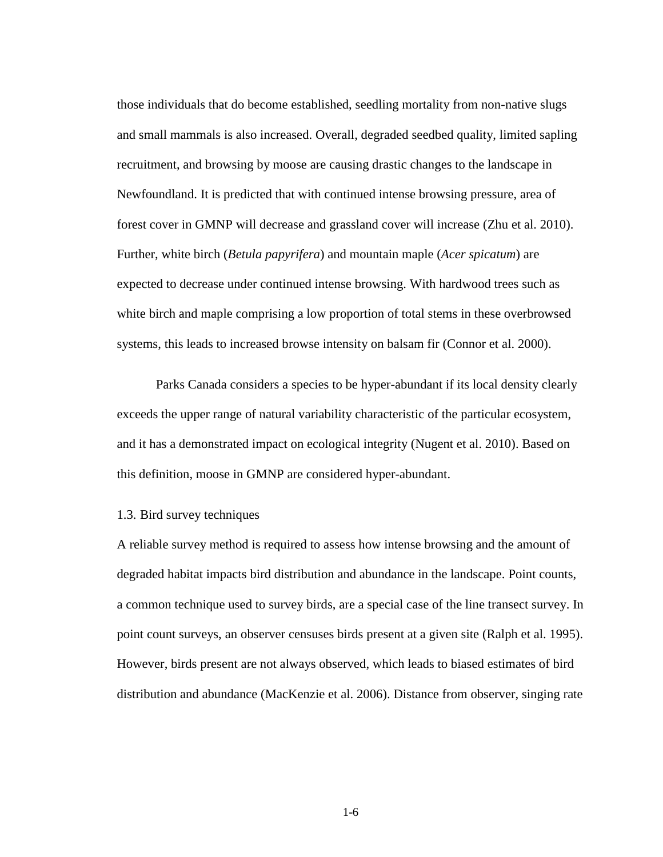those individuals that do become established, seedling mortality from non-native slugs and small mammals is also increased. Overall, degraded seedbed quality, limited sapling recruitment, and browsing by moose are causing drastic changes to the landscape in Newfoundland. It is predicted that with continued intense browsing pressure, area of forest cover in GMNP will decrease and grassland cover will increase (Zhu et al. 2010). Further, white birch (*Betula papyrifera*) and mountain maple (*Acer spicatum*) are expected to decrease under continued intense browsing. With hardwood trees such as white birch and maple comprising a low proportion of total stems in these overbrowsed systems, this leads to increased browse intensity on balsam fir (Connor et al. 2000).

Parks Canada considers a species to be hyper-abundant if its local density clearly exceeds the upper range of natural variability characteristic of the particular ecosystem, and it has a demonstrated impact on ecological integrity (Nugent et al. 2010). Based on this definition, moose in GMNP are considered hyper-abundant.

## <span id="page-11-0"></span>1.3. Bird survey techniques

A reliable survey method is required to assess how intense browsing and the amount of degraded habitat impacts bird distribution and abundance in the landscape. Point counts, a common technique used to survey birds, are a special case of the line transect survey. In point count surveys, an observer censuses birds present at a given site (Ralph et al. 1995). However, birds present are not always observed, which leads to biased estimates of bird distribution and abundance (MacKenzie et al. 2006). Distance from observer, singing rate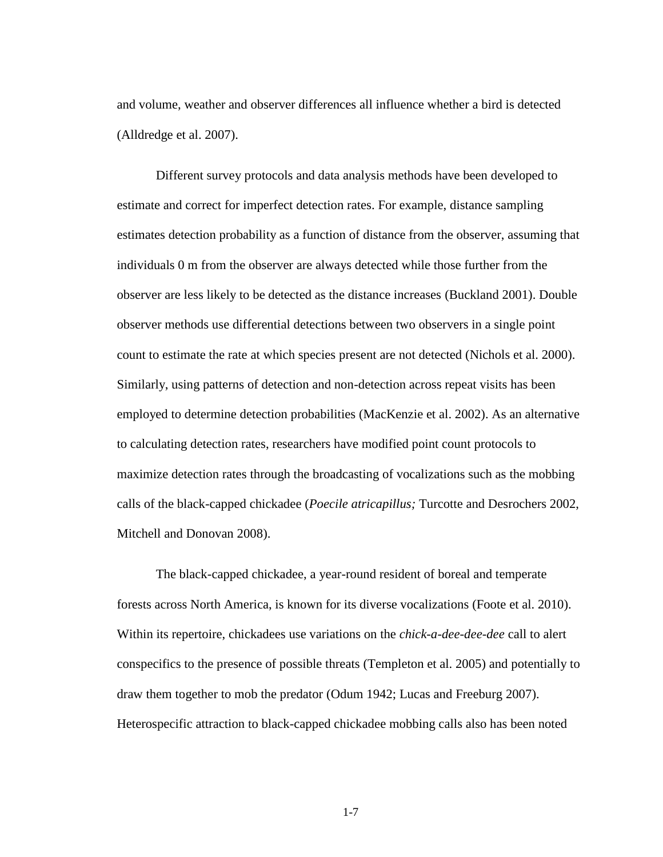and volume, weather and observer differences all influence whether a bird is detected (Alldredge et al. 2007).

Different survey protocols and data analysis methods have been developed to estimate and correct for imperfect detection rates. For example, distance sampling estimates detection probability as a function of distance from the observer, assuming that individuals 0 m from the observer are always detected while those further from the observer are less likely to be detected as the distance increases (Buckland 2001). Double observer methods use differential detections between two observers in a single point count to estimate the rate at which species present are not detected (Nichols et al. 2000). Similarly, using patterns of detection and non-detection across repeat visits has been employed to determine detection probabilities (MacKenzie et al. 2002). As an alternative to calculating detection rates, researchers have modified point count protocols to maximize detection rates through the broadcasting of vocalizations such as the mobbing calls of the black-capped chickadee (*Poecile atricapillus;* Turcotte and Desrochers 2002, Mitchell and Donovan 2008).

The black-capped chickadee, a year-round resident of boreal and temperate forests across North America, is known for its diverse vocalizations (Foote et al. 2010). Within its repertoire, chickadees use variations on the *chick-a-dee-dee-dee* call to alert conspecifics to the presence of possible threats (Templeton et al. 2005) and potentially to draw them together to mob the predator (Odum 1942; Lucas and Freeburg 2007). Heterospecific attraction to black-capped chickadee mobbing calls also has been noted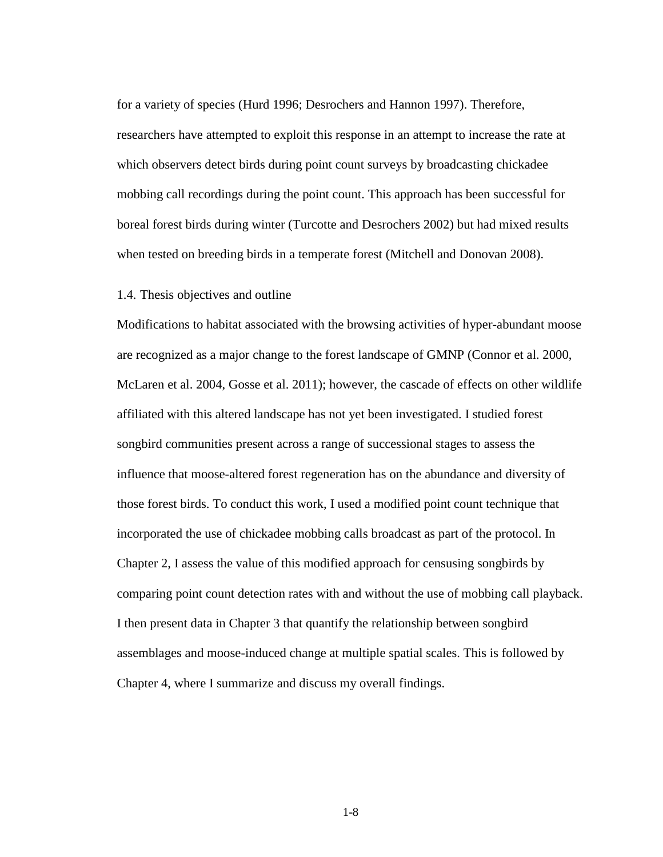for a variety of species (Hurd 1996; Desrochers and Hannon 1997). Therefore, researchers have attempted to exploit this response in an attempt to increase the rate at which observers detect birds during point count surveys by broadcasting chickadee mobbing call recordings during the point count. This approach has been successful for boreal forest birds during winter (Turcotte and Desrochers 2002) but had mixed results when tested on breeding birds in a temperate forest (Mitchell and Donovan 2008).

#### <span id="page-13-0"></span>1.4. Thesis objectives and outline

Modifications to habitat associated with the browsing activities of hyper-abundant moose are recognized as a major change to the forest landscape of GMNP (Connor et al. 2000, McLaren et al. 2004, Gosse et al. 2011); however, the cascade of effects on other wildlife affiliated with this altered landscape has not yet been investigated. I studied forest songbird communities present across a range of successional stages to assess the influence that moose-altered forest regeneration has on the abundance and diversity of those forest birds. To conduct this work, I used a modified point count technique that incorporated the use of chickadee mobbing calls broadcast as part of the protocol. In Chapter 2, I assess the value of this modified approach for censusing songbirds by comparing point count detection rates with and without the use of mobbing call playback. I then present data in Chapter 3 that quantify the relationship between songbird assemblages and moose-induced change at multiple spatial scales. This is followed by Chapter 4, where I summarize and discuss my overall findings.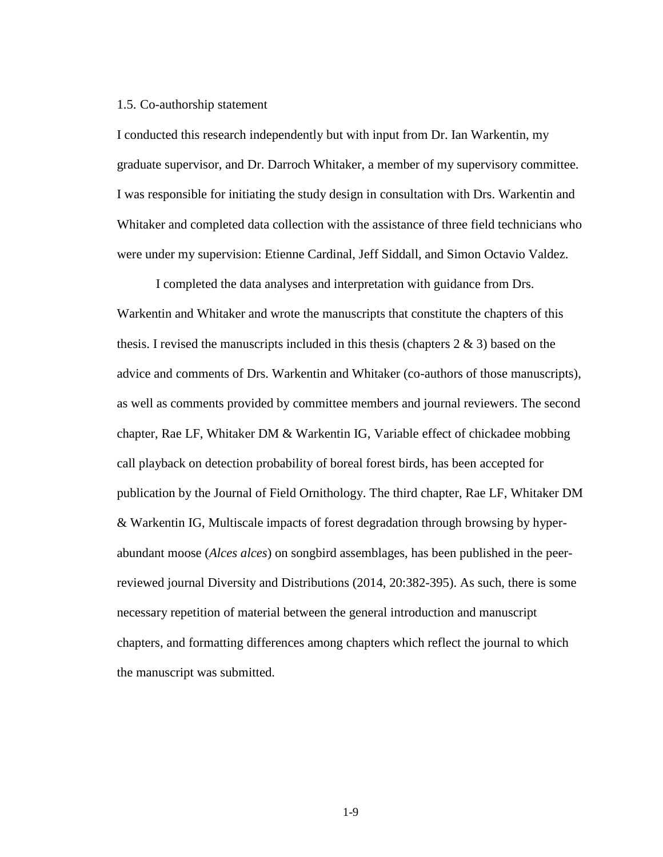#### <span id="page-14-0"></span>1.5. Co-authorship statement

I conducted this research independently but with input from Dr. Ian Warkentin, my graduate supervisor, and Dr. Darroch Whitaker, a member of my supervisory committee. I was responsible for initiating the study design in consultation with Drs. Warkentin and Whitaker and completed data collection with the assistance of three field technicians who were under my supervision: Etienne Cardinal, Jeff Siddall, and Simon Octavio Valdez.

I completed the data analyses and interpretation with guidance from Drs. Warkentin and Whitaker and wrote the manuscripts that constitute the chapters of this thesis. I revised the manuscripts included in this thesis (chapters  $2 \& 3$ ) based on the advice and comments of Drs. Warkentin and Whitaker (co-authors of those manuscripts), as well as comments provided by committee members and journal reviewers. The second chapter, Rae LF, Whitaker DM & Warkentin IG, Variable effect of chickadee mobbing call playback on detection probability of boreal forest birds, has been accepted for publication by the Journal of Field Ornithology. The third chapter, Rae LF, Whitaker DM & Warkentin IG, Multiscale impacts of forest degradation through browsing by hyperabundant moose (*Alces alces*) on songbird assemblages, has been published in the peerreviewed journal Diversity and Distributions (2014, 20:382-395). As such, there is some necessary repetition of material between the general introduction and manuscript chapters, and formatting differences among chapters which reflect the journal to which the manuscript was submitted.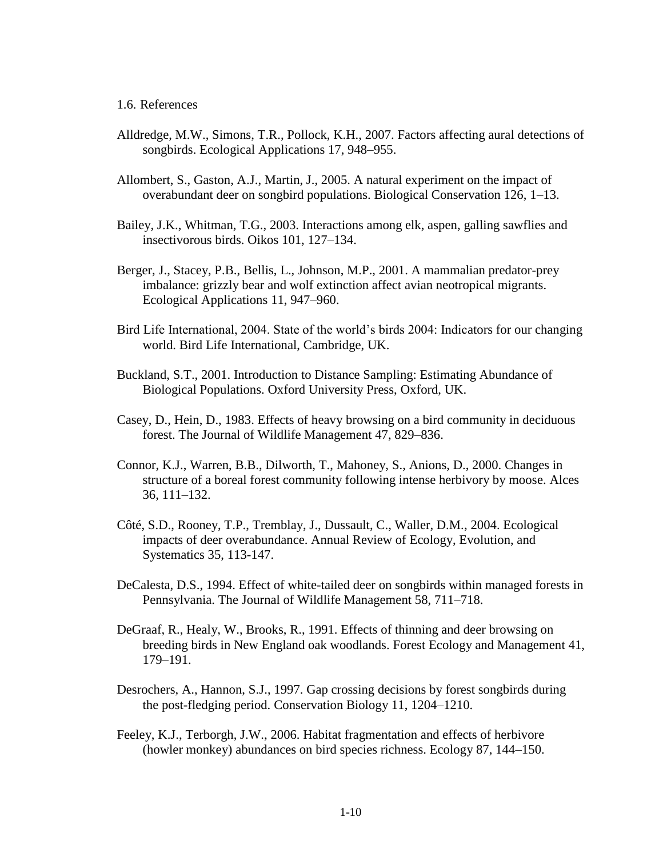# <span id="page-15-0"></span>1.6. References

- Alldredge, M.W., Simons, T.R., Pollock, K.H., 2007. Factors affecting aural detections of songbirds. Ecological Applications 17, 948–955.
- Allombert, S., Gaston, A.J., Martin, J., 2005. A natural experiment on the impact of overabundant deer on songbird populations. Biological Conservation 126, 1–13.
- Bailey, J.K., Whitman, T.G., 2003. Interactions among elk, aspen, galling sawflies and insectivorous birds. Oikos 101, 127–134.
- Berger, J., Stacey, P.B., Bellis, L., Johnson, M.P., 2001. A mammalian predator-prey imbalance: grizzly bear and wolf extinction affect avian neotropical migrants. Ecological Applications 11, 947–960.
- Bird Life International, 2004. State of the world's birds 2004: Indicators for our changing world. Bird Life International, Cambridge, UK.
- Buckland, S.T., 2001. Introduction to Distance Sampling: Estimating Abundance of Biological Populations. Oxford University Press, Oxford, UK.
- Casey, D., Hein, D., 1983. Effects of heavy browsing on a bird community in deciduous forest. The Journal of Wildlife Management 47, 829–836.
- Connor, K.J., Warren, B.B., Dilworth, T., Mahoney, S., Anions, D., 2000. Changes in structure of a boreal forest community following intense herbivory by moose. Alces 36, 111–132.
- Côté, S.D., Rooney, T.P., Tremblay, J., Dussault, C., Waller, D.M., 2004. Ecological impacts of deer overabundance. Annual Review of Ecology, Evolution, and Systematics 35, 113-147.
- DeCalesta, D.S., 1994. Effect of white-tailed deer on songbirds within managed forests in Pennsylvania. The Journal of Wildlife Management 58, 711–718.
- DeGraaf, R., Healy, W., Brooks, R., 1991. Effects of thinning and deer browsing on breeding birds in New England oak woodlands. Forest Ecology and Management 41, 179–191.
- Desrochers, A., Hannon, S.J., 1997. Gap crossing decisions by forest songbirds during the post-fledging period. Conservation Biology 11, 1204–1210.
- Feeley, K.J., Terborgh, J.W., 2006. Habitat fragmentation and effects of herbivore (howler monkey) abundances on bird species richness. Ecology 87, 144–150.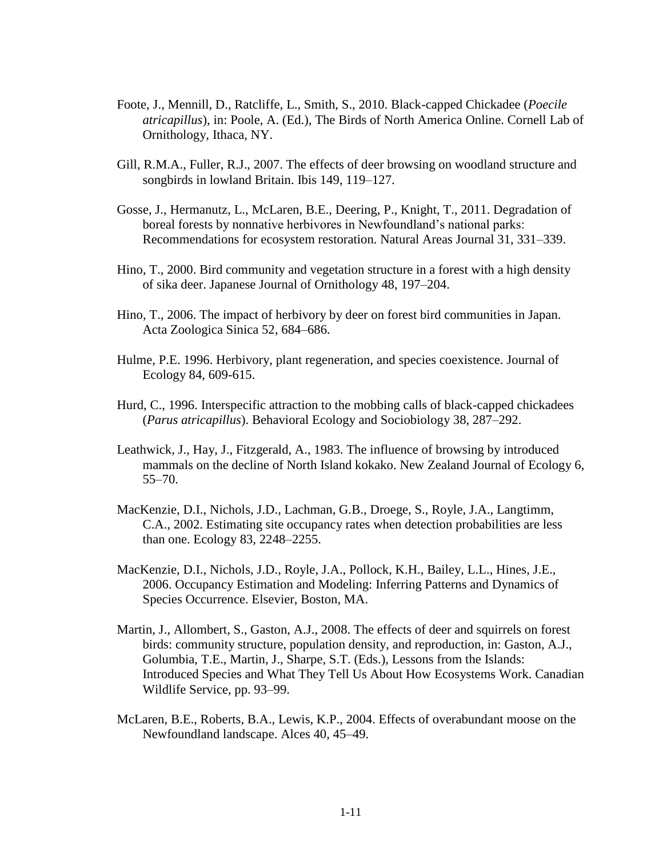- Foote, J., Mennill, D., Ratcliffe, L., Smith, S., 2010. Black-capped Chickadee (*Poecile atricapillus*), in: Poole, A. (Ed.), The Birds of North America Online. Cornell Lab of Ornithology, Ithaca, NY.
- Gill, R.M.A., Fuller, R.J., 2007. The effects of deer browsing on woodland structure and songbirds in lowland Britain. Ibis 149, 119–127.
- Gosse, J., Hermanutz, L., McLaren, B.E., Deering, P., Knight, T., 2011. Degradation of boreal forests by nonnative herbivores in Newfoundland's national parks: Recommendations for ecosystem restoration. Natural Areas Journal 31, 331–339.
- Hino, T., 2000. Bird community and vegetation structure in a forest with a high density of sika deer. Japanese Journal of Ornithology 48, 197–204.
- Hino, T., 2006. The impact of herbivory by deer on forest bird communities in Japan. Acta Zoologica Sinica 52, 684–686.
- Hulme, P.E. 1996. Herbivory, plant regeneration, and species coexistence. Journal of Ecology 84, 609-615.
- Hurd, C., 1996. Interspecific attraction to the mobbing calls of black-capped chickadees (*Parus atricapillus*). Behavioral Ecology and Sociobiology 38, 287–292.
- Leathwick, J., Hay, J., Fitzgerald, A., 1983. The influence of browsing by introduced mammals on the decline of North Island kokako. New Zealand Journal of Ecology 6, 55–70.
- MacKenzie, D.I., Nichols, J.D., Lachman, G.B., Droege, S., Royle, J.A., Langtimm, C.A., 2002. Estimating site occupancy rates when detection probabilities are less than one. Ecology 83, 2248–2255.
- MacKenzie, D.I., Nichols, J.D., Royle, J.A., Pollock, K.H., Bailey, L.L., Hines, J.E., 2006. Occupancy Estimation and Modeling: Inferring Patterns and Dynamics of Species Occurrence. Elsevier, Boston, MA.
- Martin, J., Allombert, S., Gaston, A.J., 2008. The effects of deer and squirrels on forest birds: community structure, population density, and reproduction, in: Gaston, A.J., Golumbia, T.E., Martin, J., Sharpe, S.T. (Eds.), Lessons from the Islands: Introduced Species and What They Tell Us About How Ecosystems Work. Canadian Wildlife Service, pp. 93–99.
- McLaren, B.E., Roberts, B.A., Lewis, K.P., 2004. Effects of overabundant moose on the Newfoundland landscape. Alces 40, 45–49.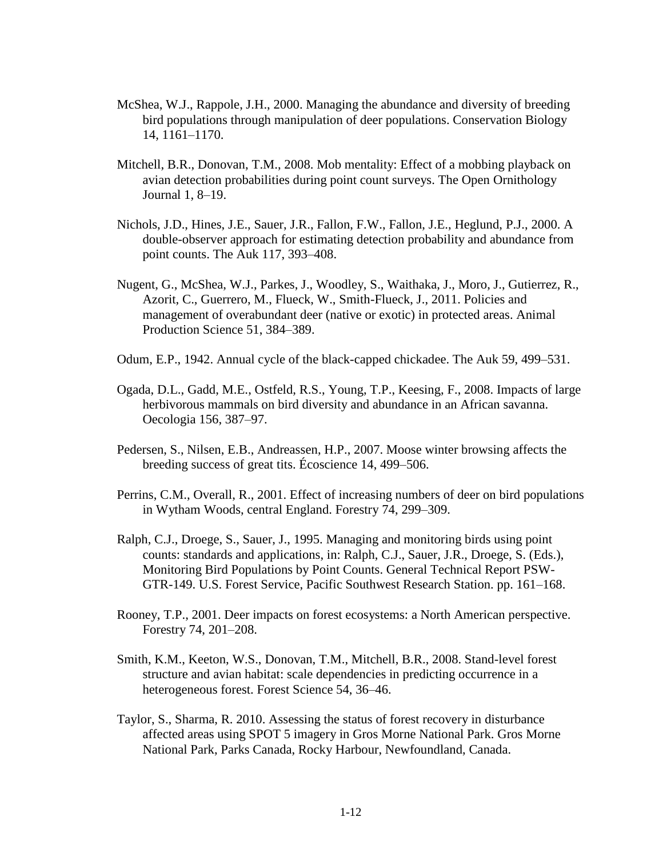- McShea, W.J., Rappole, J.H., 2000. Managing the abundance and diversity of breeding bird populations through manipulation of deer populations. Conservation Biology 14, 1161–1170.
- Mitchell, B.R., Donovan, T.M., 2008. Mob mentality: Effect of a mobbing playback on avian detection probabilities during point count surveys. The Open Ornithology Journal 1, 8–19.
- Nichols, J.D., Hines, J.E., Sauer, J.R., Fallon, F.W., Fallon, J.E., Heglund, P.J., 2000. A double-observer approach for estimating detection probability and abundance from point counts. The Auk 117, 393–408.
- Nugent, G., McShea, W.J., Parkes, J., Woodley, S., Waithaka, J., Moro, J., Gutierrez, R., Azorit, C., Guerrero, M., Flueck, W., Smith-Flueck, J., 2011. Policies and management of overabundant deer (native or exotic) in protected areas. Animal Production Science 51, 384–389.
- Odum, E.P., 1942. Annual cycle of the black-capped chickadee. The Auk 59, 499–531.
- Ogada, D.L., Gadd, M.E., Ostfeld, R.S., Young, T.P., Keesing, F., 2008. Impacts of large herbivorous mammals on bird diversity and abundance in an African savanna. Oecologia 156, 387–97.
- Pedersen, S., Nilsen, E.B., Andreassen, H.P., 2007. Moose winter browsing affects the breeding success of great tits. Écoscience 14, 499–506.
- Perrins, C.M., Overall, R., 2001. Effect of increasing numbers of deer on bird populations in Wytham Woods, central England. Forestry 74, 299–309.
- Ralph, C.J., Droege, S., Sauer, J., 1995. Managing and monitoring birds using point counts: standards and applications, in: Ralph, C.J., Sauer, J.R., Droege, S. (Eds.), Monitoring Bird Populations by Point Counts. General Technical Report PSW-GTR-149. U.S. Forest Service, Pacific Southwest Research Station. pp. 161–168.
- Rooney, T.P., 2001. Deer impacts on forest ecosystems: a North American perspective. Forestry 74, 201–208.
- Smith, K.M., Keeton, W.S., Donovan, T.M., Mitchell, B.R., 2008. Stand-level forest structure and avian habitat: scale dependencies in predicting occurrence in a heterogeneous forest. Forest Science 54, 36–46.
- Taylor, S., Sharma, R. 2010. Assessing the status of forest recovery in disturbance affected areas using SPOT 5 imagery in Gros Morne National Park. Gros Morne National Park, Parks Canada, Rocky Harbour, Newfoundland, Canada.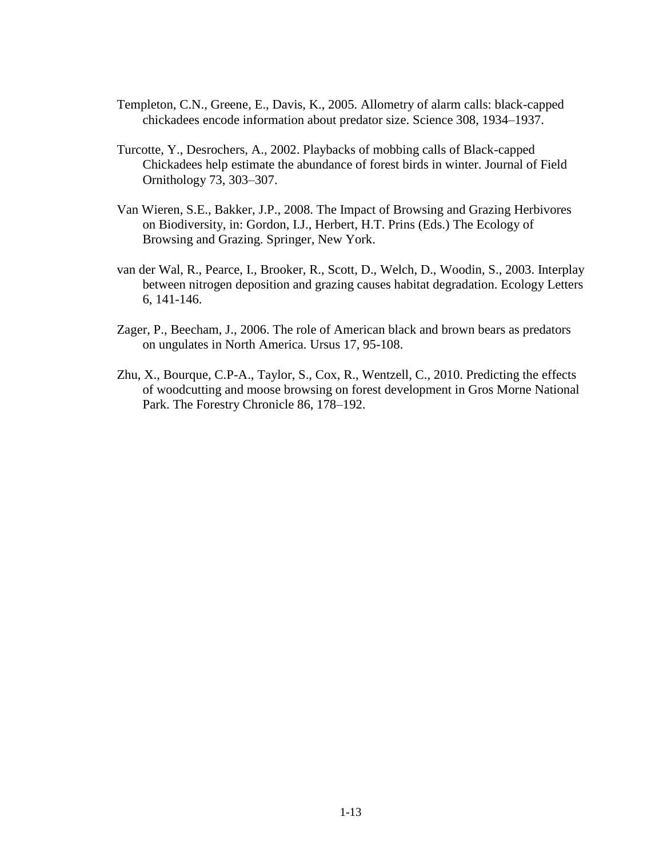- Templeton, C.N., Greene, E., Davis, K., 2005. Allometry of alarm calls: black-capped chickadees encode information about predator size. Science 308, 1934–1937.
- Turcotte, Y., Desrochers, A., 2002. Playbacks of mobbing calls of Black-capped Chickadees help estimate the abundance of forest birds in winter. Journal of Field Ornithology 73, 303–307.
- Van Wieren, S.E., Bakker, J.P., 2008. The Impact of Browsing and Grazing Herbivores on Biodiversity, in: Gordon, I.J., Herbert, H.T. Prins (Eds.) The Ecology of Browsing and Grazing. Springer, New York.
- van der Wal, R., Pearce, I., Brooker, R., Scott, D., Welch, D., Woodin, S., 2003. Interplay between nitrogen deposition and grazing causes habitat degradation. Ecology Letters 6, 141-146.
- Zager, P., Beecham, J., 2006. The role of American black and brown bears as predators on ungulates in North America. Ursus 17, 95-108.
- Zhu, X., Bourque, C.P-A., Taylor, S., Cox, R., Wentzell, C., 2010. Predicting the effects of woodcutting and moose browsing on forest development in Gros Morne National Park. The Forestry Chronicle 86, 178–192.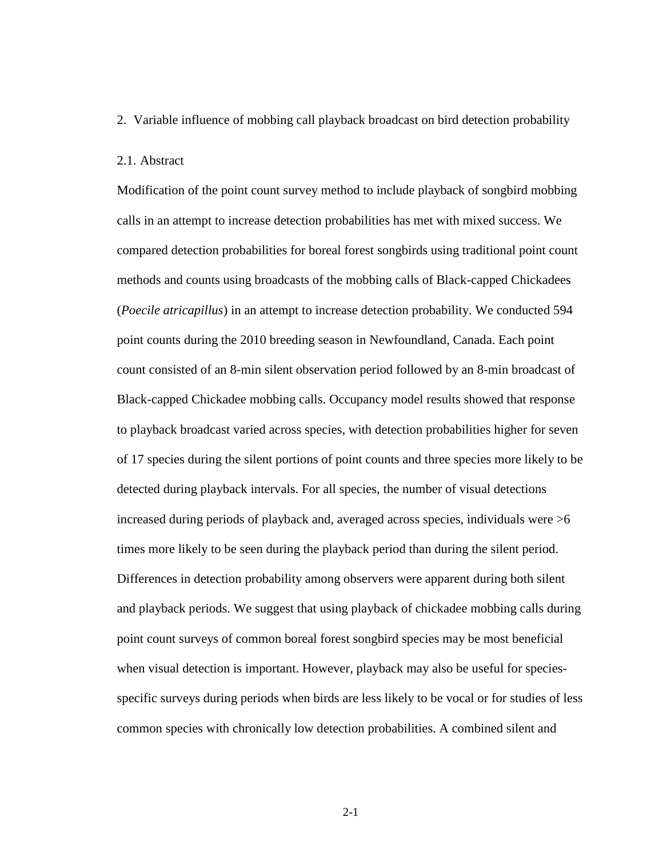<span id="page-19-0"></span>2. Variable influence of mobbing call playback broadcast on bird detection probability

# <span id="page-19-1"></span>2.1. Abstract

Modification of the point count survey method to include playback of songbird mobbing calls in an attempt to increase detection probabilities has met with mixed success. We compared detection probabilities for boreal forest songbirds using traditional point count methods and counts using broadcasts of the mobbing calls of Black-capped Chickadees (*Poecile atricapillus*) in an attempt to increase detection probability. We conducted 594 point counts during the 2010 breeding season in Newfoundland, Canada. Each point count consisted of an 8-min silent observation period followed by an 8-min broadcast of Black-capped Chickadee mobbing calls. Occupancy model results showed that response to playback broadcast varied across species, with detection probabilities higher for seven of 17 species during the silent portions of point counts and three species more likely to be detected during playback intervals. For all species, the number of visual detections increased during periods of playback and, averaged across species, individuals were  $>6$ times more likely to be seen during the playback period than during the silent period. Differences in detection probability among observers were apparent during both silent and playback periods. We suggest that using playback of chickadee mobbing calls during point count surveys of common boreal forest songbird species may be most beneficial when visual detection is important. However, playback may also be useful for speciesspecific surveys during periods when birds are less likely to be vocal or for studies of less common species with chronically low detection probabilities. A combined silent and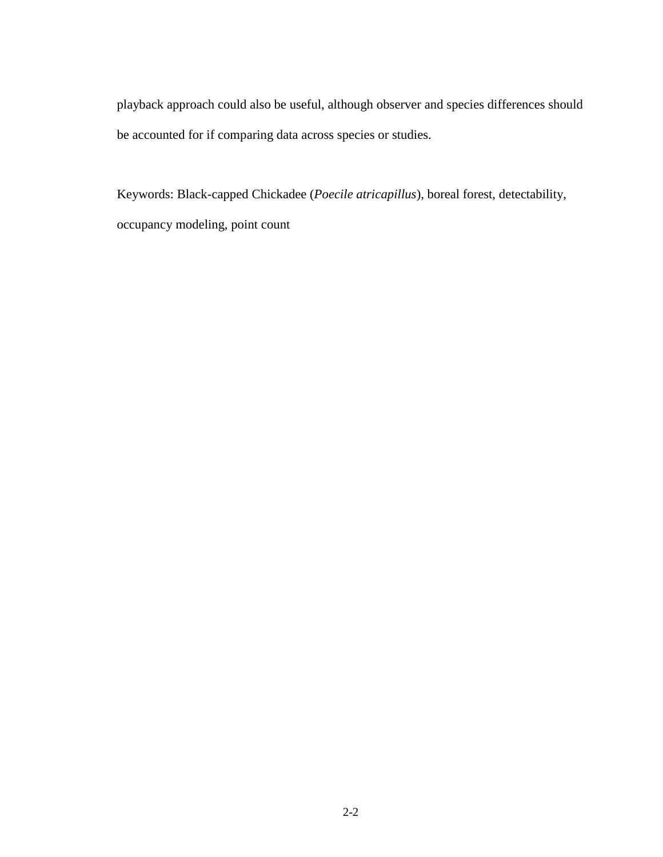playback approach could also be useful, although observer and species differences should be accounted for if comparing data across species or studies.

Keywords: Black-capped Chickadee (*Poecile atricapillus*), boreal forest, detectability, occupancy modeling, point count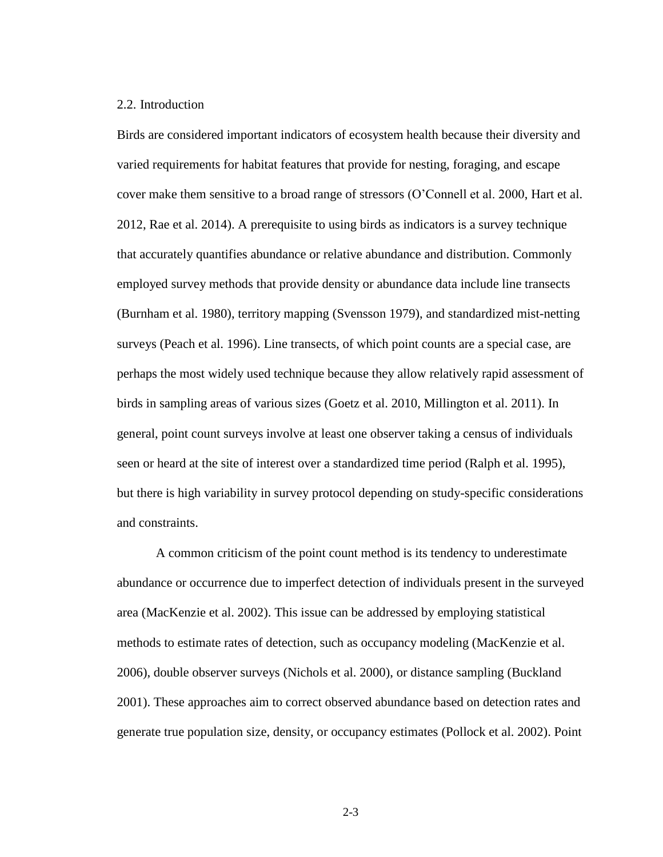# <span id="page-21-0"></span>2.2. Introduction

Birds are considered important indicators of ecosystem health because their diversity and varied requirements for habitat features that provide for nesting, foraging, and escape cover make them sensitive to a broad range of stressors (O'Connell et al. 2000, Hart et al. 2012, Rae et al. 2014). A prerequisite to using birds as indicators is a survey technique that accurately quantifies abundance or relative abundance and distribution. Commonly employed survey methods that provide density or abundance data include line transects (Burnham et al. 1980), territory mapping (Svensson 1979), and standardized mist-netting surveys (Peach et al. 1996). Line transects, of which point counts are a special case, are perhaps the most widely used technique because they allow relatively rapid assessment of birds in sampling areas of various sizes (Goetz et al. 2010, Millington et al. 2011). In general, point count surveys involve at least one observer taking a census of individuals seen or heard at the site of interest over a standardized time period (Ralph et al. 1995), but there is high variability in survey protocol depending on study-specific considerations and constraints.

A common criticism of the point count method is its tendency to underestimate abundance or occurrence due to imperfect detection of individuals present in the surveyed area (MacKenzie et al. 2002). This issue can be addressed by employing statistical methods to estimate rates of detection, such as occupancy modeling (MacKenzie et al. 2006), double observer surveys (Nichols et al. 2000), or distance sampling (Buckland 2001). These approaches aim to correct observed abundance based on detection rates and generate true population size, density, or occupancy estimates (Pollock et al. 2002). Point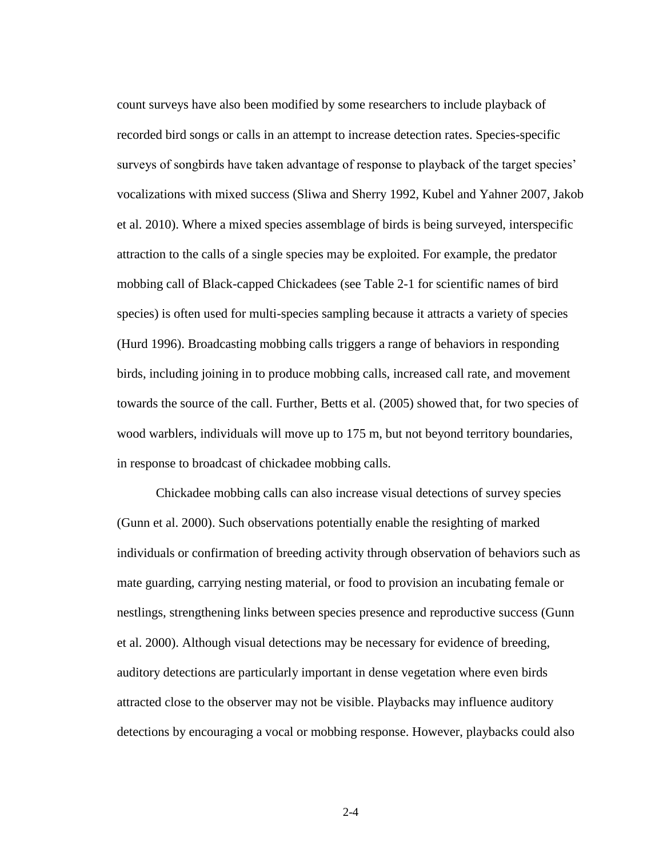count surveys have also been modified by some researchers to include playback of recorded bird songs or calls in an attempt to increase detection rates. Species-specific surveys of songbirds have taken advantage of response to playback of the target species' vocalizations with mixed success (Sliwa and Sherry 1992, Kubel and Yahner 2007, Jakob et al. 2010). Where a mixed species assemblage of birds is being surveyed, interspecific attraction to the calls of a single species may be exploited. For example, the predator mobbing call of Black-capped Chickadees (see Table 2-1 for scientific names of bird species) is often used for multi-species sampling because it attracts a variety of species (Hurd 1996). Broadcasting mobbing calls triggers a range of behaviors in responding birds, including joining in to produce mobbing calls, increased call rate, and movement towards the source of the call. Further, Betts et al. (2005) showed that, for two species of wood warblers, individuals will move up to 175 m, but not beyond territory boundaries, in response to broadcast of chickadee mobbing calls.

Chickadee mobbing calls can also increase visual detections of survey species (Gunn et al. 2000). Such observations potentially enable the resighting of marked individuals or confirmation of breeding activity through observation of behaviors such as mate guarding, carrying nesting material, or food to provision an incubating female or nestlings, strengthening links between species presence and reproductive success (Gunn et al. 2000). Although visual detections may be necessary for evidence of breeding, auditory detections are particularly important in dense vegetation where even birds attracted close to the observer may not be visible. Playbacks may influence auditory detections by encouraging a vocal or mobbing response. However, playbacks could also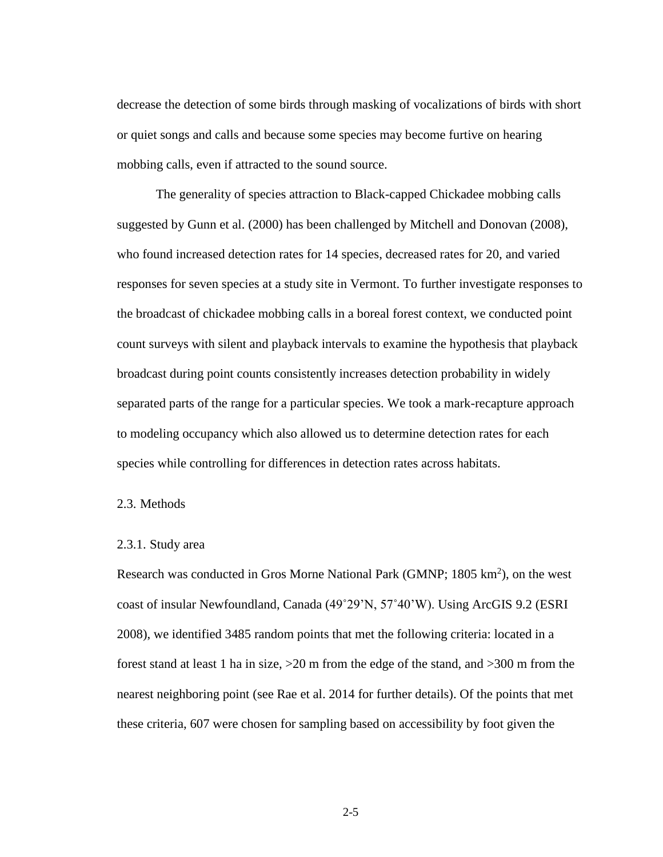decrease the detection of some birds through masking of vocalizations of birds with short or quiet songs and calls and because some species may become furtive on hearing mobbing calls, even if attracted to the sound source.

The generality of species attraction to Black-capped Chickadee mobbing calls suggested by Gunn et al. (2000) has been challenged by Mitchell and Donovan (2008), who found increased detection rates for 14 species, decreased rates for 20, and varied responses for seven species at a study site in Vermont. To further investigate responses to the broadcast of chickadee mobbing calls in a boreal forest context, we conducted point count surveys with silent and playback intervals to examine the hypothesis that playback broadcast during point counts consistently increases detection probability in widely separated parts of the range for a particular species. We took a mark-recapture approach to modeling occupancy which also allowed us to determine detection rates for each species while controlling for differences in detection rates across habitats.

<span id="page-23-0"></span>2.3. Methods

# <span id="page-23-1"></span>2.3.1. Study area

Research was conducted in Gros Morne National Park (GMNP; 1805 km<sup>2</sup>), on the west coast of insular Newfoundland, Canada (49˚29'N, 57˚40'W). Using ArcGIS 9.2 (ESRI 2008), we identified 3485 random points that met the following criteria: located in a forest stand at least 1 ha in size, >20 m from the edge of the stand, and >300 m from the nearest neighboring point (see Rae et al. 2014 for further details). Of the points that met these criteria, 607 were chosen for sampling based on accessibility by foot given the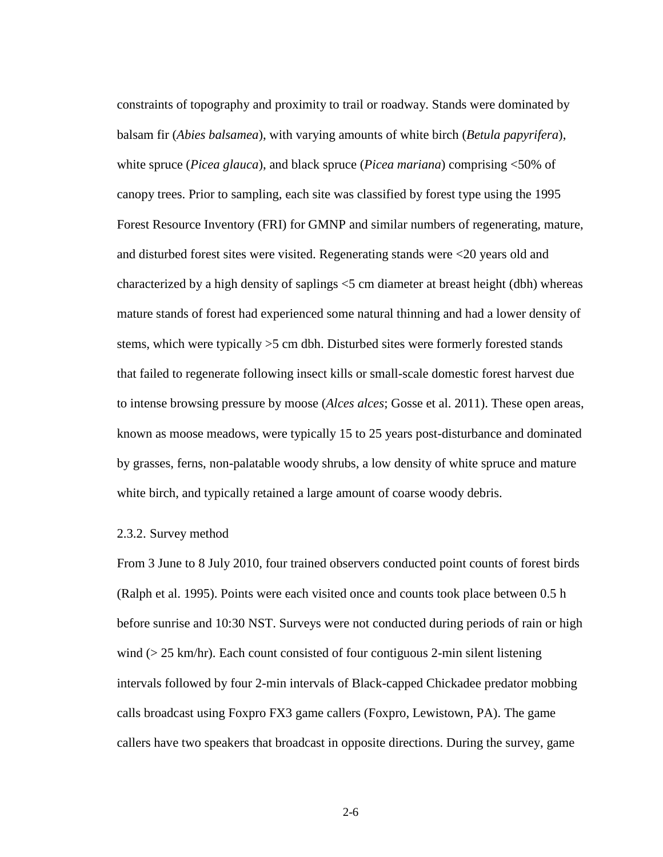constraints of topography and proximity to trail or roadway. Stands were dominated by balsam fir (*Abies balsamea*), with varying amounts of white birch (*Betula papyrifera*), white spruce (*Picea glauca*), and black spruce (*Picea mariana*) comprising <50% of canopy trees. Prior to sampling, each site was classified by forest type using the 1995 Forest Resource Inventory (FRI) for GMNP and similar numbers of regenerating, mature, and disturbed forest sites were visited. Regenerating stands were <20 years old and characterized by a high density of saplings <5 cm diameter at breast height (dbh) whereas mature stands of forest had experienced some natural thinning and had a lower density of stems, which were typically >5 cm dbh. Disturbed sites were formerly forested stands that failed to regenerate following insect kills or small-scale domestic forest harvest due to intense browsing pressure by moose (*Alces alces*; Gosse et al. 2011). These open areas, known as moose meadows, were typically 15 to 25 years post-disturbance and dominated by grasses, ferns, non-palatable woody shrubs, a low density of white spruce and mature white birch, and typically retained a large amount of coarse woody debris.

#### <span id="page-24-0"></span>2.3.2. Survey method

From 3 June to 8 July 2010, four trained observers conducted point counts of forest birds (Ralph et al. 1995). Points were each visited once and counts took place between 0.5 h before sunrise and 10:30 NST. Surveys were not conducted during periods of rain or high wind ( $> 25$  km/hr). Each count consisted of four contiguous 2-min silent listening intervals followed by four 2-min intervals of Black-capped Chickadee predator mobbing calls broadcast using Foxpro FX3 game callers (Foxpro, Lewistown, PA). The game callers have two speakers that broadcast in opposite directions. During the survey, game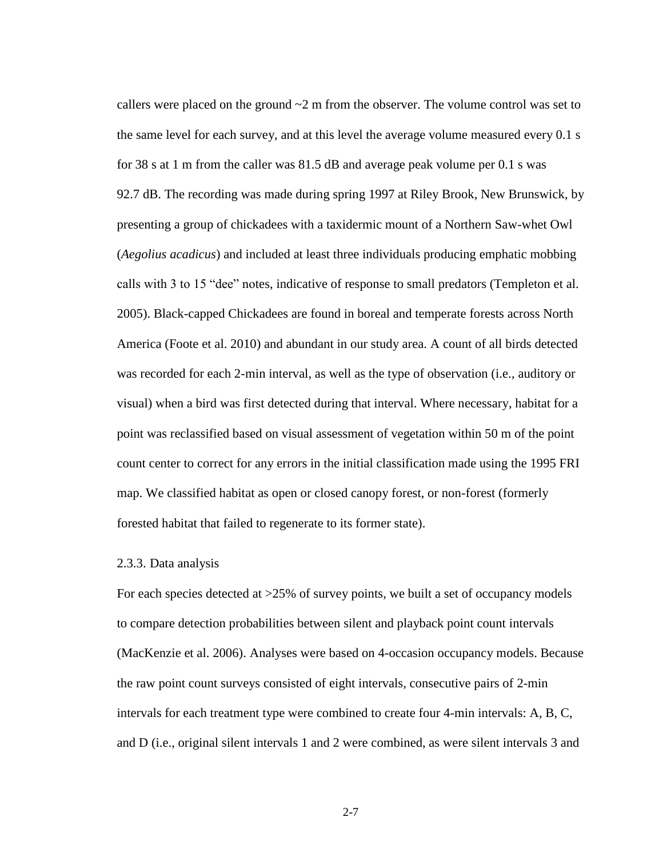callers were placed on the ground  $\sim$ 2 m from the observer. The volume control was set to the same level for each survey, and at this level the average volume measured every 0.1 s for 38 s at 1 m from the caller was 81.5 dB and average peak volume per 0.1 s was 92.7 dB. The recording was made during spring 1997 at Riley Brook, New Brunswick, by presenting a group of chickadees with a taxidermic mount of a Northern Saw-whet Owl (*Aegolius acadicus*) and included at least three individuals producing emphatic mobbing calls with 3 to 15 "dee" notes, indicative of response to small predators (Templeton et al. 2005). Black-capped Chickadees are found in boreal and temperate forests across North America (Foote et al. 2010) and abundant in our study area. A count of all birds detected was recorded for each 2-min interval, as well as the type of observation (i.e., auditory or visual) when a bird was first detected during that interval. Where necessary, habitat for a point was reclassified based on visual assessment of vegetation within 50 m of the point count center to correct for any errors in the initial classification made using the 1995 FRI map. We classified habitat as open or closed canopy forest, or non-forest (formerly forested habitat that failed to regenerate to its former state).

#### <span id="page-25-0"></span>2.3.3. Data analysis

For each species detected at >25% of survey points, we built a set of occupancy models to compare detection probabilities between silent and playback point count intervals (MacKenzie et al. 2006). Analyses were based on 4-occasion occupancy models. Because the raw point count surveys consisted of eight intervals, consecutive pairs of 2-min intervals for each treatment type were combined to create four 4-min intervals: A, B, C, and D (i.e., original silent intervals 1 and 2 were combined, as were silent intervals 3 and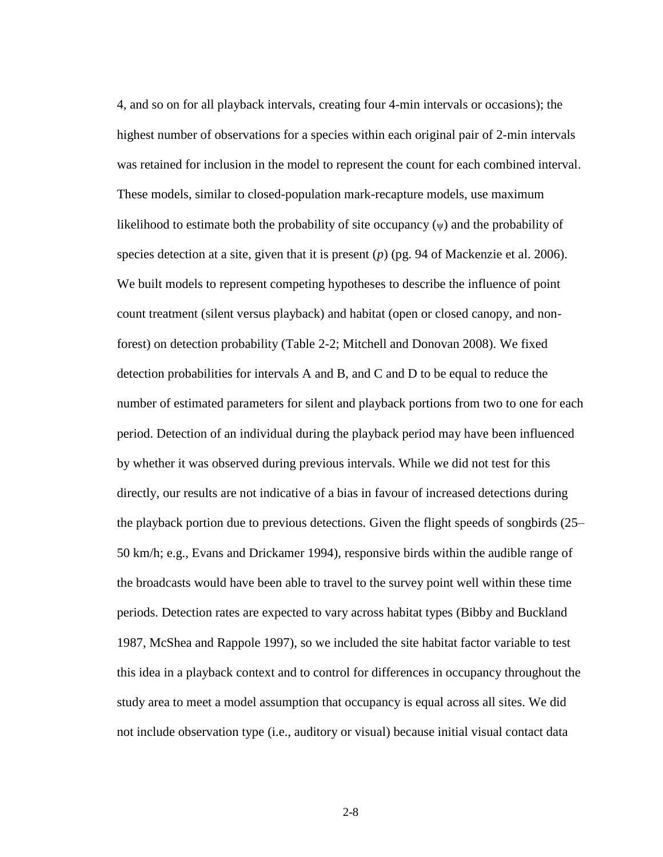4, and so on for all playback intervals, creating four 4-min intervals or occasions); the highest number of observations for a species within each original pair of 2-min intervals was retained for inclusion in the model to represent the count for each combined interval. These models, similar to closed-population mark-recapture models, use maximum likelihood to estimate both the probability of site occupancy  $(\psi)$  and the probability of species detection at a site, given that it is present (*p*) (pg. 94 of Mackenzie et al. 2006). We built models to represent competing hypotheses to describe the influence of point count treatment (silent versus playback) and habitat (open or closed canopy, and nonforest) on detection probability (Table 2-2; Mitchell and Donovan 2008). We fixed detection probabilities for intervals A and B, and C and D to be equal to reduce the number of estimated parameters for silent and playback portions from two to one for each period. Detection of an individual during the playback period may have been influenced by whether it was observed during previous intervals. While we did not test for this directly, our results are not indicative of a bias in favour of increased detections during the playback portion due to previous detections. Given the flight speeds of songbirds (25– 50 km/h; e.g., Evans and Drickamer 1994), responsive birds within the audible range of the broadcasts would have been able to travel to the survey point well within these time periods. Detection rates are expected to vary across habitat types (Bibby and Buckland 1987, McShea and Rappole 1997), so we included the site habitat factor variable to test this idea in a playback context and to control for differences in occupancy throughout the study area to meet a model assumption that occupancy is equal across all sites. We did not include observation type (i.e., auditory or visual) because initial visual contact data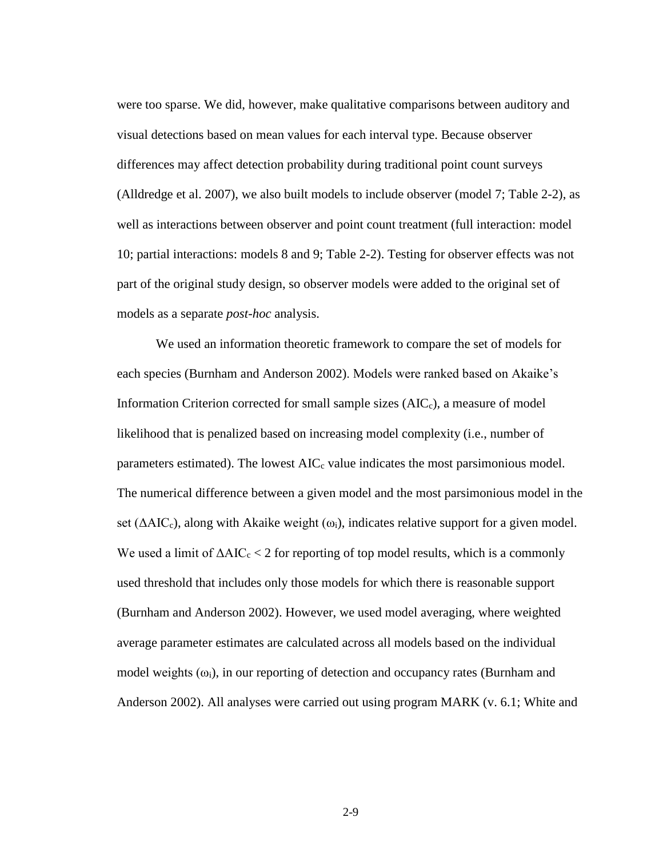were too sparse. We did, however, make qualitative comparisons between auditory and visual detections based on mean values for each interval type. Because observer differences may affect detection probability during traditional point count surveys (Alldredge et al. 2007), we also built models to include observer (model 7; Table 2-2), as well as interactions between observer and point count treatment (full interaction: model 10; partial interactions: models 8 and 9; Table 2-2). Testing for observer effects was not part of the original study design, so observer models were added to the original set of models as a separate *post-hoc* analysis.

We used an information theoretic framework to compare the set of models for each species (Burnham and Anderson 2002). Models were ranked based on Akaike's Information Criterion corrected for small sample sizes (AIC<sub>c</sub>), a measure of model likelihood that is penalized based on increasing model complexity (i.e., number of parameters estimated). The lowest  $AIC<sub>c</sub>$  value indicates the most parsimonious model. The numerical difference between a given model and the most parsimonious model in the set ( $\Delta AIC_c$ ), along with Akaike weight ( $\omega_i$ ), indicates relative support for a given model. We used a limit of  $\Delta AIC_c < 2$  for reporting of top model results, which is a commonly used threshold that includes only those models for which there is reasonable support (Burnham and Anderson 2002). However, we used model averaging, where weighted average parameter estimates are calculated across all models based on the individual model weights  $(\omega_i)$ , in our reporting of detection and occupancy rates (Burnham and Anderson 2002). All analyses were carried out using program MARK (v. 6.1; White and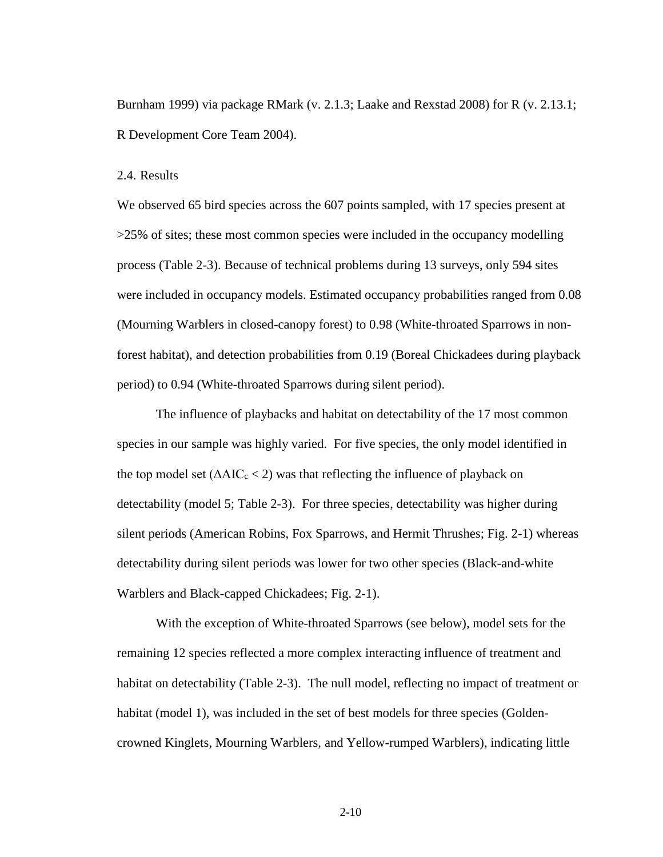Burnham 1999) via package RMark (v. 2.1.3; Laake and Rexstad 2008) for R (v. 2.13.1; R Development Core Team 2004).

## <span id="page-28-0"></span>2.4. Results

We observed 65 bird species across the 607 points sampled, with 17 species present at >25% of sites; these most common species were included in the occupancy modelling process (Table 2-3). Because of technical problems during 13 surveys, only 594 sites were included in occupancy models. Estimated occupancy probabilities ranged from 0.08 (Mourning Warblers in closed-canopy forest) to 0.98 (White-throated Sparrows in nonforest habitat), and detection probabilities from 0.19 (Boreal Chickadees during playback period) to 0.94 (White-throated Sparrows during silent period).

The influence of playbacks and habitat on detectability of the 17 most common species in our sample was highly varied. For five species, the only model identified in the top model set  $(\Delta AIC_c < 2)$  was that reflecting the influence of playback on detectability (model 5; Table 2-3). For three species, detectability was higher during silent periods (American Robins, Fox Sparrows, and Hermit Thrushes; Fig. 2-1) whereas detectability during silent periods was lower for two other species (Black-and-white Warblers and Black-capped Chickadees; Fig. 2-1).

With the exception of White-throated Sparrows (see below), model sets for the remaining 12 species reflected a more complex interacting influence of treatment and habitat on detectability (Table 2-3). The null model, reflecting no impact of treatment or habitat (model 1), was included in the set of best models for three species (Goldencrowned Kinglets, Mourning Warblers, and Yellow-rumped Warblers), indicating little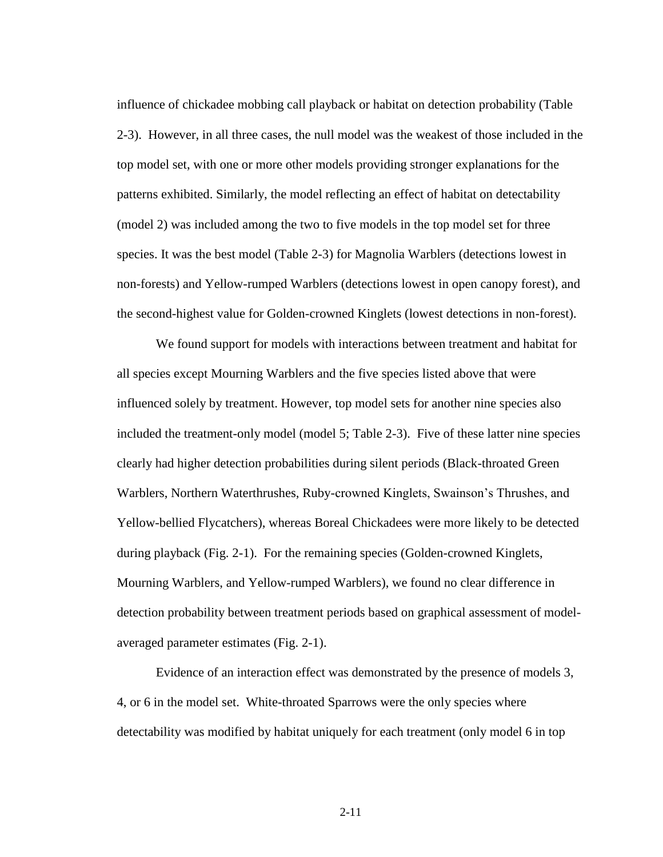influence of chickadee mobbing call playback or habitat on detection probability (Table 2-3). However, in all three cases, the null model was the weakest of those included in the top model set, with one or more other models providing stronger explanations for the patterns exhibited. Similarly, the model reflecting an effect of habitat on detectability (model 2) was included among the two to five models in the top model set for three species. It was the best model (Table 2-3) for Magnolia Warblers (detections lowest in non-forests) and Yellow-rumped Warblers (detections lowest in open canopy forest), and the second-highest value for Golden-crowned Kinglets (lowest detections in non-forest).

We found support for models with interactions between treatment and habitat for all species except Mourning Warblers and the five species listed above that were influenced solely by treatment. However, top model sets for another nine species also included the treatment-only model (model 5; Table 2-3). Five of these latter nine species clearly had higher detection probabilities during silent periods (Black-throated Green Warblers, Northern Waterthrushes, Ruby-crowned Kinglets, Swainson's Thrushes, and Yellow-bellied Flycatchers), whereas Boreal Chickadees were more likely to be detected during playback (Fig. 2-1). For the remaining species (Golden-crowned Kinglets, Mourning Warblers, and Yellow-rumped Warblers), we found no clear difference in detection probability between treatment periods based on graphical assessment of modelaveraged parameter estimates (Fig. 2-1).

Evidence of an interaction effect was demonstrated by the presence of models 3, 4, or 6 in the model set. White-throated Sparrows were the only species where detectability was modified by habitat uniquely for each treatment (only model 6 in top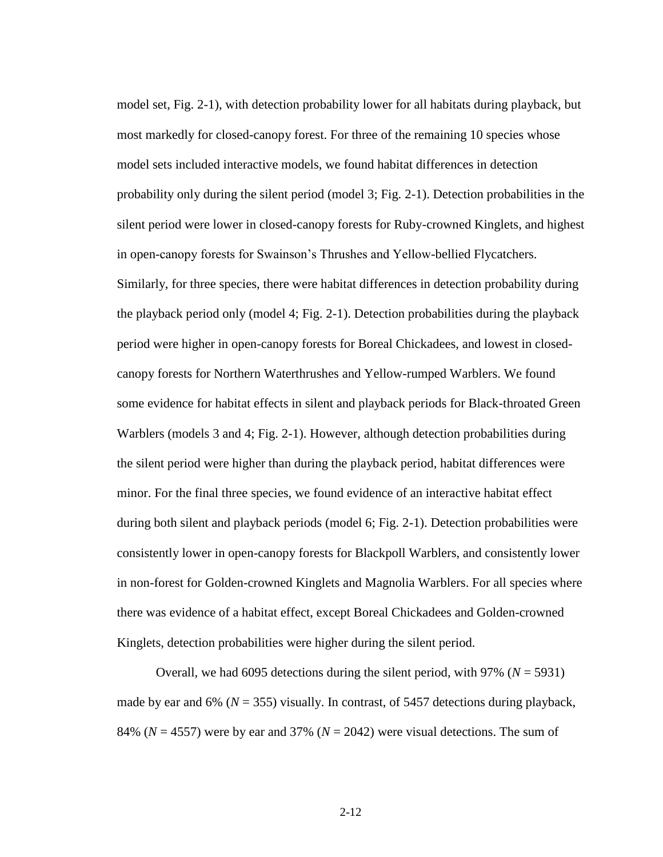model set, Fig. 2-1), with detection probability lower for all habitats during playback, but most markedly for closed-canopy forest. For three of the remaining 10 species whose model sets included interactive models, we found habitat differences in detection probability only during the silent period (model 3; Fig. 2-1). Detection probabilities in the silent period were lower in closed-canopy forests for Ruby-crowned Kinglets, and highest in open-canopy forests for Swainson's Thrushes and Yellow-bellied Flycatchers. Similarly, for three species, there were habitat differences in detection probability during the playback period only (model 4; Fig. 2-1). Detection probabilities during the playback period were higher in open-canopy forests for Boreal Chickadees, and lowest in closedcanopy forests for Northern Waterthrushes and Yellow-rumped Warblers. We found some evidence for habitat effects in silent and playback periods for Black-throated Green Warblers (models 3 and 4; Fig. 2-1). However, although detection probabilities during the silent period were higher than during the playback period, habitat differences were minor. For the final three species, we found evidence of an interactive habitat effect during both silent and playback periods (model 6; Fig. 2-1). Detection probabilities were consistently lower in open-canopy forests for Blackpoll Warblers, and consistently lower in non-forest for Golden-crowned Kinglets and Magnolia Warblers. For all species where there was evidence of a habitat effect, except Boreal Chickadees and Golden-crowned Kinglets, detection probabilities were higher during the silent period.

Overall, we had 6095 detections during the silent period, with 97% (*N* = 5931) made by ear and 6% ( $N = 355$ ) visually. In contrast, of 5457 detections during playback, 84% ( $N = 4557$ ) were by ear and 37% ( $N = 2042$ ) were visual detections. The sum of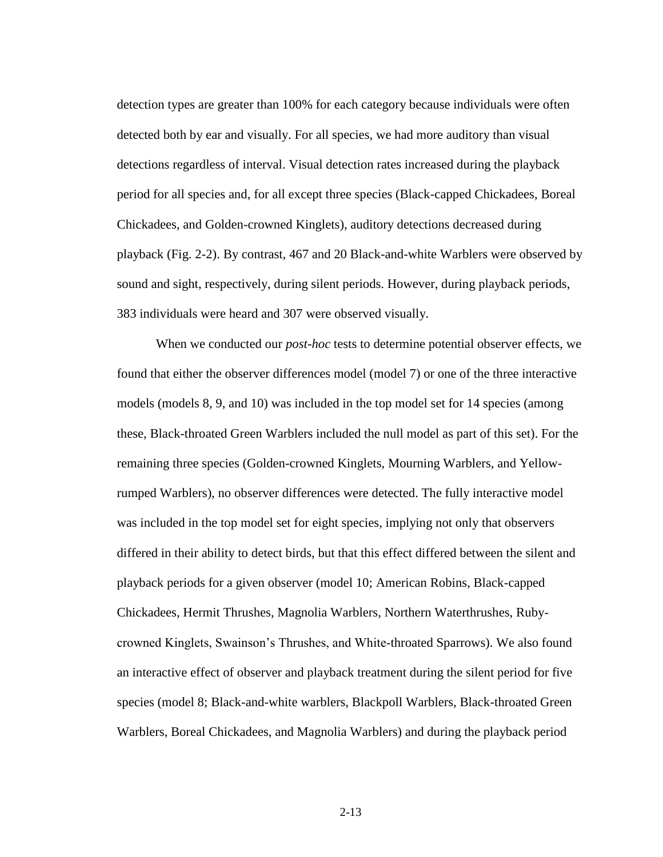detection types are greater than 100% for each category because individuals were often detected both by ear and visually. For all species, we had more auditory than visual detections regardless of interval. Visual detection rates increased during the playback period for all species and, for all except three species (Black-capped Chickadees, Boreal Chickadees, and Golden-crowned Kinglets), auditory detections decreased during playback (Fig. 2-2). By contrast, 467 and 20 Black-and-white Warblers were observed by sound and sight, respectively, during silent periods. However, during playback periods, 383 individuals were heard and 307 were observed visually.

When we conducted our *post-hoc* tests to determine potential observer effects, we found that either the observer differences model (model 7) or one of the three interactive models (models 8, 9, and 10) was included in the top model set for 14 species (among these, Black-throated Green Warblers included the null model as part of this set). For the remaining three species (Golden-crowned Kinglets, Mourning Warblers, and Yellowrumped Warblers), no observer differences were detected. The fully interactive model was included in the top model set for eight species, implying not only that observers differed in their ability to detect birds, but that this effect differed between the silent and playback periods for a given observer (model 10; American Robins, Black-capped Chickadees, Hermit Thrushes, Magnolia Warblers, Northern Waterthrushes, Rubycrowned Kinglets, Swainson's Thrushes, and White-throated Sparrows). We also found an interactive effect of observer and playback treatment during the silent period for five species (model 8; Black-and-white warblers, Blackpoll Warblers, Black-throated Green Warblers, Boreal Chickadees, and Magnolia Warblers) and during the playback period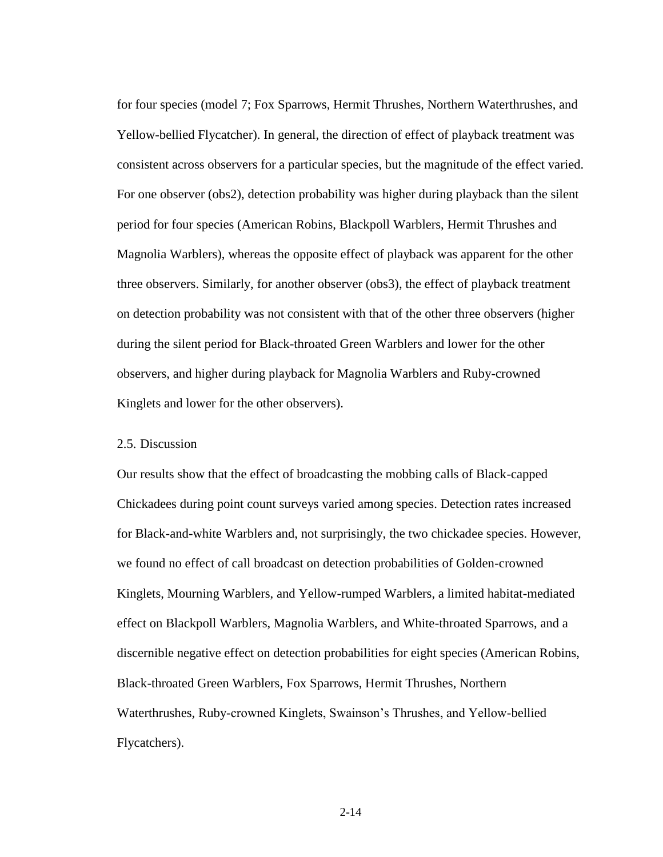for four species (model 7; Fox Sparrows, Hermit Thrushes, Northern Waterthrushes, and Yellow-bellied Flycatcher). In general, the direction of effect of playback treatment was consistent across observers for a particular species, but the magnitude of the effect varied. For one observer (obs2), detection probability was higher during playback than the silent period for four species (American Robins, Blackpoll Warblers, Hermit Thrushes and Magnolia Warblers), whereas the opposite effect of playback was apparent for the other three observers. Similarly, for another observer (obs3), the effect of playback treatment on detection probability was not consistent with that of the other three observers (higher during the silent period for Black-throated Green Warblers and lower for the other observers, and higher during playback for Magnolia Warblers and Ruby-crowned Kinglets and lower for the other observers).

## <span id="page-32-0"></span>2.5. Discussion

Our results show that the effect of broadcasting the mobbing calls of Black-capped Chickadees during point count surveys varied among species. Detection rates increased for Black-and-white Warblers and, not surprisingly, the two chickadee species. However, we found no effect of call broadcast on detection probabilities of Golden-crowned Kinglets, Mourning Warblers, and Yellow-rumped Warblers, a limited habitat-mediated effect on Blackpoll Warblers, Magnolia Warblers, and White-throated Sparrows, and a discernible negative effect on detection probabilities for eight species (American Robins, Black-throated Green Warblers, Fox Sparrows, Hermit Thrushes, Northern Waterthrushes, Ruby-crowned Kinglets, Swainson's Thrushes, and Yellow-bellied Flycatchers).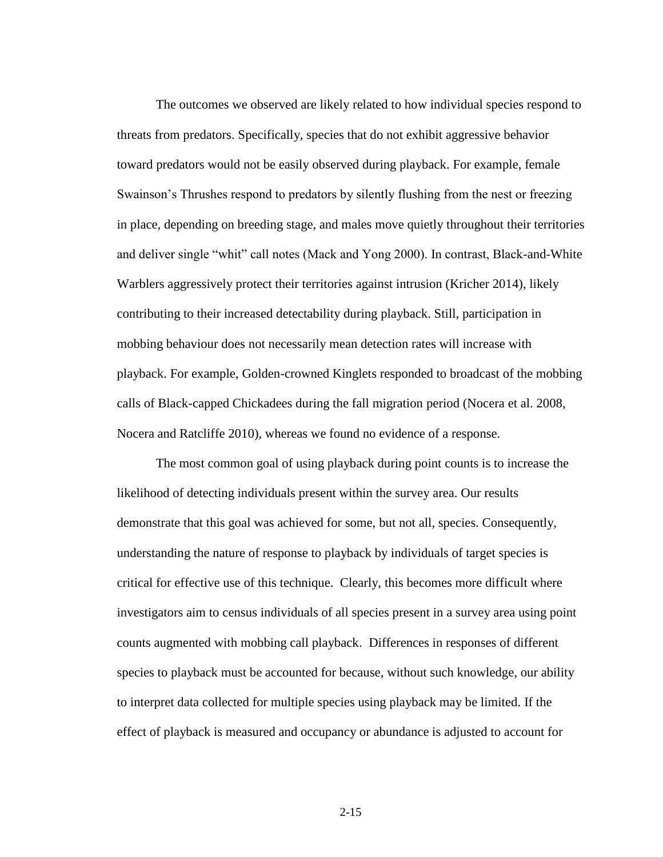The outcomes we observed are likely related to how individual species respond to threats from predators. Specifically, species that do not exhibit aggressive behavior toward predators would not be easily observed during playback. For example, female Swainson's Thrushes respond to predators by silently flushing from the nest or freezing in place, depending on breeding stage, and males move quietly throughout their territories and deliver single "whit" call notes (Mack and Yong 2000). In contrast, Black-and-White Warblers aggressively protect their territories against intrusion (Kricher 2014), likely contributing to their increased detectability during playback. Still, participation in mobbing behaviour does not necessarily mean detection rates will increase with playback. For example, Golden-crowned Kinglets responded to broadcast of the mobbing calls of Black-capped Chickadees during the fall migration period (Nocera et al. 2008, Nocera and Ratcliffe 2010), whereas we found no evidence of a response.

The most common goal of using playback during point counts is to increase the likelihood of detecting individuals present within the survey area. Our results demonstrate that this goal was achieved for some, but not all, species. Consequently, understanding the nature of response to playback by individuals of target species is critical for effective use of this technique. Clearly, this becomes more difficult where investigators aim to census individuals of all species present in a survey area using point counts augmented with mobbing call playback. Differences in responses of different species to playback must be accounted for because, without such knowledge, our ability to interpret data collected for multiple species using playback may be limited. If the effect of playback is measured and occupancy or abundance is adjusted to account for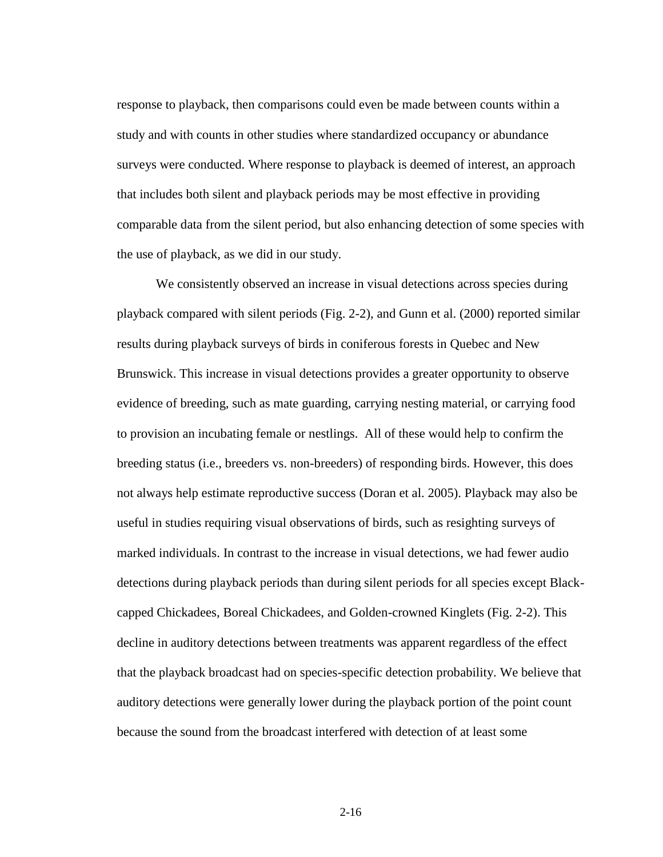response to playback, then comparisons could even be made between counts within a study and with counts in other studies where standardized occupancy or abundance surveys were conducted. Where response to playback is deemed of interest, an approach that includes both silent and playback periods may be most effective in providing comparable data from the silent period, but also enhancing detection of some species with the use of playback, as we did in our study.

We consistently observed an increase in visual detections across species during playback compared with silent periods (Fig. 2-2), and Gunn et al. (2000) reported similar results during playback surveys of birds in coniferous forests in Quebec and New Brunswick. This increase in visual detections provides a greater opportunity to observe evidence of breeding, such as mate guarding, carrying nesting material, or carrying food to provision an incubating female or nestlings. All of these would help to confirm the breeding status (i.e., breeders vs. non-breeders) of responding birds. However, this does not always help estimate reproductive success (Doran et al. 2005). Playback may also be useful in studies requiring visual observations of birds, such as resighting surveys of marked individuals. In contrast to the increase in visual detections, we had fewer audio detections during playback periods than during silent periods for all species except Blackcapped Chickadees, Boreal Chickadees, and Golden-crowned Kinglets (Fig. 2-2). This decline in auditory detections between treatments was apparent regardless of the effect that the playback broadcast had on species-specific detection probability. We believe that auditory detections were generally lower during the playback portion of the point count because the sound from the broadcast interfered with detection of at least some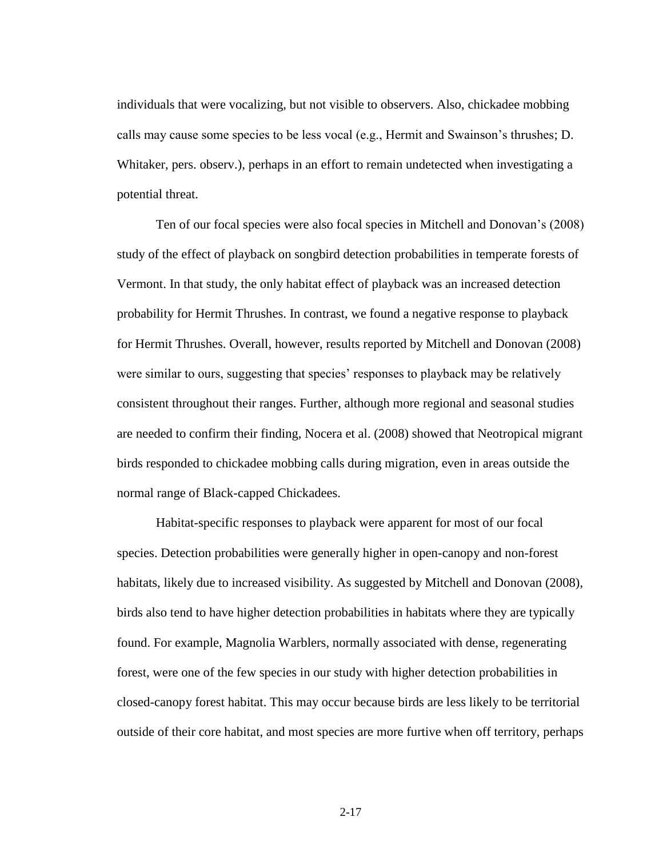individuals that were vocalizing, but not visible to observers. Also, chickadee mobbing calls may cause some species to be less vocal (e.g., Hermit and Swainson's thrushes; D. Whitaker, pers. observ.), perhaps in an effort to remain undetected when investigating a potential threat.

Ten of our focal species were also focal species in Mitchell and Donovan's (2008) study of the effect of playback on songbird detection probabilities in temperate forests of Vermont. In that study, the only habitat effect of playback was an increased detection probability for Hermit Thrushes. In contrast, we found a negative response to playback for Hermit Thrushes. Overall, however, results reported by Mitchell and Donovan (2008) were similar to ours, suggesting that species' responses to playback may be relatively consistent throughout their ranges. Further, although more regional and seasonal studies are needed to confirm their finding, Nocera et al. (2008) showed that Neotropical migrant birds responded to chickadee mobbing calls during migration, even in areas outside the normal range of Black-capped Chickadees.

Habitat-specific responses to playback were apparent for most of our focal species. Detection probabilities were generally higher in open-canopy and non-forest habitats, likely due to increased visibility. As suggested by Mitchell and Donovan (2008), birds also tend to have higher detection probabilities in habitats where they are typically found. For example, Magnolia Warblers, normally associated with dense, regenerating forest, were one of the few species in our study with higher detection probabilities in closed-canopy forest habitat. This may occur because birds are less likely to be territorial outside of their core habitat, and most species are more furtive when off territory, perhaps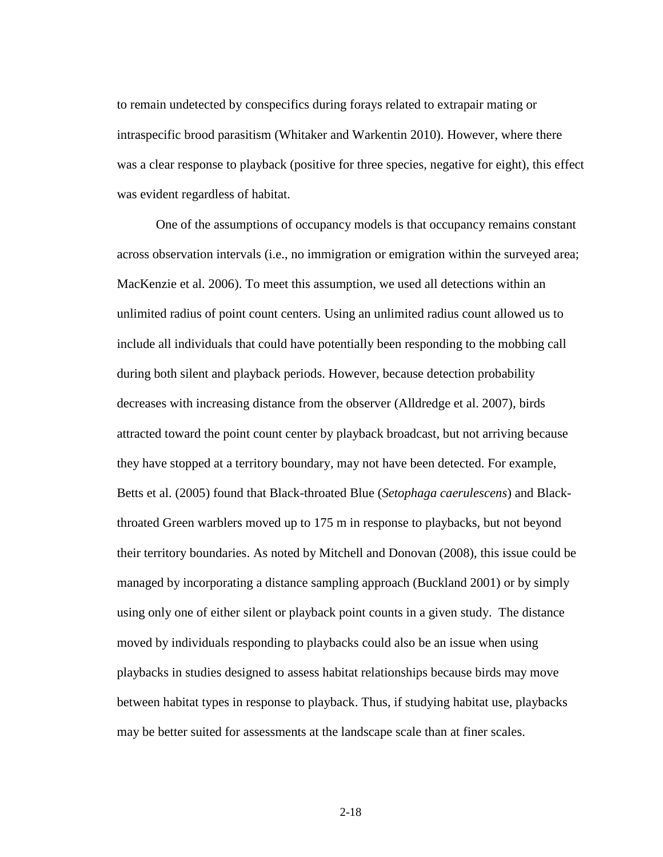to remain undetected by conspecifics during forays related to extrapair mating or intraspecific brood parasitism (Whitaker and Warkentin 2010). However, where there was a clear response to playback (positive for three species, negative for eight), this effect was evident regardless of habitat.

One of the assumptions of occupancy models is that occupancy remains constant across observation intervals (i.e., no immigration or emigration within the surveyed area; MacKenzie et al. 2006). To meet this assumption, we used all detections within an unlimited radius of point count centers. Using an unlimited radius count allowed us to include all individuals that could have potentially been responding to the mobbing call during both silent and playback periods. However, because detection probability decreases with increasing distance from the observer (Alldredge et al. 2007), birds attracted toward the point count center by playback broadcast, but not arriving because they have stopped at a territory boundary, may not have been detected. For example, Betts et al. (2005) found that Black-throated Blue (*Setophaga caerulescens*) and Blackthroated Green warblers moved up to 175 m in response to playbacks, but not beyond their territory boundaries. As noted by Mitchell and Donovan (2008), this issue could be managed by incorporating a distance sampling approach (Buckland 2001) or by simply using only one of either silent or playback point counts in a given study. The distance moved by individuals responding to playbacks could also be an issue when using playbacks in studies designed to assess habitat relationships because birds may move between habitat types in response to playback. Thus, if studying habitat use, playbacks may be better suited for assessments at the landscape scale than at finer scales.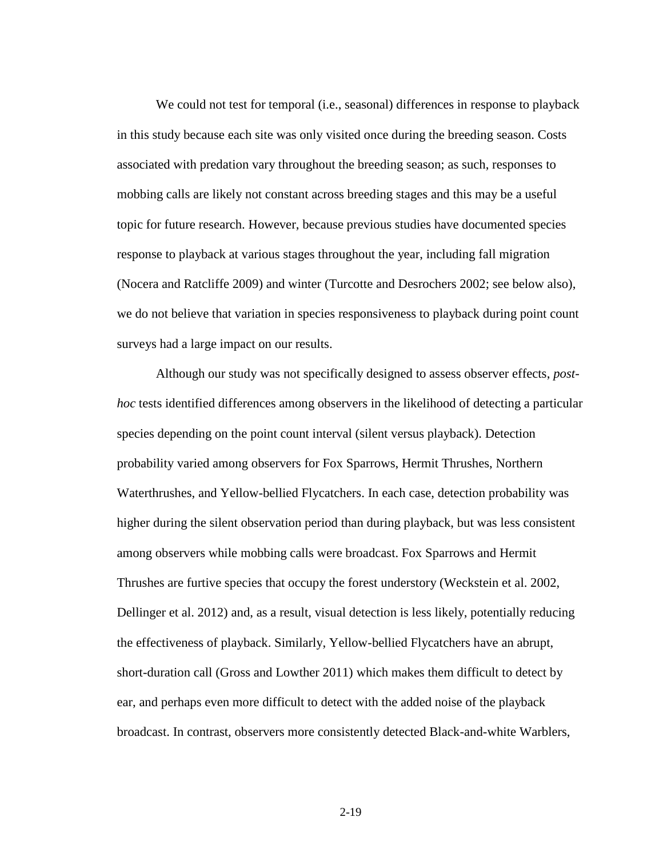We could not test for temporal (i.e., seasonal) differences in response to playback in this study because each site was only visited once during the breeding season. Costs associated with predation vary throughout the breeding season; as such, responses to mobbing calls are likely not constant across breeding stages and this may be a useful topic for future research. However, because previous studies have documented species response to playback at various stages throughout the year, including fall migration (Nocera and Ratcliffe 2009) and winter (Turcotte and Desrochers 2002; see below also), we do not believe that variation in species responsiveness to playback during point count surveys had a large impact on our results.

Although our study was not specifically designed to assess observer effects, *posthoc* tests identified differences among observers in the likelihood of detecting a particular species depending on the point count interval (silent versus playback). Detection probability varied among observers for Fox Sparrows, Hermit Thrushes, Northern Waterthrushes, and Yellow-bellied Flycatchers. In each case, detection probability was higher during the silent observation period than during playback, but was less consistent among observers while mobbing calls were broadcast. Fox Sparrows and Hermit Thrushes are furtive species that occupy the forest understory (Weckstein et al. 2002, Dellinger et al. 2012) and, as a result, visual detection is less likely, potentially reducing the effectiveness of playback. Similarly, Yellow-bellied Flycatchers have an abrupt, short-duration call (Gross and Lowther 2011) which makes them difficult to detect by ear, and perhaps even more difficult to detect with the added noise of the playback broadcast. In contrast, observers more consistently detected Black-and-white Warblers,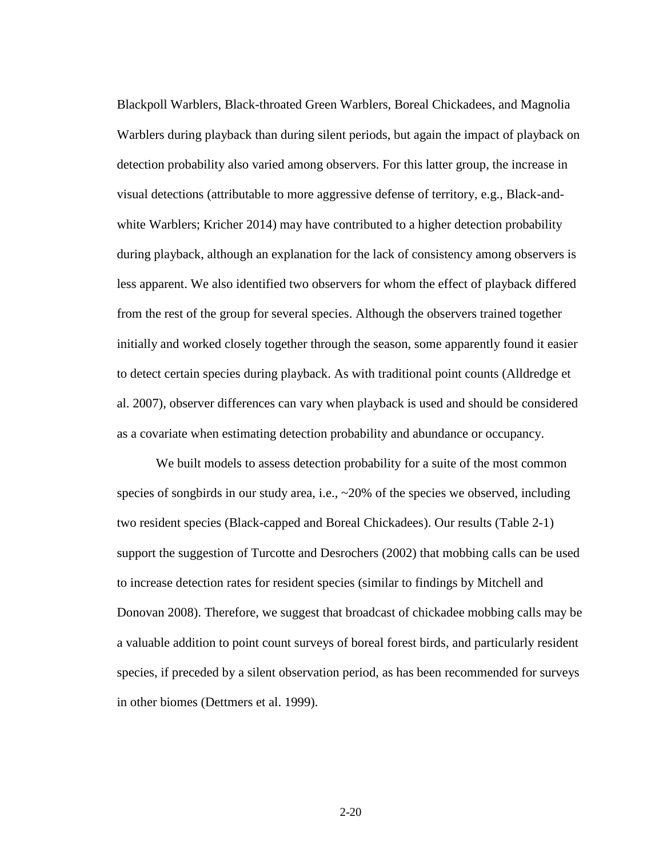Blackpoll Warblers, Black-throated Green Warblers, Boreal Chickadees, and Magnolia Warblers during playback than during silent periods, but again the impact of playback on detection probability also varied among observers. For this latter group, the increase in visual detections (attributable to more aggressive defense of territory, e.g., Black-andwhite Warblers; Kricher 2014) may have contributed to a higher detection probability during playback, although an explanation for the lack of consistency among observers is less apparent. We also identified two observers for whom the effect of playback differed from the rest of the group for several species. Although the observers trained together initially and worked closely together through the season, some apparently found it easier to detect certain species during playback. As with traditional point counts (Alldredge et al. 2007), observer differences can vary when playback is used and should be considered as a covariate when estimating detection probability and abundance or occupancy.

We built models to assess detection probability for a suite of the most common species of songbirds in our study area, i.e.,  $\sim$ 20% of the species we observed, including two resident species (Black-capped and Boreal Chickadees). Our results (Table 2-1) support the suggestion of Turcotte and Desrochers (2002) that mobbing calls can be used to increase detection rates for resident species (similar to findings by Mitchell and Donovan 2008). Therefore, we suggest that broadcast of chickadee mobbing calls may be a valuable addition to point count surveys of boreal forest birds, and particularly resident species, if preceded by a silent observation period, as has been recommended for surveys in other biomes (Dettmers et al. 1999).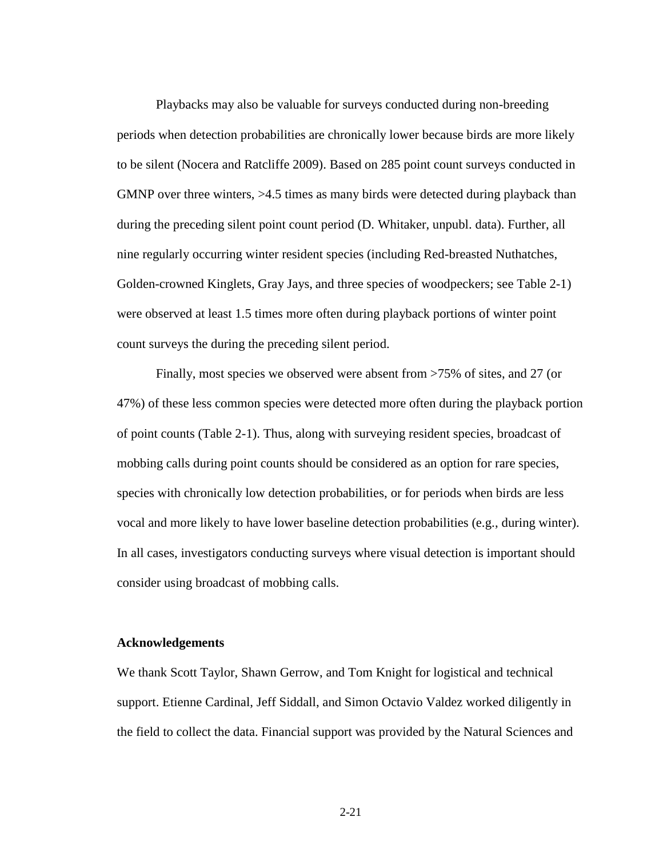Playbacks may also be valuable for surveys conducted during non-breeding periods when detection probabilities are chronically lower because birds are more likely to be silent (Nocera and Ratcliffe 2009). Based on 285 point count surveys conducted in GMNP over three winters,  $>4.5$  times as many birds were detected during playback than during the preceding silent point count period (D. Whitaker, unpubl. data). Further, all nine regularly occurring winter resident species (including Red-breasted Nuthatches, Golden-crowned Kinglets, Gray Jays, and three species of woodpeckers; see Table 2-1) were observed at least 1.5 times more often during playback portions of winter point count surveys the during the preceding silent period.

Finally, most species we observed were absent from >75% of sites, and 27 (or 47%) of these less common species were detected more often during the playback portion of point counts (Table 2-1). Thus, along with surveying resident species, broadcast of mobbing calls during point counts should be considered as an option for rare species, species with chronically low detection probabilities, or for periods when birds are less vocal and more likely to have lower baseline detection probabilities (e.g., during winter). In all cases, investigators conducting surveys where visual detection is important should consider using broadcast of mobbing calls.

## **Acknowledgements**

We thank Scott Taylor, Shawn Gerrow, and Tom Knight for logistical and technical support. Etienne Cardinal, Jeff Siddall, and Simon Octavio Valdez worked diligently in the field to collect the data. Financial support was provided by the Natural Sciences and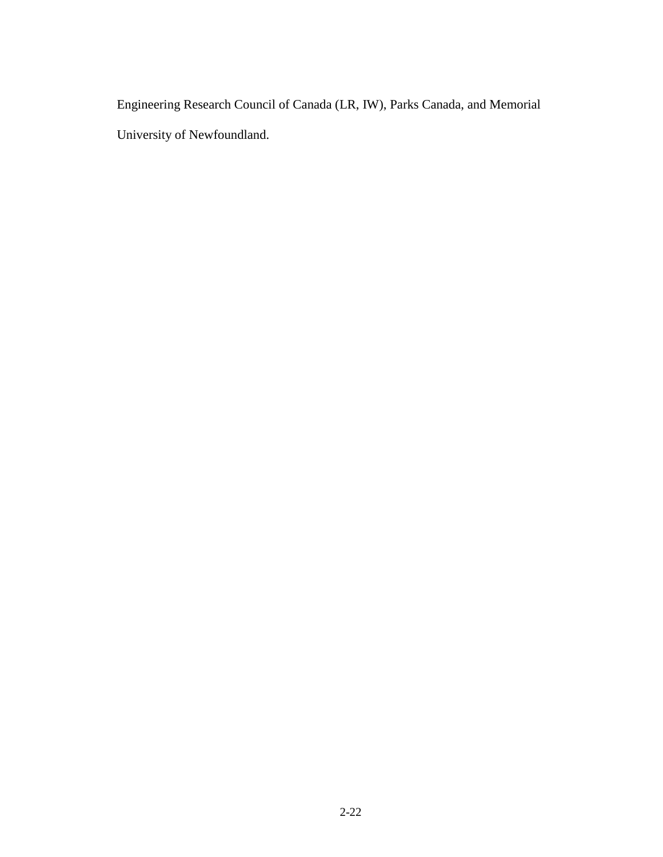Engineering Research Council of Canada (LR, IW), Parks Canada, and Memorial University of Newfoundland.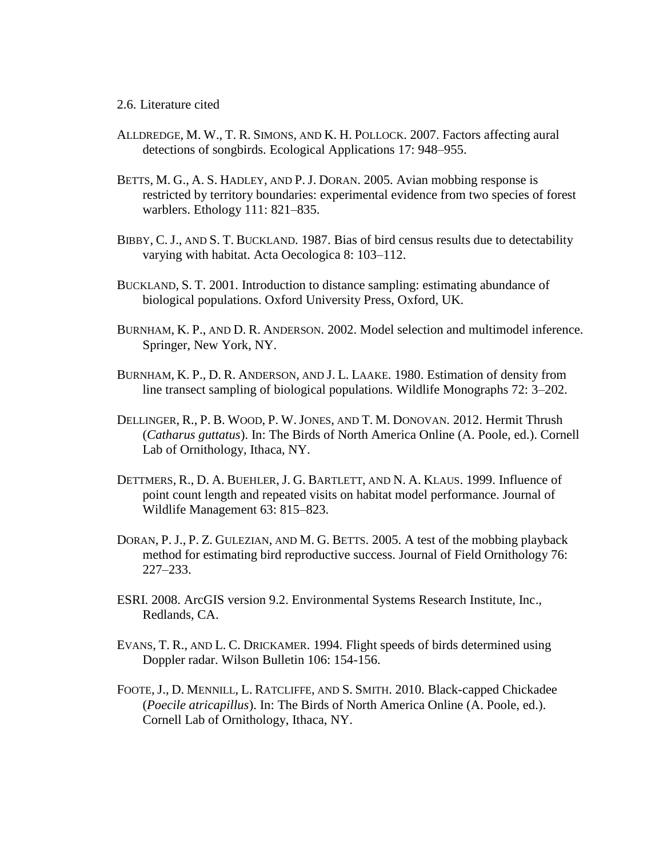# 2.6. Literature cited

- ALLDREDGE, M. W., T. R. SIMONS, AND K. H. POLLOCK. 2007. Factors affecting aural detections of songbirds. Ecological Applications 17: 948–955.
- BETTS, M. G., A. S. HADLEY, AND P. J. DORAN. 2005. Avian mobbing response is restricted by territory boundaries: experimental evidence from two species of forest warblers. Ethology 111: 821–835.
- BIBBY, C. J., AND S. T. BUCKLAND. 1987. Bias of bird census results due to detectability varying with habitat. Acta Oecologica 8: 103–112.
- BUCKLAND, S. T. 2001. Introduction to distance sampling: estimating abundance of biological populations. Oxford University Press, Oxford, UK.
- BURNHAM, K. P., AND D. R. ANDERSON. 2002. Model selection and multimodel inference. Springer, New York, NY.
- BURNHAM, K. P., D. R. ANDERSON, AND J. L. LAAKE. 1980. Estimation of density from line transect sampling of biological populations. Wildlife Monographs 72: 3–202.
- DELLINGER, R., P. B. WOOD, P. W.JONES, AND T. M. DONOVAN. 2012. Hermit Thrush (*Catharus guttatus*). In: The Birds of North America Online (A. Poole, ed.). Cornell Lab of Ornithology, Ithaca, NY.
- DETTMERS, R., D. A. BUEHLER, J. G. BARTLETT, AND N. A. KLAUS. 1999. Influence of point count length and repeated visits on habitat model performance. Journal of Wildlife Management 63: 815–823.
- DORAN, P. J., P. Z. GULEZIAN, AND M. G. BETTS. 2005. A test of the mobbing playback method for estimating bird reproductive success. Journal of Field Ornithology 76: 227–233.
- ESRI. 2008. ArcGIS version 9.2. Environmental Systems Research Institute, Inc., Redlands, CA.
- EVANS, T. R., AND L. C. DRICKAMER. 1994. Flight speeds of birds determined using Doppler radar. Wilson Bulletin 106: 154-156.
- FOOTE, J., D. MENNILL, L. RATCLIFFE, AND S. SMITH. 2010. Black-capped Chickadee (*Poecile atricapillus*). In: The Birds of North America Online (A. Poole, ed.). Cornell Lab of Ornithology, Ithaca, NY.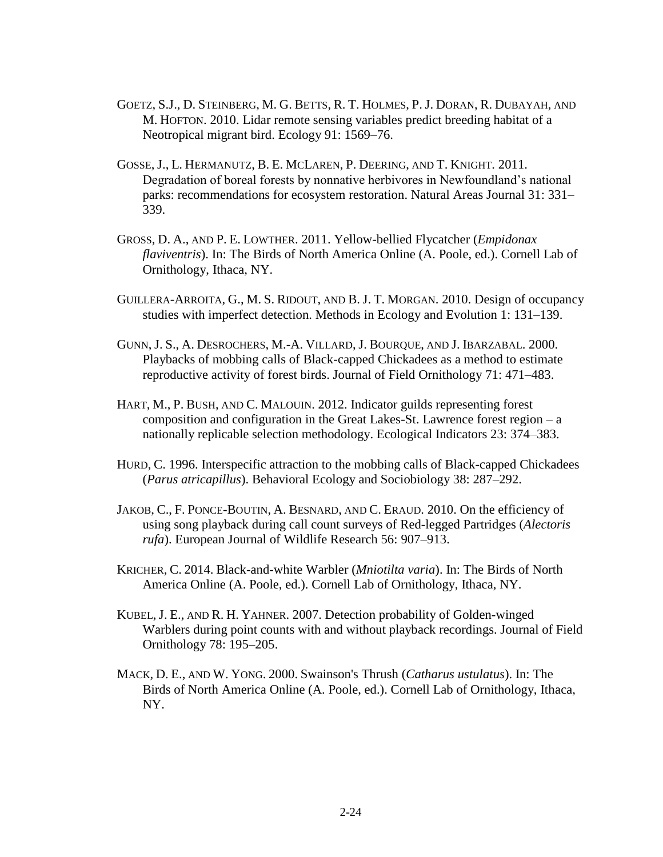- GOETZ, S.J., D. STEINBERG, M. G. BETTS, R. T. HOLMES, P. J. DORAN, R. DUBAYAH, AND M. HOFTON. 2010. Lidar remote sensing variables predict breeding habitat of a Neotropical migrant bird. Ecology 91: 1569–76.
- GOSSE, J., L. HERMANUTZ, B. E. MCLAREN, P. DEERING, AND T. KNIGHT. 2011. Degradation of boreal forests by nonnative herbivores in Newfoundland's national parks: recommendations for ecosystem restoration. Natural Areas Journal 31: 331– 339.
- GROSS, D. A., AND P. E. LOWTHER. 2011. Yellow-bellied Flycatcher (*Empidonax flaviventris*). In: The Birds of North America Online (A. Poole, ed.). Cornell Lab of Ornithology, Ithaca, NY.
- GUILLERA-ARROITA, G., M. S. RIDOUT, AND B. J. T. MORGAN. 2010. Design of occupancy studies with imperfect detection. Methods in Ecology and Evolution 1: 131–139.
- GUNN, J. S., A. DESROCHERS, M.-A. VILLARD, J. BOURQUE, AND J. IBARZABAL. 2000. Playbacks of mobbing calls of Black-capped Chickadees as a method to estimate reproductive activity of forest birds. Journal of Field Ornithology 71: 471–483.
- HART, M., P. BUSH, AND C. MALOUIN. 2012. Indicator guilds representing forest composition and configuration in the Great Lakes-St. Lawrence forest region – a nationally replicable selection methodology. Ecological Indicators 23: 374–383.
- HURD, C. 1996. Interspecific attraction to the mobbing calls of Black-capped Chickadees (*Parus atricapillus*). Behavioral Ecology and Sociobiology 38: 287–292.
- JAKOB, C., F. PONCE-BOUTIN, A. BESNARD, AND C. ERAUD. 2010. On the efficiency of using song playback during call count surveys of Red-legged Partridges (*Alectoris rufa*). European Journal of Wildlife Research 56: 907–913.
- KRICHER, C. 2014. Black-and-white Warbler (*Mniotilta varia*). In: The Birds of North America Online (A. Poole, ed.). Cornell Lab of Ornithology, Ithaca, NY.
- KUBEL, J. E., AND R. H. YAHNER. 2007. Detection probability of Golden-winged Warblers during point counts with and without playback recordings. Journal of Field Ornithology 78: 195–205.
- MACK, D. E., AND W. YONG. 2000. Swainson's Thrush (*Catharus ustulatus*). In: The Birds of North America Online (A. Poole, ed.). Cornell Lab of Ornithology, Ithaca, NY.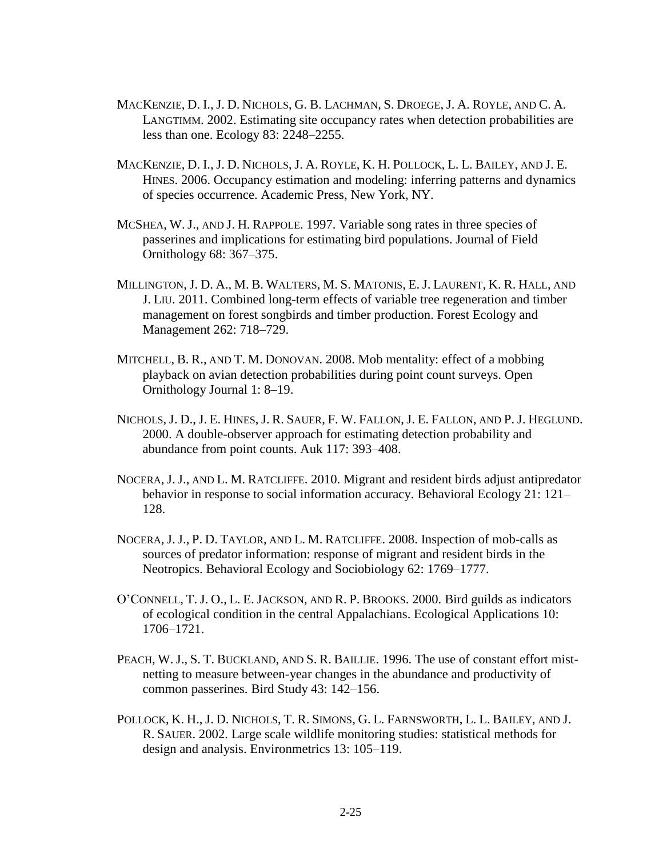- MACKENZIE, D. I., J. D. NICHOLS, G. B. LACHMAN, S. DROEGE, J. A. ROYLE, AND C. A. LANGTIMM. 2002. Estimating site occupancy rates when detection probabilities are less than one. Ecology 83: 2248–2255.
- MACKENZIE, D. I., J. D. NICHOLS, J. A. ROYLE, K. H. POLLOCK, L. L. BAILEY, AND J. E. HINES. 2006. Occupancy estimation and modeling: inferring patterns and dynamics of species occurrence. Academic Press, New York, NY.
- MCSHEA, W.J., AND J. H. RAPPOLE. 1997. Variable song rates in three species of passerines and implications for estimating bird populations. Journal of Field Ornithology 68: 367–375.
- MILLINGTON, J. D. A., M. B. WALTERS, M. S. MATONIS, E. J. LAURENT, K. R. HALL, AND J. LIU. 2011. Combined long-term effects of variable tree regeneration and timber management on forest songbirds and timber production. Forest Ecology and Management 262: 718–729.
- MITCHELL, B. R., AND T. M. DONOVAN. 2008. Mob mentality: effect of a mobbing playback on avian detection probabilities during point count surveys. Open Ornithology Journal 1: 8–19.
- NICHOLS, J. D., J. E. HINES, J. R. SAUER, F. W. FALLON, J. E. FALLON, AND P. J. HEGLUND. 2000. A double-observer approach for estimating detection probability and abundance from point counts. Auk 117: 393–408.
- NOCERA, J.J., AND L. M. RATCLIFFE. 2010. Migrant and resident birds adjust antipredator behavior in response to social information accuracy. Behavioral Ecology 21: 121– 128.
- NOCERA, J.J., P. D. TAYLOR, AND L. M. RATCLIFFE. 2008. Inspection of mob-calls as sources of predator information: response of migrant and resident birds in the Neotropics. Behavioral Ecology and Sociobiology 62: 1769–1777.
- O'CONNELL, T. J. O., L. E. JACKSON, AND R. P. BROOKS. 2000. Bird guilds as indicators of ecological condition in the central Appalachians. Ecological Applications 10: 1706–1721.
- PEACH, W.J., S. T. BUCKLAND, AND S. R. BAILLIE. 1996. The use of constant effort mistnetting to measure between-year changes in the abundance and productivity of common passerines. Bird Study 43: 142–156.
- POLLOCK, K. H., J. D. NICHOLS, T. R. SIMONS, G. L. FARNSWORTH, L. L. BAILEY, AND J. R. SAUER. 2002. Large scale wildlife monitoring studies: statistical methods for design and analysis. Environmetrics 13: 105–119.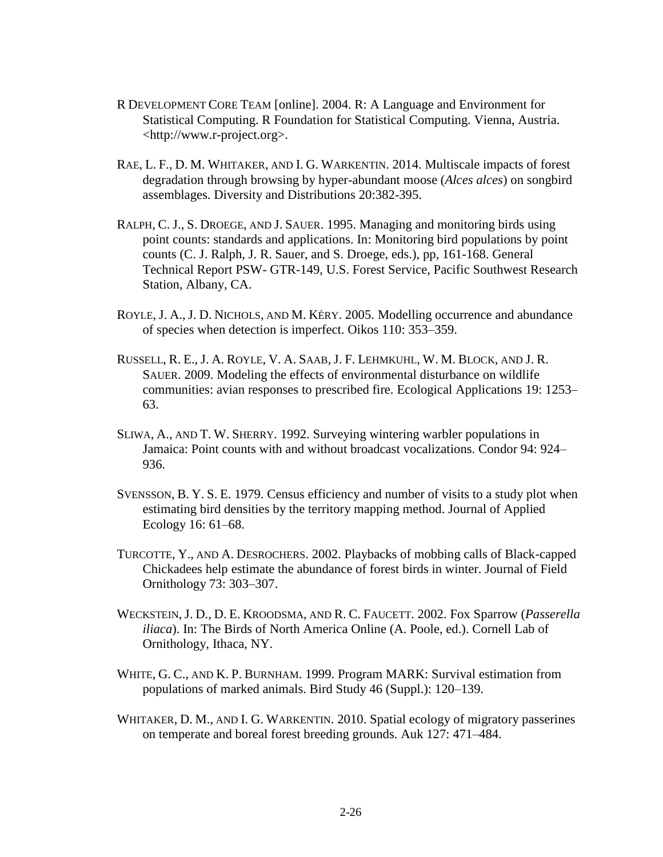- R DEVELOPMENT CORE TEAM [online]. 2004. R: A Language and Environment for Statistical Computing. R Foundation for Statistical Computing. Vienna, Austria. <http://www.r-project.org>.
- RAE, L. F., D. M. WHITAKER, AND I. G. WARKENTIN. 2014. Multiscale impacts of forest degradation through browsing by hyper-abundant moose (*Alces alces*) on songbird assemblages. Diversity and Distributions 20:382-395.
- RALPH, C. J., S. DROEGE, AND J. SAUER. 1995. Managing and monitoring birds using point counts: standards and applications. In: Monitoring bird populations by point counts (C. J. Ralph, J. R. Sauer, and S. Droege, eds.), pp, 161-168. General Technical Report PSW- GTR-149, U.S. Forest Service, Pacific Southwest Research Station, Albany, CA.
- ROYLE, J. A.,J. D. NICHOLS, AND M. KÉRY. 2005. Modelling occurrence and abundance of species when detection is imperfect. Oikos 110: 353–359.
- RUSSELL, R. E., J. A. ROYLE, V. A. SAAB, J. F. LEHMKUHL, W. M. BLOCK, AND J. R. SAUER. 2009. Modeling the effects of environmental disturbance on wildlife communities: avian responses to prescribed fire. Ecological Applications 19: 1253– 63.
- SLIWA, A., AND T. W. SHERRY. 1992. Surveying wintering warbler populations in Jamaica: Point counts with and without broadcast vocalizations. Condor 94: 924– 936.
- SVENSSON, B. Y. S. E. 1979. Census efficiency and number of visits to a study plot when estimating bird densities by the territory mapping method. Journal of Applied Ecology 16: 61–68.
- TURCOTTE, Y., AND A. DESROCHERS. 2002. Playbacks of mobbing calls of Black-capped Chickadees help estimate the abundance of forest birds in winter. Journal of Field Ornithology 73: 303–307.
- WECKSTEIN, J. D., D. E. KROODSMA, AND R. C. FAUCETT. 2002. Fox Sparrow (*Passerella iliaca*). In: The Birds of North America Online (A. Poole, ed.). Cornell Lab of Ornithology, Ithaca, NY.
- WHITE, G. C., AND K. P. BURNHAM. 1999. Program MARK: Survival estimation from populations of marked animals. Bird Study 46 (Suppl.): 120–139.
- WHITAKER, D. M., AND I. G. WARKENTIN. 2010. Spatial ecology of migratory passerines on temperate and boreal forest breeding grounds. Auk 127: 471–484.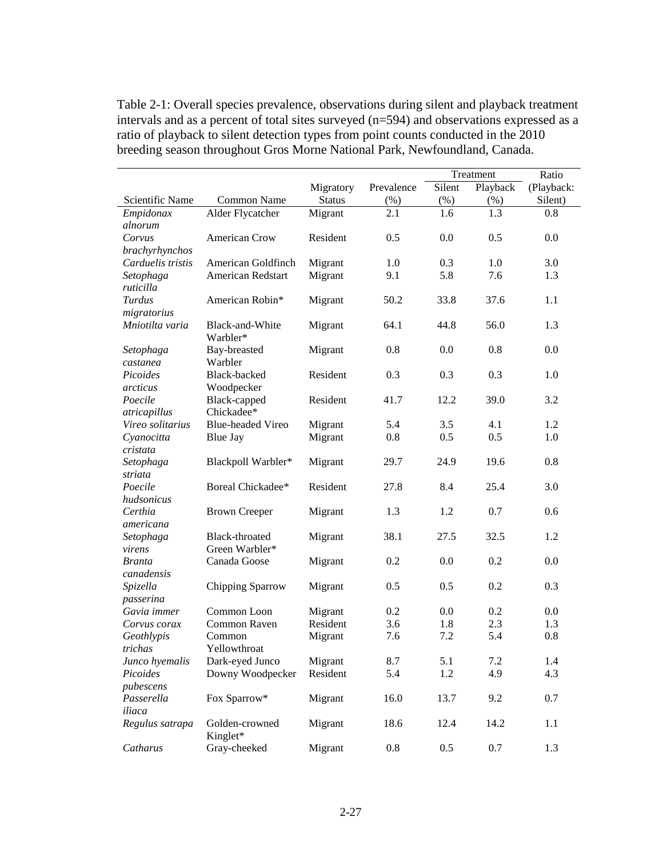Table 2-1: Overall species prevalence, observations during silent and playback treatment intervals and as a percent of total sites surveyed (n=594) and observations expressed as a ratio of playback to silent detection types from point counts conducted in the 2010 breeding season throughout Gros Morne National Park, Newfoundland, Canada.

|                      |                             |               |            | Treatment |          | Ratio      |  |
|----------------------|-----------------------------|---------------|------------|-----------|----------|------------|--|
|                      |                             | Migratory     | Prevalence | Silent    | Playback | (Playback: |  |
| Scientific Name      | Common Name                 | <b>Status</b> | (%)        | $(\%)$    | (% )     | Silent)    |  |
| Empidonax            | Alder Flycatcher            | Migrant       | 2.1        | 1.6       | 1.3      | 0.8        |  |
| alnorum              |                             |               |            |           |          |            |  |
| Corvus               | American Crow               | Resident      | 0.5        | 0.0       | 0.5      | 0.0        |  |
| brachyrhynchos       |                             |               |            |           |          |            |  |
| Carduelis tristis    | American Goldfinch          | Migrant       | 1.0        | 0.3       | 1.0      | 3.0        |  |
| Setophaga            | American Redstart           | Migrant       | 9.1        | 5.8       | 7.6      | 1.3        |  |
| ruticilla            |                             |               |            |           |          |            |  |
| Turdus               | American Robin*             | Migrant       | 50.2       | 33.8      | 37.6     | 1.1        |  |
| migratorius          |                             |               |            |           |          |            |  |
| Mniotilta varia      | Black-and-White<br>Warbler* | Migrant       | 64.1       | 44.8      | 56.0     | 1.3        |  |
| Setophaga            | Bay-breasted                | Migrant       | 0.8        | 0.0       | 0.8      | 0.0        |  |
| castanea             | Warbler                     |               |            |           |          |            |  |
| Picoides             | Black-backed                | Resident      | 0.3        | 0.3       | 0.3      | 1.0        |  |
| arcticus             | Woodpecker                  |               |            |           |          |            |  |
| Poecile              | Black-capped                | Resident      | 41.7       | 12.2      | 39.0     | 3.2        |  |
| atricapillus         | Chickadee*                  |               |            |           |          |            |  |
| Vireo solitarius     | <b>Blue-headed Vireo</b>    | Migrant       | 5.4        | 3.5       | 4.1      | 1.2        |  |
| Cyanocitta           | <b>Blue Jay</b>             | Migrant       | 0.8        | 0.5       | 0.5      | 1.0        |  |
| cristata             |                             |               |            |           |          |            |  |
| Setophaga            | Blackpoll Warbler*          | Migrant       | 29.7       | 24.9      | 19.6     | 0.8        |  |
| striata              |                             |               |            |           |          |            |  |
| Poecile              | Boreal Chickadee*           | Resident      | 27.8       | 8.4       | 25.4     | 3.0        |  |
| hudsonicus           |                             |               |            |           | 0.7      | 0.6        |  |
| Certhia<br>americana | <b>Brown Creeper</b>        | Migrant       | 1.3        | 1.2       |          |            |  |
| Setophaga            | Black-throated              | Migrant       | 38.1       | 27.5      | 32.5     | 1.2        |  |
| virens               | Green Warbler*              |               |            |           |          |            |  |
| <b>Branta</b>        | Canada Goose                | Migrant       | 0.2        | 0.0       | 0.2      | 0.0        |  |
| canadensis           |                             |               |            |           |          |            |  |
| Spizella             | Chipping Sparrow            | Migrant       | 0.5        | 0.5       | 0.2      | 0.3        |  |
| passerina            |                             |               |            |           |          |            |  |
| Gavia immer          | Common Loon                 | Migrant       | 0.2        | 0.0       | 0.2      | 0.0        |  |
| Corvus corax         | Common Raven                | Resident      | 3.6        | 1.8       | 2.3      | 1.3        |  |
| Geothlypis           | Common                      | Migrant       | 7.6        | 7.2       | 5.4      | 0.8        |  |
| trichas              | Yellowthroat                |               |            |           |          |            |  |
| Junco hyemalis       | Dark-eyed Junco             | Migrant       | 8.7        | 5.1       | 7.2      | 1.4        |  |
| Picoides             | Downy Woodpecker            | Resident      | 5.4        | 1.2       | 4.9      | 4.3        |  |
| pubescens            |                             |               |            |           |          |            |  |
| Passerella           | Fox Sparrow*                | Migrant       | 16.0       | 13.7      | 9.2      | 0.7        |  |
| iliaca               |                             |               |            |           |          |            |  |
| Regulus satrapa      | Golden-crowned<br>Kinglet*  | Migrant       | 18.6       | 12.4      | 14.2     | 1.1        |  |
| Catharus             | Gray-cheeked                | Migrant       | 0.8        | 0.5       | 0.7      | 1.3        |  |
|                      |                             |               |            |           |          |            |  |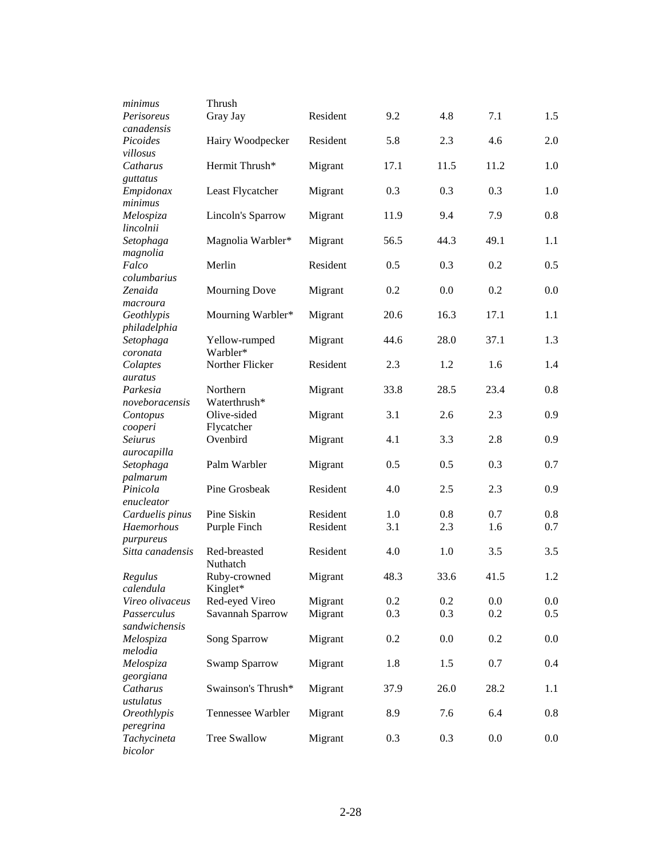| minimus             | Thrush                   |          |      |      |      |         |
|---------------------|--------------------------|----------|------|------|------|---------|
| Perisoreus          | Gray Jay                 | Resident | 9.2  | 4.8  | 7.1  | 1.5     |
| canadensis          |                          |          |      |      |      |         |
| Picoides            | Hairy Woodpecker         | Resident | 5.8  | 2.3  | 4.6  | 2.0     |
| villosus            |                          |          |      |      |      |         |
| Catharus            | Hermit Thrush*           | Migrant  | 17.1 | 11.5 | 11.2 | 1.0     |
| guttatus            |                          |          |      |      |      |         |
| Empidonax           | Least Flycatcher         | Migrant  | 0.3  | 0.3  | 0.3  | 1.0     |
| minimus             |                          |          |      |      |      |         |
| Melospiza           | Lincoln's Sparrow        | Migrant  | 11.9 | 9.4  | 7.9  | 0.8     |
| lincolnii           |                          |          |      |      |      |         |
| Setophaga           | Magnolia Warbler*        | Migrant  | 56.5 | 44.3 | 49.1 | 1.1     |
| magnolia            |                          |          |      |      |      |         |
| Falco               | Merlin                   | Resident | 0.5  | 0.3  | 0.2  | 0.5     |
| columbarius         |                          |          |      |      |      |         |
| Zenaida             | <b>Mourning Dove</b>     | Migrant  | 0.2  | 0.0  | 0.2  | 0.0     |
| macroura            |                          |          |      |      |      |         |
| Geothlypis          | Mourning Warbler*        | Migrant  | 20.6 | 16.3 | 17.1 | 1.1     |
| philadelphia        |                          |          |      |      |      |         |
| Setophaga           | Yellow-rumped            | Migrant  | 44.6 | 28.0 | 37.1 | 1.3     |
| coronata            | Warbler*                 |          |      |      |      |         |
| Colaptes            | Norther Flicker          | Resident | 2.3  | 1.2  | 1.6  | 1.4     |
| auratus<br>Parkesia |                          |          | 33.8 | 28.5 | 23.4 | 0.8     |
|                     | Northern<br>Waterthrush* | Migrant  |      |      |      |         |
| noveboracensis      | Olive-sided              |          | 3.1  | 2.6  |      | 0.9     |
| Contopus<br>cooperi | Flycatcher               | Migrant  |      |      | 2.3  |         |
| Seiurus             | Ovenbird                 | Migrant  | 4.1  | 3.3  | 2.8  | 0.9     |
| aurocapilla         |                          |          |      |      |      |         |
| Setophaga           | Palm Warbler             | Migrant  | 0.5  | 0.5  | 0.3  | 0.7     |
| palmarum            |                          |          |      |      |      |         |
| Pinicola            | Pine Grosbeak            | Resident | 4.0  | 2.5  | 2.3  | 0.9     |
| enucleator          |                          |          |      |      |      |         |
| Carduelis pinus     | Pine Siskin              | Resident | 1.0  | 0.8  | 0.7  | 0.8     |
| Haemorhous          | Purple Finch             | Resident | 3.1  | 2.3  | 1.6  | 0.7     |
| purpureus           |                          |          |      |      |      |         |
| Sitta canadensis    | Red-breasted             | Resident | 4.0  | 1.0  | 3.5  | 3.5     |
|                     | Nuthatch                 |          |      |      |      |         |
| Regulus             | Ruby-crowned             | Migrant  | 48.3 | 33.6 | 41.5 | 1.2     |
| calendula           | Kinglet*                 |          |      |      |      |         |
| Vireo olivaceus     | Red-eyed Vireo           | Migrant  | 0.2  | 0.2  | 0.0  | $0.0\,$ |
| Passerculus         | Savannah Sparrow         | Migrant  | 0.3  | 0.3  | 0.2  | 0.5     |
| sandwichensis       |                          |          |      |      |      |         |
| Melospiza           | Song Sparrow             | Migrant  | 0.2  | 0.0  | 0.2  | 0.0     |
| melodia             |                          |          |      |      |      |         |
| Melospiza           | Swamp Sparrow            | Migrant  | 1.8  | 1.5  | 0.7  | 0.4     |
| georgiana           |                          |          |      |      |      |         |
| Catharus            | Swainson's Thrush*       | Migrant  | 37.9 | 26.0 | 28.2 | 1.1     |
| ustulatus           |                          |          |      |      |      |         |
| Oreothlypis         | Tennessee Warbler        | Migrant  | 8.9  | 7.6  | 6.4  | 0.8     |
| peregrina           |                          |          |      |      |      |         |
| Tachycineta         | <b>Tree Swallow</b>      | Migrant  | 0.3  | 0.3  | 0.0  | 0.0     |
| bicolor             |                          |          |      |      |      |         |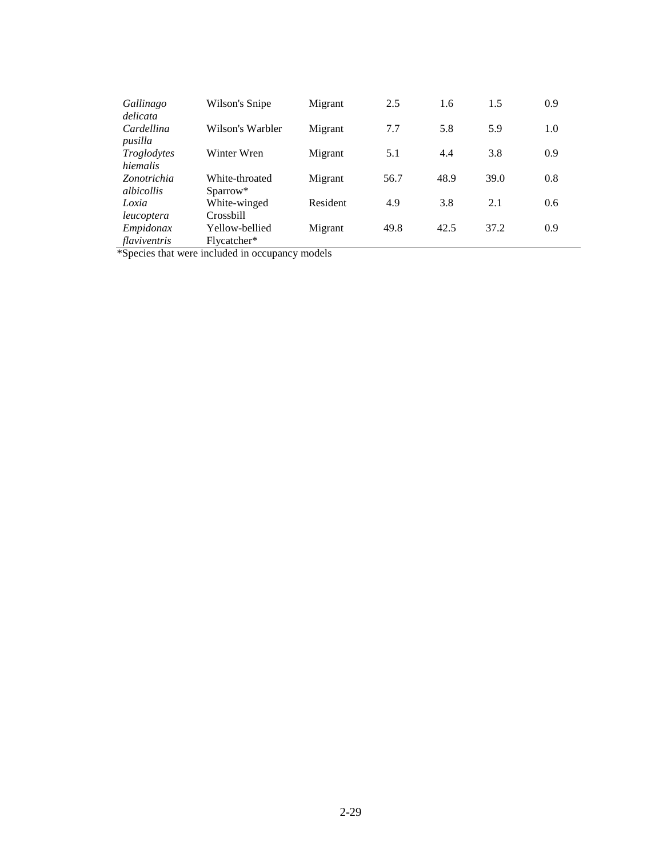| Gallinago<br>delicata            | Wilson's Snipe                         | Migrant  | 2.5  | 1.6  | 1.5  | 0.9 |
|----------------------------------|----------------------------------------|----------|------|------|------|-----|
| Cardellina<br>pusilla            | Wilson's Warbler                       | Migrant  | 7.7  | 5.8  | 5.9  | 1.0 |
| Troglodytes<br>hiemalis          | Winter Wren                            | Migrant  | 5.1  | 4.4  | 3.8  | 0.9 |
| Zonotrichia<br><i>albicollis</i> | White-throated<br>Sparrow <sup>*</sup> | Migrant  | 56.7 | 48.9 | 39.0 | 0.8 |
| Loxia<br>leucoptera              | White-winged<br>Crossbill              | Resident | 4.9  | 3.8  | 2.1  | 0.6 |
| Empidonax<br>flaviventris        | Yellow-bellied<br>Flycatcher*          | Migrant  | 49.8 | 42.5 | 37.2 | 0.9 |

\*Species that were included in occupancy models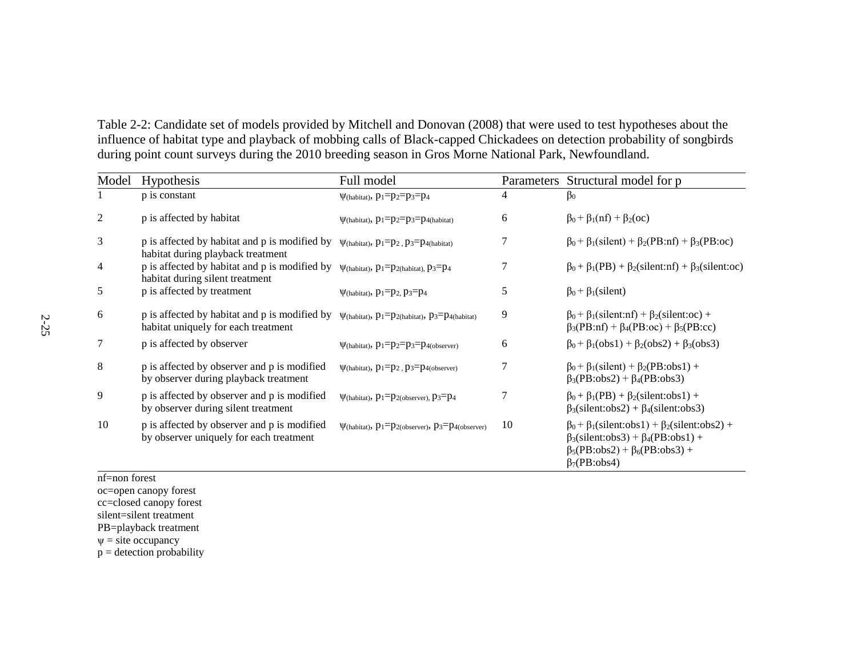Table 2-2: Candidate set of models provided by Mitchell and Donovan (2008) that were used to test hypotheses about the influence of habitat type and playback of mobbing calls of Black-capped Chickadees on detection probability of songbirds during point count surveys during the 2010 breeding season in Gros Morne National Park, Newfoundland.

| Model          | <b>Hypothesis</b>                                                                      | Full model                                                   |                | Parameters Structural model for p                                                                                                                                                             |
|----------------|----------------------------------------------------------------------------------------|--------------------------------------------------------------|----------------|-----------------------------------------------------------------------------------------------------------------------------------------------------------------------------------------------|
|                | p is constant                                                                          | $\Psi$ (habitat), $p_1=p_2=p_3=p_4$                          | 4              | $\beta_0$                                                                                                                                                                                     |
| $\overline{2}$ | p is affected by habitat                                                               | $\Psi$ (habitat), $p_1=p_2=p_3=p_4$ (habitat)                | 6              | $\beta_0 + \beta_1(nf) + \beta_2(\text{oc})$                                                                                                                                                  |
| 3              | p is affected by habitat and p is modified by<br>habitat during playback treatment     | $\Psi$ (habitat), $p_1=p_2$ , $p_3=p_4$ (habitat)            | 7              | $\beta_0 + \beta_1$ (silent) + $\beta_2$ (PB:nf) + $\beta_3$ (PB:oc)                                                                                                                          |
| 4              | p is affected by habitat and p is modified by<br>habitat during silent treatment       | $\Psi$ (habitat), $p_1=p_2$ (habitat), $p_3=p_4$             | $\overline{7}$ | $\beta_0 + \beta_1(PB) + \beta_2$ (silent:nf) + $\beta_3$ (silent:oc)                                                                                                                         |
| 5              | p is affected by treatment                                                             | $\Psi$ (habitat), $p_1=p_2$ , $p_3=p_4$                      | 5              | $\beta_0 + \beta_1$ (silent)                                                                                                                                                                  |
| 6              | p is affected by habitat and p is modified by<br>habitat uniquely for each treatment   | $\Psi$ (habitat), $p_1=p_2$ (habitat), $p_3=p_4$ (habitat)   | 9              | $\beta_0 + \beta_1$ (silent:nf) + $\beta_2$ (silent:oc) +<br>$\beta_3(PB:nf) + \beta_4(PB:oc) + \beta_5(PB:cc)$                                                                               |
| 7              | p is affected by observer                                                              | $\Psi$ (habitat), $p_1=p_2=p_3=p_{4(observer)}$              | 6              | $\beta_0 + \beta_1 (obs1) + \beta_2 (obs2) + \beta_3 (obs3)$                                                                                                                                  |
| 8              | p is affected by observer and p is modified<br>by observer during playback treatment   | $\Psi$ (habitat), $p_1=p_2$ , $p_3=p_4$ (observer)           | 7              | $\beta_0$ + $\beta_1$ (silent) + $\beta_2$ (PB:obs1) +<br>$\beta_3(PB:obs2) + \beta_4(PB:obs3)$                                                                                               |
| 9              | p is affected by observer and p is modified<br>by observer during silent treatment     | $\Psi$ (habitat), $p_1=p_2$ (observer), $p_3=p_4$            | 7              | $\beta_0 + \beta_1(PB) + \beta_2(\text{silent:obs1}) +$<br>$\beta_3$ (silent:obs2) + $\beta_4$ (silent:obs3)                                                                                  |
| 10             | p is affected by observer and p is modified<br>by observer uniquely for each treatment | $\Psi$ (habitat), $p_1=p_2$ (observer), $p_3=p_4$ (observer) | 10             | $\beta_0 + \beta_1$ (silent:obs1) + $\beta_2$ (silent:obs2) +<br>$\beta_3$ (silent:obs3) + $\beta_4$ (PB:obs1) +<br>$\beta_5(PB:obs2) + \beta_6(PB:obs3) +$<br>$\beta$ <sub>7</sub> (PB:obs4) |

nf=non forest

- oc=open canopy forest
- cc=closed canopy forest
- silent=silent treatment

PB=playback treatment

 $\psi$  = site occupancy

 $p =$  detection probability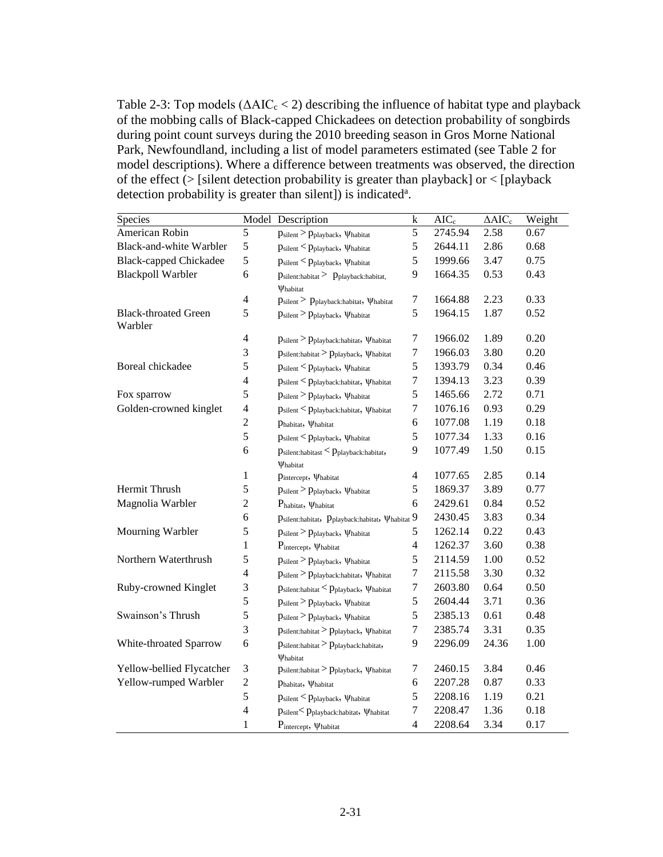Table 2-3: Top models ( $\triangle AIC_c < 2$ ) describing the influence of habitat type and playback of the mobbing calls of Black-capped Chickadees on detection probability of songbirds during point count surveys during the 2010 breeding season in Gros Morne National Park, Newfoundland, including a list of model parameters estimated (see Table 2 for model descriptions). Where a difference between treatments was observed, the direction of the effect  $\zeta$  [silent detection probability is greater than playback] or  $\zeta$  [playback] detection probability is greater than silent]) is indicated<sup>a</sup>.

| Species                                | Model                   | Description                                                                   | k                | $AIC_c$ | $\Delta AIC_c$ | Weight |
|----------------------------------------|-------------------------|-------------------------------------------------------------------------------|------------------|---------|----------------|--------|
| American Robin                         | 5                       | Psilent > Pplayback, Whabitat                                                 | 5                | 2745.94 | 2.58           | 0.67   |
| Black-and-white Warbler                | 5                       | $p_{\text{silent}}$ < $p_{\text{playback}}, \psi_{\text{habitat}}$            | 5                | 2644.11 | 2.86           | 0.68   |
| <b>Black-capped Chickadee</b>          | 5                       | $p_{\text{silent}}$ < $p_{\text{playback}}$ , $\psi$ habitat                  | 5                | 1999.66 | 3.47           | 0.75   |
| <b>Blackpoll Warbler</b>               | 6                       | $p_{\text{silent:habitat}}$ > $p_{\text{playback:habitat}}$ ,<br>Vhabitat     | 9                | 1664.35 | 0.53           | 0.43   |
|                                        | $\overline{\mathbf{4}}$ | $p_{\text{silent}}$ > $p_{\text{playback:habitat}}$ , $\psi$ habitat          | 7                | 1664.88 | 2.23           | 0.33   |
| <b>Black-throated Green</b><br>Warbler | 5                       | $p_{\text{silent}}$ > $p_{\text{playback}}, \, \psi_{\text{habitat}}$         | 5                | 1964.15 | 1.87           | 0.52   |
|                                        | 4                       | $p_{\text{silent}}$ > $p_{\text{playback:habitat}}$ , $\psi$ habitat          | 7                | 1966.02 | 1.89           | 0.20   |
|                                        | 3                       | $p_{\text{silent:habitat}}$ > $p_{\text{playback}}$ , $\psi_{\text{habitat}}$ | $\boldsymbol{7}$ | 1966.03 | 3.80           | 0.20   |
| Boreal chickadee                       | 5                       | $p_{\text{silent}}$ $\lt p_{\text{playback}}$ , $\psi_{\text{habitat}}$       | 5                | 1393.79 | 0.34           | 0.46   |
|                                        | $\overline{4}$          | $p_{\text{silent}}$ < $p_{\text{playback:habitat}}$ , $\psi_{\text{habitat}}$ | $\boldsymbol{7}$ | 1394.13 | 3.23           | 0.39   |
| Fox sparrow                            | 5                       | Psilent > Pplayback, Whabitat                                                 | 5                | 1465.66 | 2.72           | 0.71   |
| Golden-crowned kinglet                 | $\overline{4}$          | $p_{\text{silent}}$ < $p_{\text{playback:habitat}}$ , $\psi_{\text{habitat}}$ | 7                | 1076.16 | 0.93           | 0.29   |
|                                        | $\overline{c}$          | Phabitat, Vhabitat                                                            | 6                | 1077.08 | 1.19           | 0.18   |
|                                        | 5                       | $p_{\text{silent}}$ < $p_{\text{playback}}$ , $\psi_{\text{habitat}}$         | 5                | 1077.34 | 1.33           | 0.16   |
|                                        | 6                       | $p_{\text{silent:habitast}}$ < $p_{\text{playback:habitat}}$ ,<br>Vhabitat    | 9                | 1077.49 | 1.50           | 0.15   |
|                                        | 1                       | Pintercept, Vhabitat                                                          | $\overline{4}$   | 1077.65 | 2.85           | 0.14   |
| Hermit Thrush                          | 5                       | Psilent > Pplayback, Whabitat                                                 | 5                | 1869.37 | 3.89           | 0.77   |
| Magnolia Warbler                       | $\overline{c}$          | $P_{\text{habitat}}$ , $\psi_{\text{habitat}}$                                | 6                | 2429.61 | 0.84           | 0.52   |
|                                        | 6                       | $p$ silent:habitat, $p_{\text{playback:habitat}}, \psi_{\text{habitat}}$ 9    |                  | 2430.45 | 3.83           | 0.34   |
| Mourning Warbler                       | 5                       | Psilent > Pplayback, Whabitat                                                 | 5                | 1262.14 | 0.22           | 0.43   |
|                                        | 1                       | Pintercept, Whabitat                                                          | $\overline{4}$   | 1262.37 | 3.60           | 0.38   |
| Northern Waterthrush                   | 5                       | $p_{\text{silent}}$ > $p_{\text{playback}}$ , $\psi_{\text{habitat}}$         | 5                | 2114.59 | 1.00           | 0.52   |
|                                        | $\overline{4}$          | $p_{\text{silent}}$ > $p_{\text{playback:habitat}}$ , $\psi_{\text{habitat}}$ | $\tau$           | 2115.58 | 3.30           | 0.32   |
| Ruby-crowned Kinglet                   | $\mathfrak{Z}$          | $p_{\text{silent:habitat}}$ < $p_{\text{playback}}$ , $\psi$ habitat          | $\boldsymbol{7}$ | 2603.80 | 0.64           | 0.50   |
|                                        | 5                       | $p_{\text{silent}}$ > $p_{\text{playback}}$ , $\psi$ habitat                  | 5                | 2604.44 | 3.71           | 0.36   |
| Swainson's Thrush                      | 5                       | Psilent > Pplayback, Whabitat                                                 | 5                | 2385.13 | 0.61           | 0.48   |
|                                        | 3                       | $p_{\text{silent:habitat}}$ > $p_{\text{playback}}$ , $\psi_{\text{habitat}}$ | $\tau$           | 2385.74 | 3.31           | 0.35   |
| White-throated Sparrow                 | 6                       | $p_{\text{silent:habitat}}$ > $p_{\text{playback:habitat}}$ ,<br>Vhabitat     | 9                | 2296.09 | 24.36          | 1.00   |
| Yellow-bellied Flycatcher              | 3                       | $p_{\text{silent:habitat}}$ > $p_{\text{playback}}$ , $\psi_{\text{habitat}}$ | $\boldsymbol{7}$ | 2460.15 | 3.84           | 0.46   |
| Yellow-rumped Warbler                  | $\boldsymbol{2}$        | Phabitat, Vhabitat                                                            | 6                | 2207.28 | 0.87           | 0.33   |
|                                        | 5                       | $p_{\text{silent}}$ < $p_{\text{playback}}$ , $\psi_{\text{habitat}}$         | 5                | 2208.16 | 1.19           | 0.21   |
|                                        | $\overline{4}$          | Psilent< Pplayback:habitat, Whabitat                                          | $\tau$           | 2208.47 | 1.36           | 0.18   |
|                                        | $\mathbf{1}$            | $P_{intercept}, \psi_{habitat}$                                               | 4                | 2208.64 | 3.34           | 0.17   |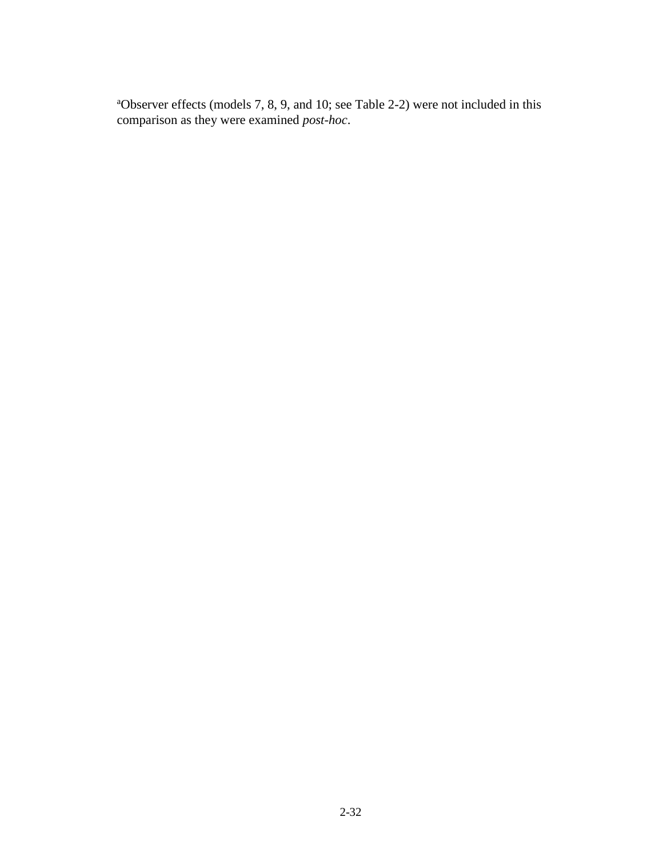<sup>a</sup>Observer effects (models 7, 8, 9, and 10; see Table 2-2) were not included in this comparison as they were examined *post-hoc*.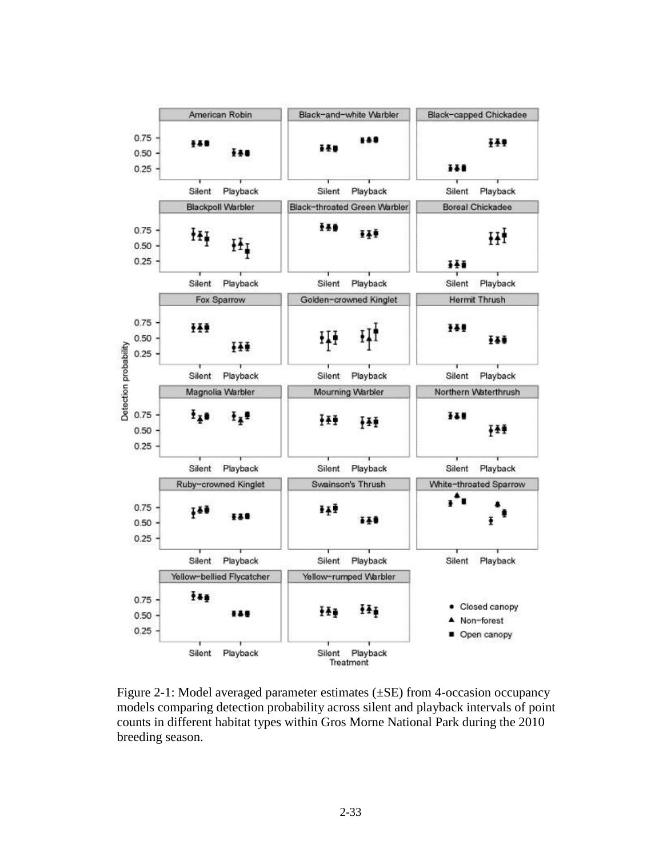

Figure 2-1: Model averaged parameter estimates (±SE) from 4-occasion occupancy models comparing detection probability across silent and playback intervals of point counts in different habitat types within Gros Morne National Park during the 2010 breeding season.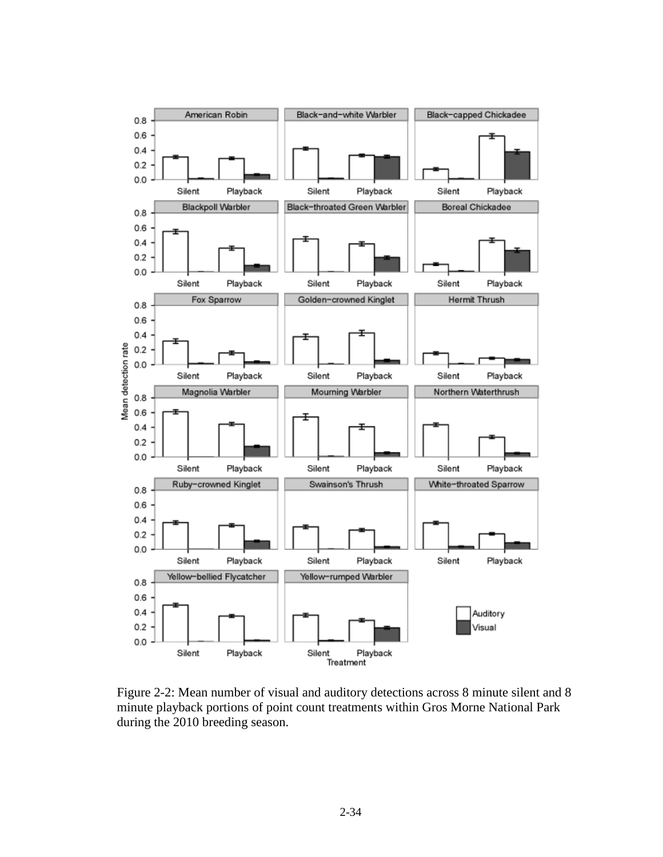

Figure 2-2: Mean number of visual and auditory detections across 8 minute silent and 8 minute playback portions of point count treatments within Gros Morne National Park during the 2010 breeding season.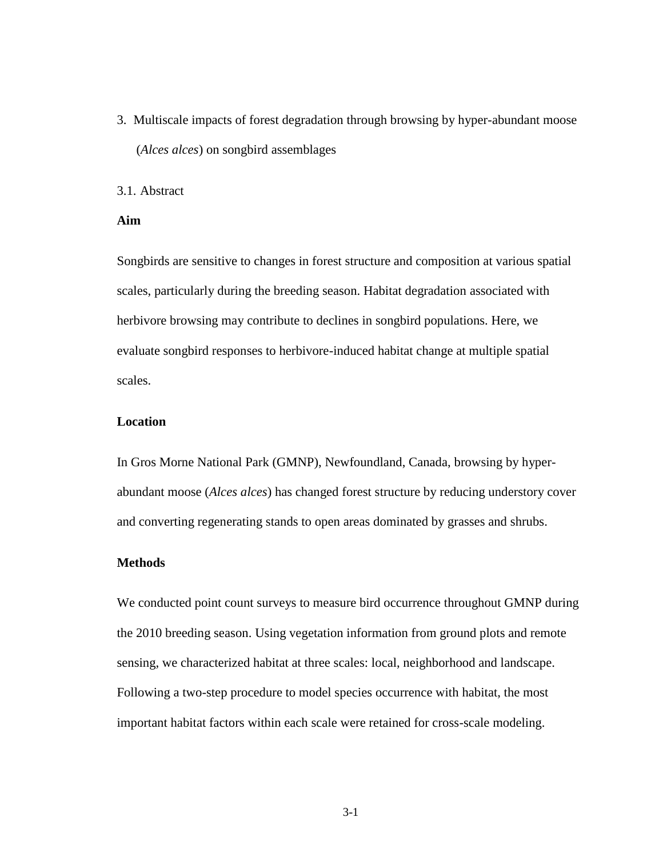3. Multiscale impacts of forest degradation through browsing by hyper-abundant moose (*Alces alces*) on songbird assemblages

# 3.1. Abstract

# **Aim**

Songbirds are sensitive to changes in forest structure and composition at various spatial scales, particularly during the breeding season. Habitat degradation associated with herbivore browsing may contribute to declines in songbird populations. Here, we evaluate songbird responses to herbivore-induced habitat change at multiple spatial scales.

# **Location**

In Gros Morne National Park (GMNP), Newfoundland, Canada, browsing by hyperabundant moose (*Alces alces*) has changed forest structure by reducing understory cover and converting regenerating stands to open areas dominated by grasses and shrubs.

## **Methods**

We conducted point count surveys to measure bird occurrence throughout GMNP during the 2010 breeding season. Using vegetation information from ground plots and remote sensing, we characterized habitat at three scales: local, neighborhood and landscape. Following a two-step procedure to model species occurrence with habitat, the most important habitat factors within each scale were retained for cross-scale modeling.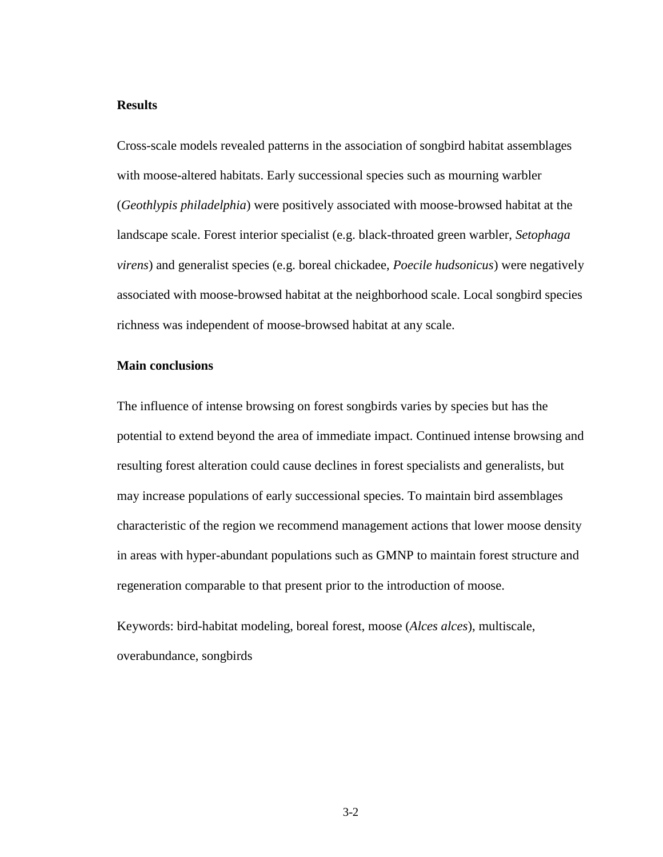# **Results**

Cross-scale models revealed patterns in the association of songbird habitat assemblages with moose-altered habitats. Early successional species such as mourning warbler (*Geothlypis philadelphia*) were positively associated with moose-browsed habitat at the landscape scale. Forest interior specialist (e.g. black-throated green warbler, *Setophaga virens*) and generalist species (e.g. boreal chickadee, *Poecile hudsonicus*) were negatively associated with moose-browsed habitat at the neighborhood scale. Local songbird species richness was independent of moose-browsed habitat at any scale.

# **Main conclusions**

The influence of intense browsing on forest songbirds varies by species but has the potential to extend beyond the area of immediate impact. Continued intense browsing and resulting forest alteration could cause declines in forest specialists and generalists, but may increase populations of early successional species. To maintain bird assemblages characteristic of the region we recommend management actions that lower moose density in areas with hyper-abundant populations such as GMNP to maintain forest structure and regeneration comparable to that present prior to the introduction of moose.

Keywords: bird-habitat modeling, boreal forest, moose (*Alces alces*), multiscale, overabundance, songbirds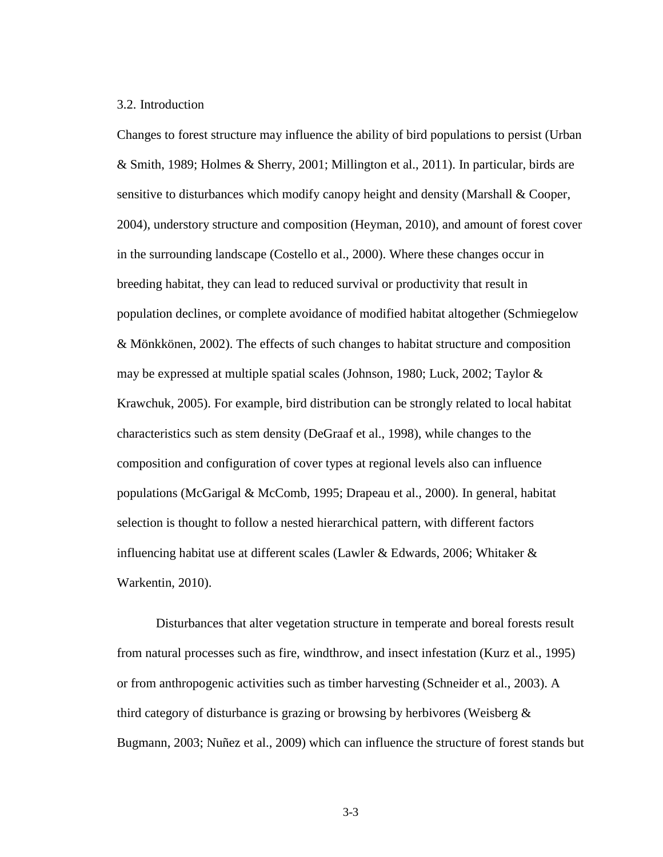# 3.2. Introduction

Changes to forest structure may influence the ability of bird populations to persist (Urban & Smith, 1989; Holmes & Sherry, 2001; Millington et al., 2011). In particular, birds are sensitive to disturbances which modify canopy height and density (Marshall & Cooper, 2004), understory structure and composition (Heyman, 2010), and amount of forest cover in the surrounding landscape (Costello et al., 2000). Where these changes occur in breeding habitat, they can lead to reduced survival or productivity that result in population declines, or complete avoidance of modified habitat altogether (Schmiegelow & Mönkkönen, 2002). The effects of such changes to habitat structure and composition may be expressed at multiple spatial scales (Johnson, 1980; Luck, 2002; Taylor & Krawchuk, 2005). For example, bird distribution can be strongly related to local habitat characteristics such as stem density (DeGraaf et al., 1998), while changes to the composition and configuration of cover types at regional levels also can influence populations (McGarigal & McComb, 1995; Drapeau et al., 2000). In general, habitat selection is thought to follow a nested hierarchical pattern, with different factors influencing habitat use at different scales (Lawler & Edwards, 2006; Whitaker & Warkentin, 2010).

Disturbances that alter vegetation structure in temperate and boreal forests result from natural processes such as fire, windthrow, and insect infestation (Kurz et al., 1995) or from anthropogenic activities such as timber harvesting (Schneider et al., 2003). A third category of disturbance is grazing or browsing by herbivores (Weisberg & Bugmann, 2003; Nuñez et al., 2009) which can influence the structure of forest stands but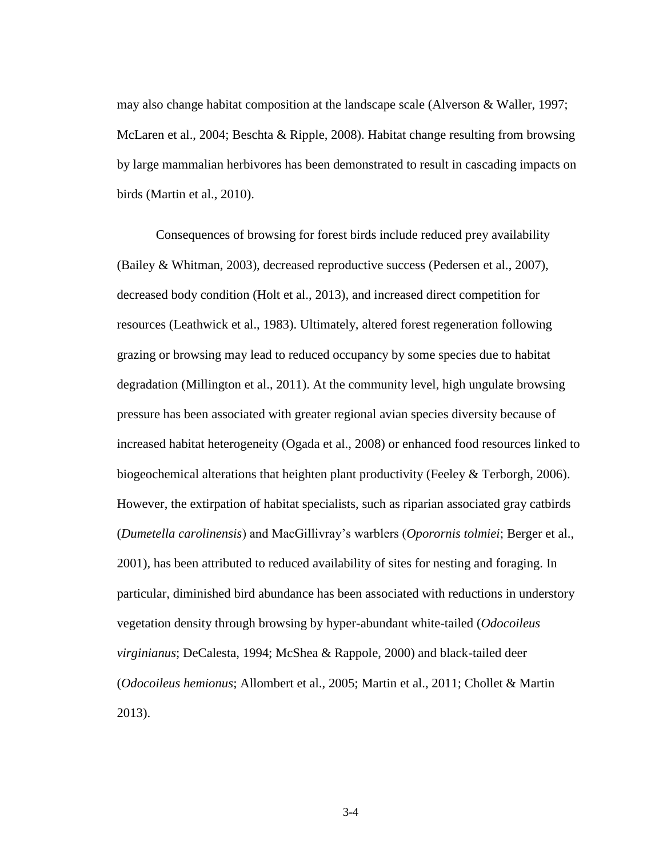may also change habitat composition at the landscape scale (Alverson & Waller, 1997; McLaren et al., 2004; Beschta & Ripple, 2008). Habitat change resulting from browsing by large mammalian herbivores has been demonstrated to result in cascading impacts on birds (Martin et al., 2010).

Consequences of browsing for forest birds include reduced prey availability (Bailey & Whitman, 2003), decreased reproductive success (Pedersen et al., 2007), decreased body condition (Holt et al., 2013), and increased direct competition for resources (Leathwick et al., 1983). Ultimately, altered forest regeneration following grazing or browsing may lead to reduced occupancy by some species due to habitat degradation (Millington et al., 2011). At the community level, high ungulate browsing pressure has been associated with greater regional avian species diversity because of increased habitat heterogeneity (Ogada et al., 2008) or enhanced food resources linked to biogeochemical alterations that heighten plant productivity (Feeley & Terborgh, 2006). However, the extirpation of habitat specialists, such as riparian associated gray catbirds (*Dumetella carolinensis*) and MacGillivray's warblers (*Oporornis tolmiei*; Berger et al., 2001), has been attributed to reduced availability of sites for nesting and foraging. In particular, diminished bird abundance has been associated with reductions in understory vegetation density through browsing by hyper-abundant white-tailed (*Odocoileus virginianus*; DeCalesta, 1994; McShea & Rappole, 2000) and black-tailed deer (*Odocoileus hemionus*; Allombert et al., 2005; Martin et al., 2011; Chollet & Martin 2013).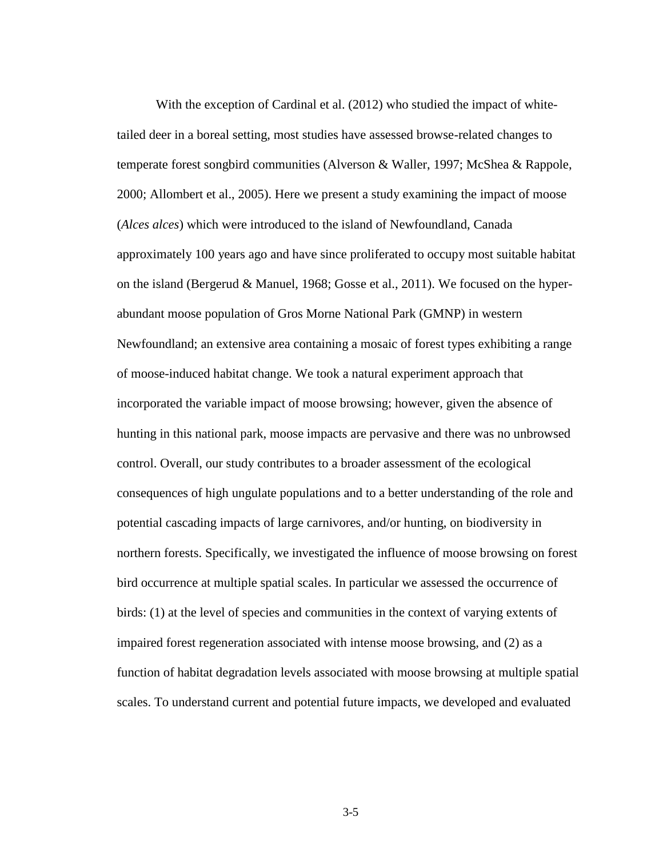With the exception of Cardinal et al. (2012) who studied the impact of whitetailed deer in a boreal setting, most studies have assessed browse-related changes to temperate forest songbird communities (Alverson & Waller, 1997; McShea & Rappole, 2000; Allombert et al., 2005). Here we present a study examining the impact of moose (*Alces alces*) which were introduced to the island of Newfoundland, Canada approximately 100 years ago and have since proliferated to occupy most suitable habitat on the island (Bergerud & Manuel, 1968; Gosse et al., 2011). We focused on the hyperabundant moose population of Gros Morne National Park (GMNP) in western Newfoundland; an extensive area containing a mosaic of forest types exhibiting a range of moose-induced habitat change. We took a natural experiment approach that incorporated the variable impact of moose browsing; however, given the absence of hunting in this national park, moose impacts are pervasive and there was no unbrowsed control. Overall, our study contributes to a broader assessment of the ecological consequences of high ungulate populations and to a better understanding of the role and potential cascading impacts of large carnivores, and/or hunting, on biodiversity in northern forests. Specifically, we investigated the influence of moose browsing on forest bird occurrence at multiple spatial scales. In particular we assessed the occurrence of birds: (1) at the level of species and communities in the context of varying extents of impaired forest regeneration associated with intense moose browsing, and (2) as a function of habitat degradation levels associated with moose browsing at multiple spatial scales. To understand current and potential future impacts, we developed and evaluated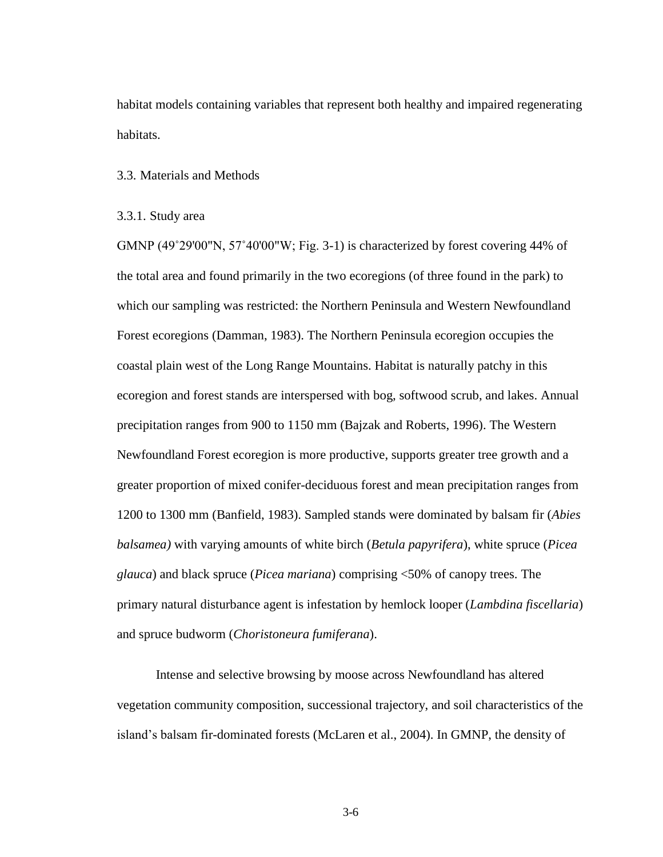habitat models containing variables that represent both healthy and impaired regenerating habitats.

3.3. Materials and Methods

3.3.1. Study area

GMNP (49˚29'00"N, 57˚40'00"W; Fig. 3-1) is characterized by forest covering 44% of the total area and found primarily in the two ecoregions (of three found in the park) to which our sampling was restricted: the Northern Peninsula and Western Newfoundland Forest ecoregions (Damman, 1983). The Northern Peninsula ecoregion occupies the coastal plain west of the Long Range Mountains. Habitat is naturally patchy in this ecoregion and forest stands are interspersed with bog, softwood scrub, and lakes. Annual precipitation ranges from 900 to 1150 mm (Bajzak and Roberts, 1996). The Western Newfoundland Forest ecoregion is more productive, supports greater tree growth and a greater proportion of mixed conifer-deciduous forest and mean precipitation ranges from 1200 to 1300 mm (Banfield, 1983). Sampled stands were dominated by balsam fir (*Abies balsamea)* with varying amounts of white birch (*Betula papyrifera*), white spruce (*Picea glauca*) and black spruce (*Picea mariana*) comprising <50% of canopy trees. The primary natural disturbance agent is infestation by hemlock looper (*Lambdina fiscellaria*) and spruce budworm (*Choristoneura fumiferana*).

Intense and selective browsing by moose across Newfoundland has altered vegetation community composition, successional trajectory, and soil characteristics of the island's balsam fir-dominated forests (McLaren et al., 2004). In GMNP, the density of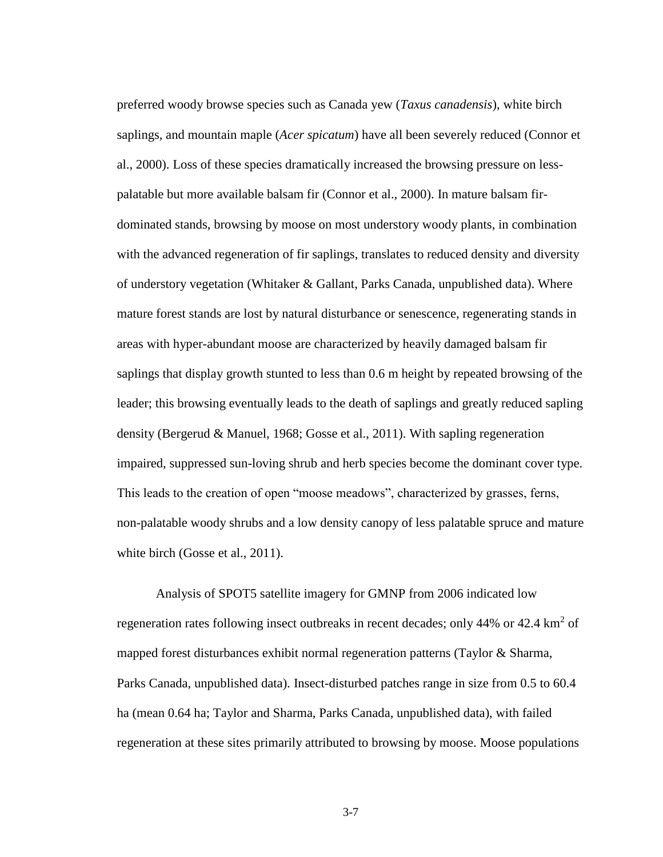preferred woody browse species such as Canada yew (*Taxus canadensis*), white birch saplings, and mountain maple (*Acer spicatum*) have all been severely reduced (Connor et al., 2000). Loss of these species dramatically increased the browsing pressure on lesspalatable but more available balsam fir (Connor et al., 2000). In mature balsam firdominated stands, browsing by moose on most understory woody plants, in combination with the advanced regeneration of fir saplings, translates to reduced density and diversity of understory vegetation (Whitaker & Gallant, Parks Canada, unpublished data). Where mature forest stands are lost by natural disturbance or senescence, regenerating stands in areas with hyper-abundant moose are characterized by heavily damaged balsam fir saplings that display growth stunted to less than 0.6 m height by repeated browsing of the leader; this browsing eventually leads to the death of saplings and greatly reduced sapling density (Bergerud & Manuel, 1968; Gosse et al., 2011). With sapling regeneration impaired, suppressed sun-loving shrub and herb species become the dominant cover type. This leads to the creation of open "moose meadows", characterized by grasses, ferns, non-palatable woody shrubs and a low density canopy of less palatable spruce and mature white birch (Gosse et al., 2011).

Analysis of SPOT5 satellite imagery for GMNP from 2006 indicated low regeneration rates following insect outbreaks in recent decades; only 44% or 42.4  $\text{km}^2$  of mapped forest disturbances exhibit normal regeneration patterns (Taylor & Sharma, Parks Canada, unpublished data). Insect-disturbed patches range in size from 0.5 to 60.4 ha (mean 0.64 ha; Taylor and Sharma, Parks Canada, unpublished data), with failed regeneration at these sites primarily attributed to browsing by moose. Moose populations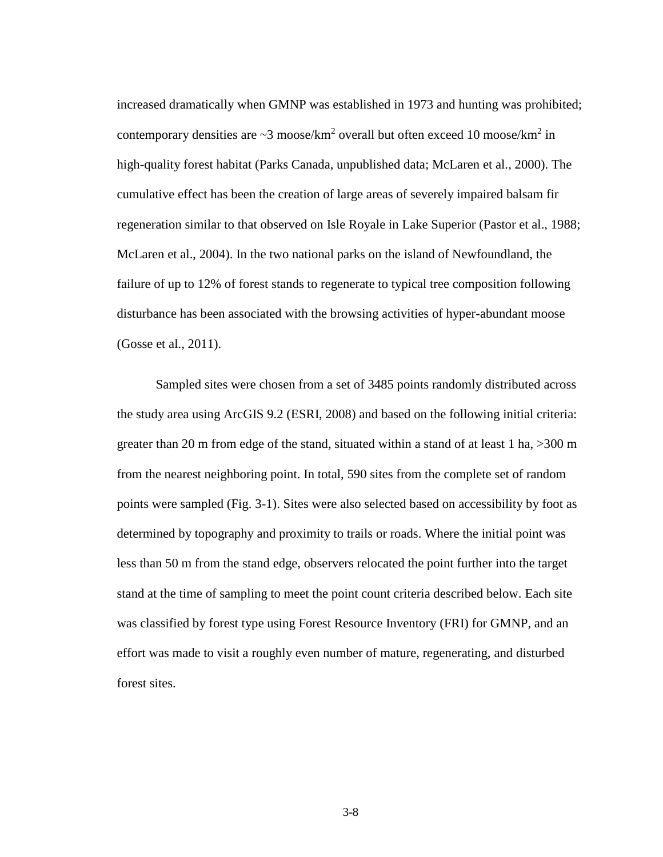increased dramatically when GMNP was established in 1973 and hunting was prohibited; contemporary densities are  $\sim$ 3 moose/km<sup>2</sup> overall but often exceed 10 moose/km<sup>2</sup> in high-quality forest habitat (Parks Canada, unpublished data; McLaren et al., 2000). The cumulative effect has been the creation of large areas of severely impaired balsam fir regeneration similar to that observed on Isle Royale in Lake Superior (Pastor et al., 1988; McLaren et al., 2004). In the two national parks on the island of Newfoundland, the failure of up to 12% of forest stands to regenerate to typical tree composition following disturbance has been associated with the browsing activities of hyper-abundant moose (Gosse et al., 2011).

Sampled sites were chosen from a set of 3485 points randomly distributed across the study area using ArcGIS 9.2 (ESRI, 2008) and based on the following initial criteria: greater than 20 m from edge of the stand, situated within a stand of at least 1 ha, >300 m from the nearest neighboring point. In total, 590 sites from the complete set of random points were sampled (Fig. 3-1). Sites were also selected based on accessibility by foot as determined by topography and proximity to trails or roads. Where the initial point was less than 50 m from the stand edge, observers relocated the point further into the target stand at the time of sampling to meet the point count criteria described below. Each site was classified by forest type using Forest Resource Inventory (FRI) for GMNP, and an effort was made to visit a roughly even number of mature, regenerating, and disturbed forest sites.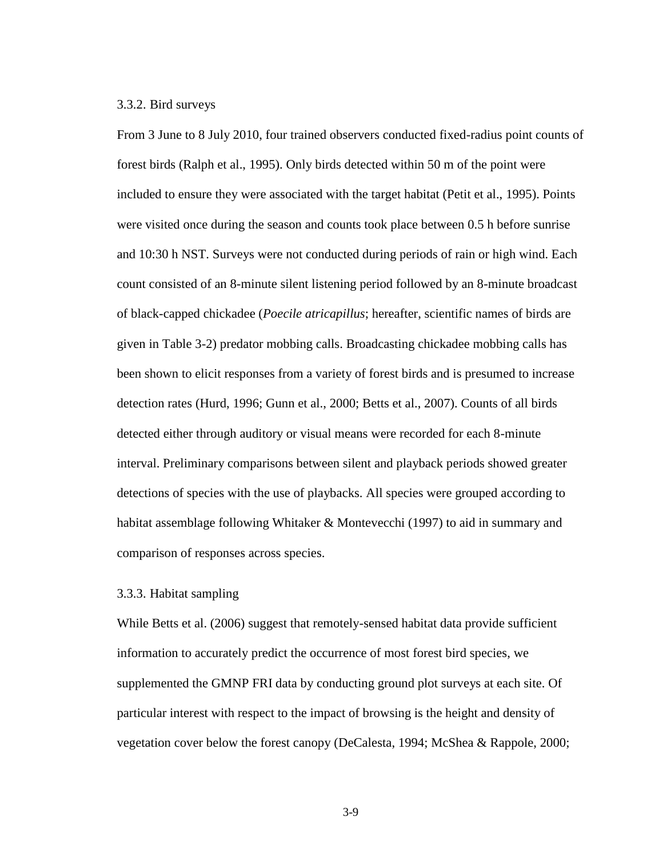#### 3.3.2. Bird surveys

From 3 June to 8 July 2010, four trained observers conducted fixed-radius point counts of forest birds (Ralph et al., 1995). Only birds detected within 50 m of the point were included to ensure they were associated with the target habitat (Petit et al., 1995). Points were visited once during the season and counts took place between 0.5 h before sunrise and 10:30 h NST. Surveys were not conducted during periods of rain or high wind. Each count consisted of an 8-minute silent listening period followed by an 8-minute broadcast of black-capped chickadee (*Poecile atricapillus*; hereafter, scientific names of birds are given in Table 3-2) predator mobbing calls. Broadcasting chickadee mobbing calls has been shown to elicit responses from a variety of forest birds and is presumed to increase detection rates (Hurd, 1996; Gunn et al., 2000; Betts et al., 2007). Counts of all birds detected either through auditory or visual means were recorded for each 8-minute interval. Preliminary comparisons between silent and playback periods showed greater detections of species with the use of playbacks. All species were grouped according to habitat assemblage following Whitaker & Montevecchi (1997) to aid in summary and comparison of responses across species.

# 3.3.3. Habitat sampling

While Betts et al. (2006) suggest that remotely-sensed habitat data provide sufficient information to accurately predict the occurrence of most forest bird species, we supplemented the GMNP FRI data by conducting ground plot surveys at each site. Of particular interest with respect to the impact of browsing is the height and density of vegetation cover below the forest canopy (DeCalesta, 1994; McShea & Rappole, 2000;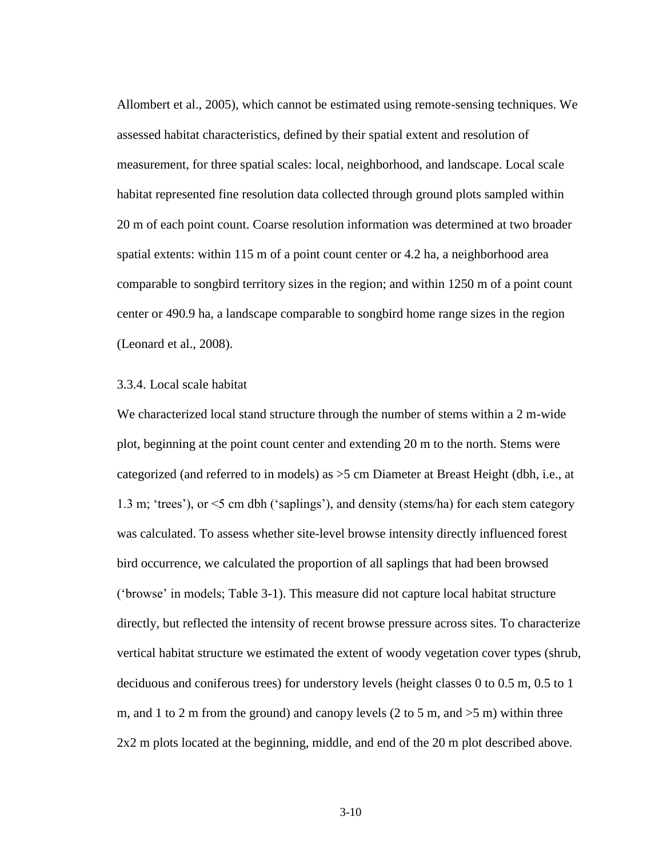Allombert et al., 2005), which cannot be estimated using remote-sensing techniques. We assessed habitat characteristics, defined by their spatial extent and resolution of measurement, for three spatial scales: local, neighborhood, and landscape. Local scale habitat represented fine resolution data collected through ground plots sampled within 20 m of each point count. Coarse resolution information was determined at two broader spatial extents: within 115 m of a point count center or 4.2 ha, a neighborhood area comparable to songbird territory sizes in the region; and within 1250 m of a point count center or 490.9 ha, a landscape comparable to songbird home range sizes in the region (Leonard et al., 2008).

#### 3.3.4. Local scale habitat

We characterized local stand structure through the number of stems within a 2 m-wide plot, beginning at the point count center and extending 20 m to the north. Stems were categorized (and referred to in models) as >5 cm Diameter at Breast Height (dbh, i.e., at 1.3 m; 'trees'), or <5 cm dbh ('saplings'), and density (stems/ha) for each stem category was calculated. To assess whether site-level browse intensity directly influenced forest bird occurrence, we calculated the proportion of all saplings that had been browsed ('browse' in models; Table 3-1). This measure did not capture local habitat structure directly, but reflected the intensity of recent browse pressure across sites. To characterize vertical habitat structure we estimated the extent of woody vegetation cover types (shrub, deciduous and coniferous trees) for understory levels (height classes 0 to 0.5 m, 0.5 to 1 m, and 1 to 2 m from the ground) and canopy levels  $(2 \text{ to } 5 \text{ m}, \text{ and } >5 \text{ m})$  within three 2x2 m plots located at the beginning, middle, and end of the 20 m plot described above.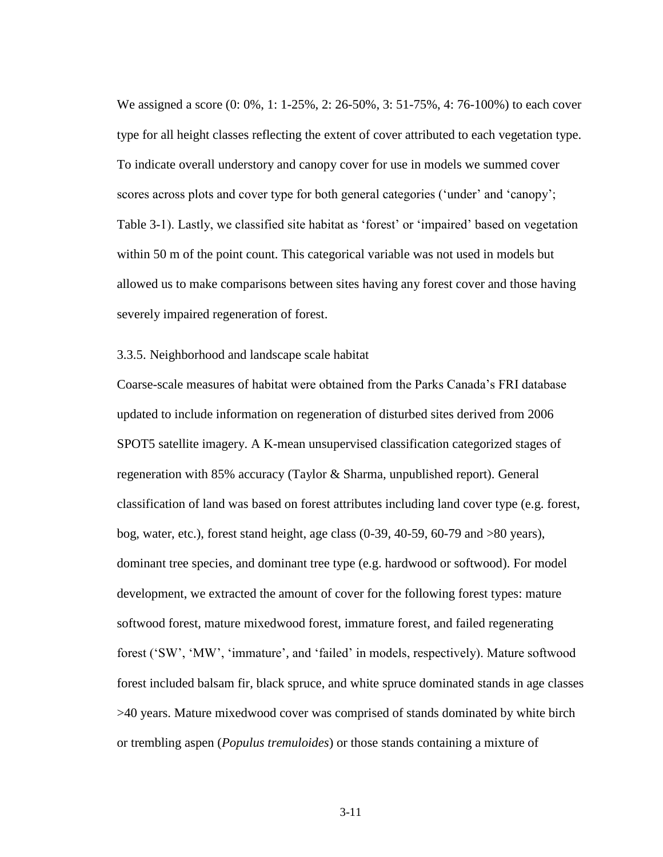We assigned a score (0: 0%, 1: 1-25%, 2: 26-50%, 3: 51-75%, 4: 76-100%) to each cover type for all height classes reflecting the extent of cover attributed to each vegetation type. To indicate overall understory and canopy cover for use in models we summed cover scores across plots and cover type for both general categories ('under' and 'canopy'; Table 3-1). Lastly, we classified site habitat as 'forest' or 'impaired' based on vegetation within 50 m of the point count. This categorical variable was not used in models but allowed us to make comparisons between sites having any forest cover and those having severely impaired regeneration of forest.

### 3.3.5. Neighborhood and landscape scale habitat

Coarse-scale measures of habitat were obtained from the Parks Canada's FRI database updated to include information on regeneration of disturbed sites derived from 2006 SPOT5 satellite imagery. A K-mean unsupervised classification categorized stages of regeneration with 85% accuracy (Taylor & Sharma, unpublished report). General classification of land was based on forest attributes including land cover type (e.g. forest, bog, water, etc.), forest stand height, age class (0-39, 40-59, 60-79 and >80 years), dominant tree species, and dominant tree type (e.g. hardwood or softwood). For model development, we extracted the amount of cover for the following forest types: mature softwood forest, mature mixedwood forest, immature forest, and failed regenerating forest ('SW', 'MW', 'immature', and 'failed' in models, respectively). Mature softwood forest included balsam fir, black spruce, and white spruce dominated stands in age classes >40 years. Mature mixedwood cover was comprised of stands dominated by white birch or trembling aspen (*Populus tremuloides*) or those stands containing a mixture of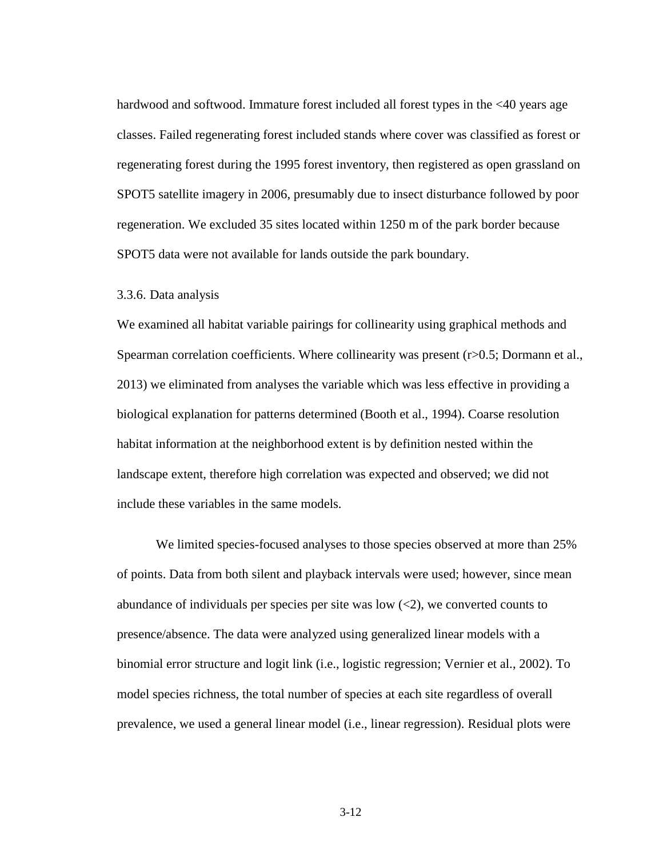hardwood and softwood. Immature forest included all forest types in the  $\leq 40$  years age classes. Failed regenerating forest included stands where cover was classified as forest or regenerating forest during the 1995 forest inventory, then registered as open grassland on SPOT5 satellite imagery in 2006, presumably due to insect disturbance followed by poor regeneration. We excluded 35 sites located within 1250 m of the park border because SPOT5 data were not available for lands outside the park boundary.

#### 3.3.6. Data analysis

We examined all habitat variable pairings for collinearity using graphical methods and Spearman correlation coefficients. Where collinearity was present (r>0.5; Dormann et al., 2013) we eliminated from analyses the variable which was less effective in providing a biological explanation for patterns determined (Booth et al., 1994). Coarse resolution habitat information at the neighborhood extent is by definition nested within the landscape extent, therefore high correlation was expected and observed; we did not include these variables in the same models.

We limited species-focused analyses to those species observed at more than 25% of points. Data from both silent and playback intervals were used; however, since mean abundance of individuals per species per site was low  $(\leq 2)$ , we converted counts to presence/absence. The data were analyzed using generalized linear models with a binomial error structure and logit link (i.e., logistic regression; Vernier et al., 2002). To model species richness, the total number of species at each site regardless of overall prevalence, we used a general linear model (i.e., linear regression). Residual plots were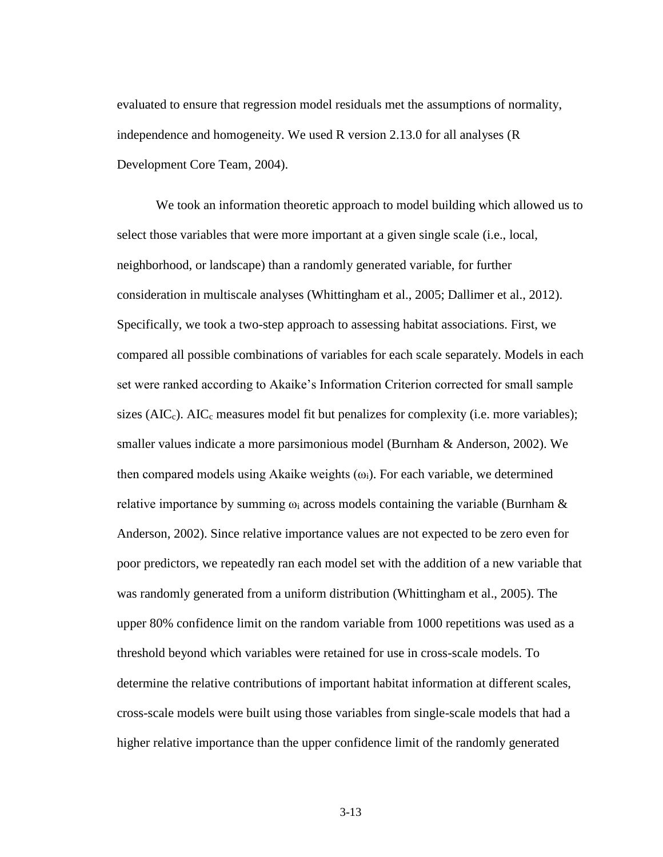evaluated to ensure that regression model residuals met the assumptions of normality, independence and homogeneity. We used R version 2.13.0 for all analyses (R Development Core Team, 2004).

We took an information theoretic approach to model building which allowed us to select those variables that were more important at a given single scale (i.e., local, neighborhood, or landscape) than a randomly generated variable, for further consideration in multiscale analyses (Whittingham et al., 2005; Dallimer et al., 2012). Specifically, we took a two-step approach to assessing habitat associations. First, we compared all possible combinations of variables for each scale separately. Models in each set were ranked according to Akaike's Information Criterion corrected for small sample sizes ( $AIC<sub>c</sub>$ ). AIC<sub>c</sub> measures model fit but penalizes for complexity (i.e. more variables); smaller values indicate a more parsimonious model (Burnham & Anderson, 2002). We then compared models using Akaike weights  $(\omega_i)$ . For each variable, we determined relative importance by summing  $\omega_i$  across models containing the variable (Burnham & Anderson, 2002). Since relative importance values are not expected to be zero even for poor predictors, we repeatedly ran each model set with the addition of a new variable that was randomly generated from a uniform distribution (Whittingham et al., 2005). The upper 80% confidence limit on the random variable from 1000 repetitions was used as a threshold beyond which variables were retained for use in cross-scale models. To determine the relative contributions of important habitat information at different scales, cross-scale models were built using those variables from single-scale models that had a higher relative importance than the upper confidence limit of the randomly generated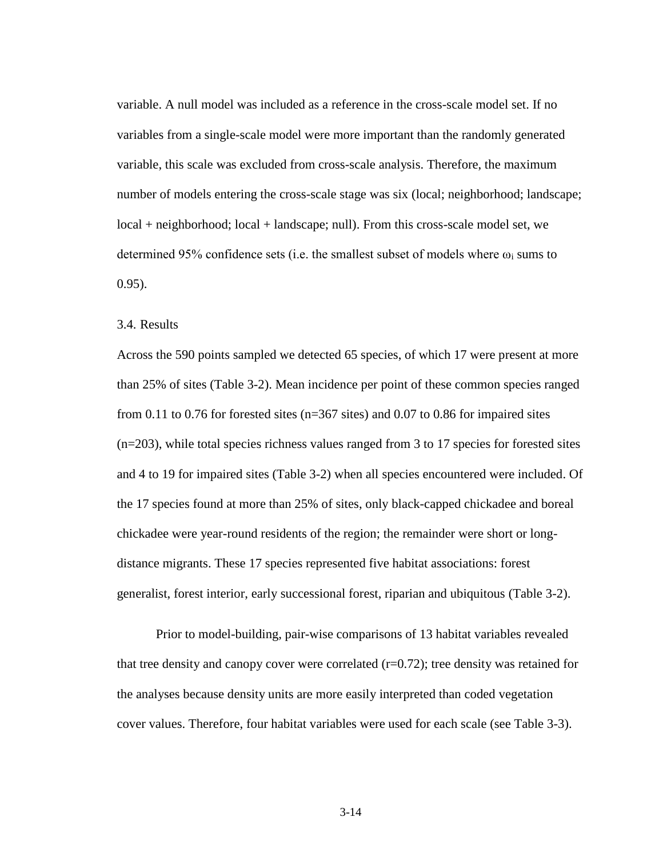variable. A null model was included as a reference in the cross-scale model set. If no variables from a single-scale model were more important than the randomly generated variable, this scale was excluded from cross-scale analysis. Therefore, the maximum number of models entering the cross-scale stage was six (local; neighborhood; landscape; local + neighborhood; local + landscape; null). From this cross-scale model set, we determined 95% confidence sets (i.e. the smallest subset of models where  $\omega_i$  sums to 0.95).

# 3.4. Results

Across the 590 points sampled we detected 65 species, of which 17 were present at more than 25% of sites (Table 3-2). Mean incidence per point of these common species ranged from 0.11 to 0.76 for forested sites ( $n=367$  sites) and 0.07 to 0.86 for impaired sites (n=203), while total species richness values ranged from 3 to 17 species for forested sites and 4 to 19 for impaired sites (Table 3-2) when all species encountered were included. Of the 17 species found at more than 25% of sites, only black-capped chickadee and boreal chickadee were year-round residents of the region; the remainder were short or longdistance migrants. These 17 species represented five habitat associations: forest generalist, forest interior, early successional forest, riparian and ubiquitous (Table 3-2).

Prior to model-building, pair-wise comparisons of 13 habitat variables revealed that tree density and canopy cover were correlated  $(r=0.72)$ ; tree density was retained for the analyses because density units are more easily interpreted than coded vegetation cover values. Therefore, four habitat variables were used for each scale (see Table 3-3).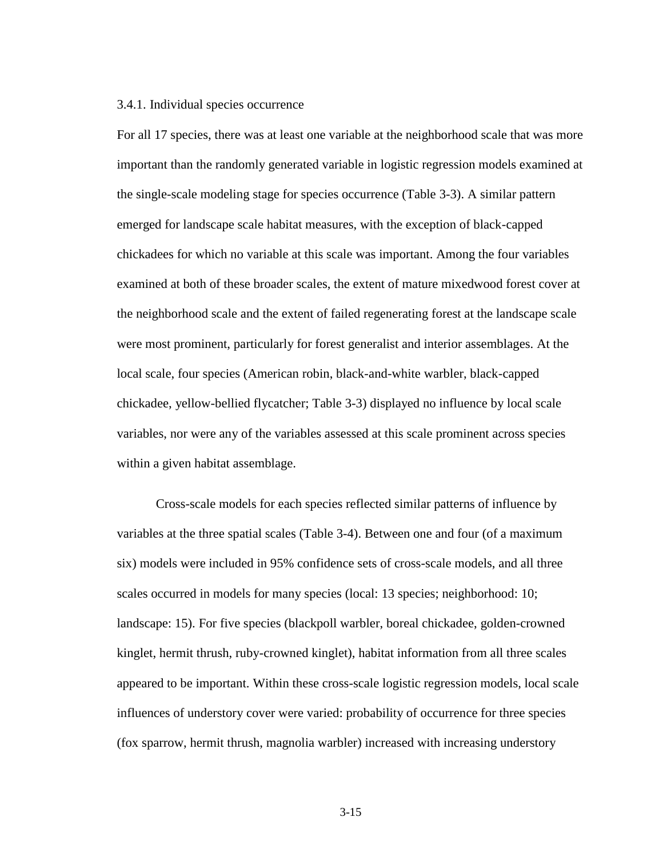#### 3.4.1. Individual species occurrence

For all 17 species, there was at least one variable at the neighborhood scale that was more important than the randomly generated variable in logistic regression models examined at the single-scale modeling stage for species occurrence (Table 3-3). A similar pattern emerged for landscape scale habitat measures, with the exception of black-capped chickadees for which no variable at this scale was important. Among the four variables examined at both of these broader scales, the extent of mature mixedwood forest cover at the neighborhood scale and the extent of failed regenerating forest at the landscape scale were most prominent, particularly for forest generalist and interior assemblages. At the local scale, four species (American robin, black-and-white warbler, black-capped chickadee, yellow-bellied flycatcher; Table 3-3) displayed no influence by local scale variables, nor were any of the variables assessed at this scale prominent across species within a given habitat assemblage.

Cross-scale models for each species reflected similar patterns of influence by variables at the three spatial scales (Table 3-4). Between one and four (of a maximum six) models were included in 95% confidence sets of cross-scale models, and all three scales occurred in models for many species (local: 13 species; neighborhood: 10; landscape: 15). For five species (blackpoll warbler, boreal chickadee, golden-crowned kinglet, hermit thrush, ruby-crowned kinglet), habitat information from all three scales appeared to be important. Within these cross-scale logistic regression models, local scale influences of understory cover were varied: probability of occurrence for three species (fox sparrow, hermit thrush, magnolia warbler) increased with increasing understory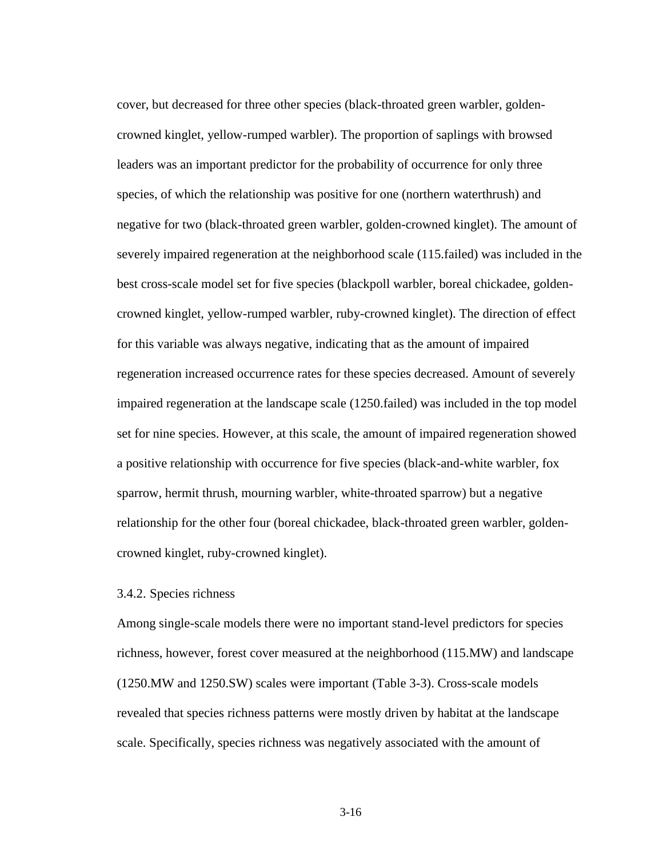cover, but decreased for three other species (black-throated green warbler, goldencrowned kinglet, yellow-rumped warbler). The proportion of saplings with browsed leaders was an important predictor for the probability of occurrence for only three species, of which the relationship was positive for one (northern waterthrush) and negative for two (black-throated green warbler, golden-crowned kinglet). The amount of severely impaired regeneration at the neighborhood scale (115.failed) was included in the best cross-scale model set for five species (blackpoll warbler, boreal chickadee, goldencrowned kinglet, yellow-rumped warbler, ruby-crowned kinglet). The direction of effect for this variable was always negative, indicating that as the amount of impaired regeneration increased occurrence rates for these species decreased. Amount of severely impaired regeneration at the landscape scale (1250.failed) was included in the top model set for nine species. However, at this scale, the amount of impaired regeneration showed a positive relationship with occurrence for five species (black-and-white warbler, fox sparrow, hermit thrush, mourning warbler, white-throated sparrow) but a negative relationship for the other four (boreal chickadee, black-throated green warbler, goldencrowned kinglet, ruby-crowned kinglet).

### 3.4.2. Species richness

Among single-scale models there were no important stand-level predictors for species richness, however, forest cover measured at the neighborhood (115.MW) and landscape (1250.MW and 1250.SW) scales were important (Table 3-3). Cross-scale models revealed that species richness patterns were mostly driven by habitat at the landscape scale. Specifically, species richness was negatively associated with the amount of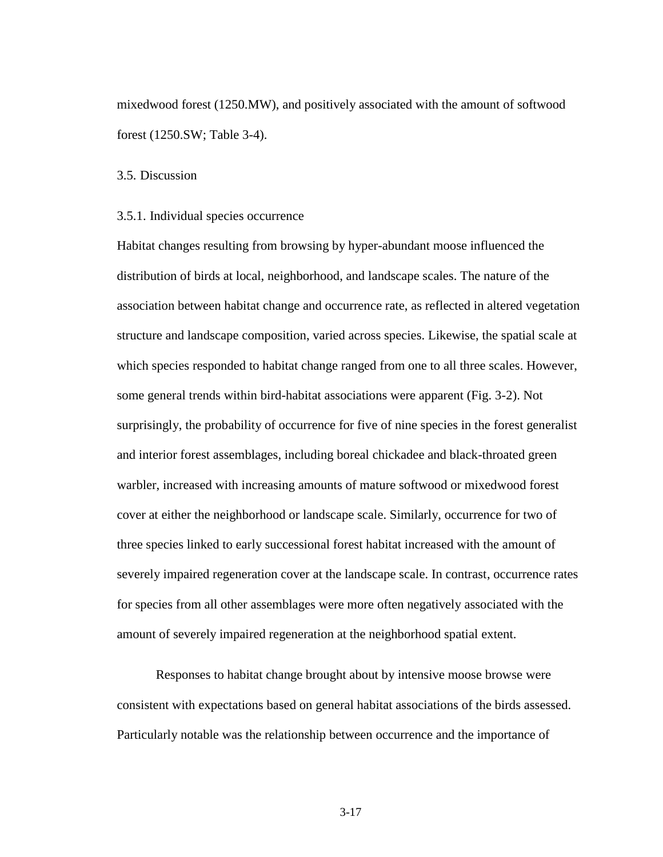mixedwood forest (1250.MW), and positively associated with the amount of softwood forest (1250.SW; Table 3-4).

3.5. Discussion

#### 3.5.1. Individual species occurrence

Habitat changes resulting from browsing by hyper-abundant moose influenced the distribution of birds at local, neighborhood, and landscape scales. The nature of the association between habitat change and occurrence rate, as reflected in altered vegetation structure and landscape composition, varied across species. Likewise, the spatial scale at which species responded to habitat change ranged from one to all three scales. However, some general trends within bird-habitat associations were apparent (Fig. 3-2). Not surprisingly, the probability of occurrence for five of nine species in the forest generalist and interior forest assemblages, including boreal chickadee and black-throated green warbler, increased with increasing amounts of mature softwood or mixedwood forest cover at either the neighborhood or landscape scale. Similarly, occurrence for two of three species linked to early successional forest habitat increased with the amount of severely impaired regeneration cover at the landscape scale. In contrast, occurrence rates for species from all other assemblages were more often negatively associated with the amount of severely impaired regeneration at the neighborhood spatial extent.

Responses to habitat change brought about by intensive moose browse were consistent with expectations based on general habitat associations of the birds assessed. Particularly notable was the relationship between occurrence and the importance of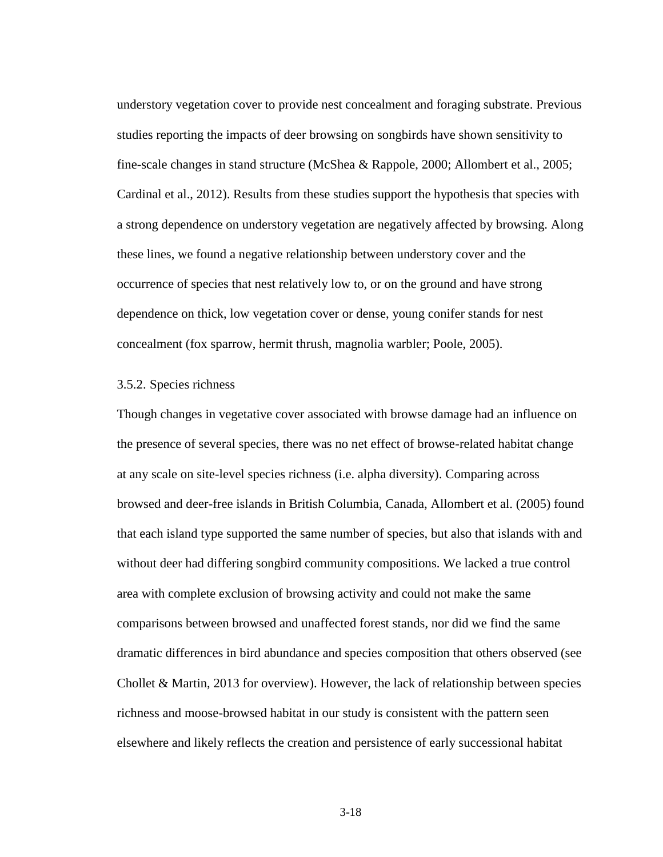understory vegetation cover to provide nest concealment and foraging substrate. Previous studies reporting the impacts of deer browsing on songbirds have shown sensitivity to fine-scale changes in stand structure (McShea & Rappole, 2000; Allombert et al., 2005; Cardinal et al., 2012). Results from these studies support the hypothesis that species with a strong dependence on understory vegetation are negatively affected by browsing. Along these lines, we found a negative relationship between understory cover and the occurrence of species that nest relatively low to, or on the ground and have strong dependence on thick, low vegetation cover or dense, young conifer stands for nest concealment (fox sparrow, hermit thrush, magnolia warbler; Poole, 2005).

### 3.5.2. Species richness

Though changes in vegetative cover associated with browse damage had an influence on the presence of several species, there was no net effect of browse-related habitat change at any scale on site-level species richness (i.e. alpha diversity). Comparing across browsed and deer-free islands in British Columbia, Canada, Allombert et al. (2005) found that each island type supported the same number of species, but also that islands with and without deer had differing songbird community compositions. We lacked a true control area with complete exclusion of browsing activity and could not make the same comparisons between browsed and unaffected forest stands, nor did we find the same dramatic differences in bird abundance and species composition that others observed (see Chollet & Martin, 2013 for overview). However, the lack of relationship between species richness and moose-browsed habitat in our study is consistent with the pattern seen elsewhere and likely reflects the creation and persistence of early successional habitat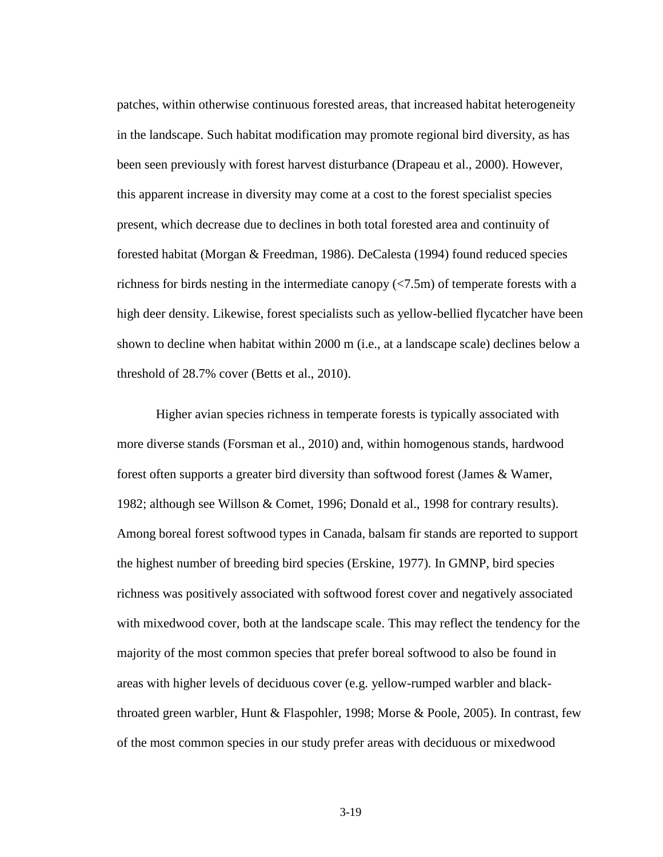patches, within otherwise continuous forested areas, that increased habitat heterogeneity in the landscape. Such habitat modification may promote regional bird diversity, as has been seen previously with forest harvest disturbance (Drapeau et al., 2000). However, this apparent increase in diversity may come at a cost to the forest specialist species present, which decrease due to declines in both total forested area and continuity of forested habitat (Morgan & Freedman, 1986). DeCalesta (1994) found reduced species richness for birds nesting in the intermediate canopy (<7.5m) of temperate forests with a high deer density. Likewise, forest specialists such as yellow-bellied flycatcher have been shown to decline when habitat within 2000 m (i.e., at a landscape scale) declines below a threshold of 28.7% cover (Betts et al., 2010).

Higher avian species richness in temperate forests is typically associated with more diverse stands (Forsman et al., 2010) and, within homogenous stands, hardwood forest often supports a greater bird diversity than softwood forest (James & Wamer, 1982; although see Willson & Comet, 1996; Donald et al., 1998 for contrary results). Among boreal forest softwood types in Canada, balsam fir stands are reported to support the highest number of breeding bird species (Erskine, 1977). In GMNP, bird species richness was positively associated with softwood forest cover and negatively associated with mixedwood cover, both at the landscape scale. This may reflect the tendency for the majority of the most common species that prefer boreal softwood to also be found in areas with higher levels of deciduous cover (e.g. yellow-rumped warbler and blackthroated green warbler, Hunt & Flaspohler, 1998; Morse & Poole, 2005). In contrast, few of the most common species in our study prefer areas with deciduous or mixedwood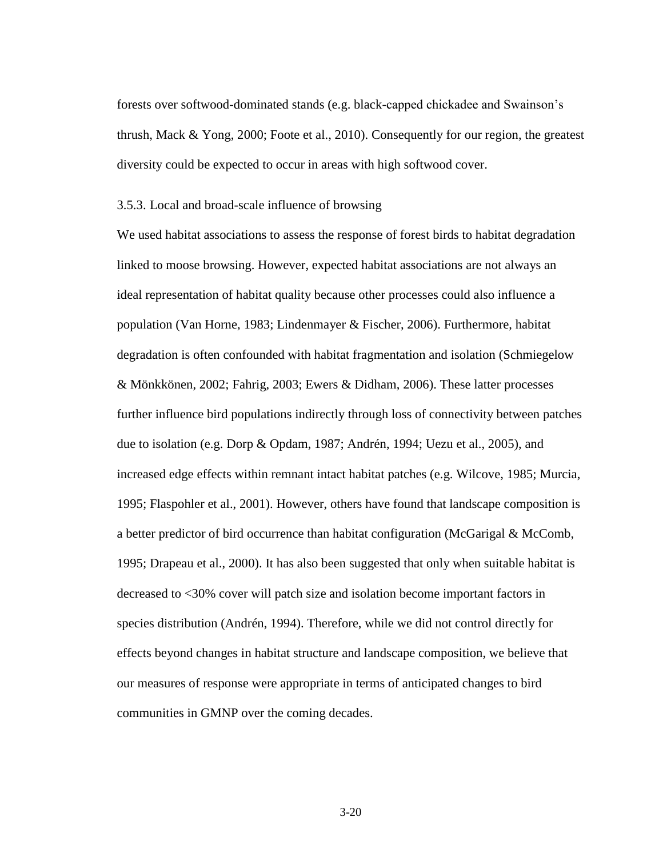forests over softwood-dominated stands (e.g. black-capped chickadee and Swainson's thrush, Mack & Yong, 2000; Foote et al., 2010). Consequently for our region, the greatest diversity could be expected to occur in areas with high softwood cover.

#### 3.5.3. Local and broad-scale influence of browsing

We used habitat associations to assess the response of forest birds to habitat degradation linked to moose browsing. However, expected habitat associations are not always an ideal representation of habitat quality because other processes could also influence a population (Van Horne, 1983; Lindenmayer & Fischer, 2006). Furthermore, habitat degradation is often confounded with habitat fragmentation and isolation (Schmiegelow & Mönkkönen, 2002; Fahrig, 2003; Ewers & Didham, 2006). These latter processes further influence bird populations indirectly through loss of connectivity between patches due to isolation (e.g. Dorp & Opdam, 1987; Andrén, 1994; Uezu et al., 2005), and increased edge effects within remnant intact habitat patches (e.g. Wilcove, 1985; Murcia, 1995; Flaspohler et al., 2001). However, others have found that landscape composition is a better predictor of bird occurrence than habitat configuration (McGarigal & McComb, 1995; Drapeau et al., 2000). It has also been suggested that only when suitable habitat is decreased to <30% cover will patch size and isolation become important factors in species distribution (Andrén, 1994). Therefore, while we did not control directly for effects beyond changes in habitat structure and landscape composition, we believe that our measures of response were appropriate in terms of anticipated changes to bird communities in GMNP over the coming decades.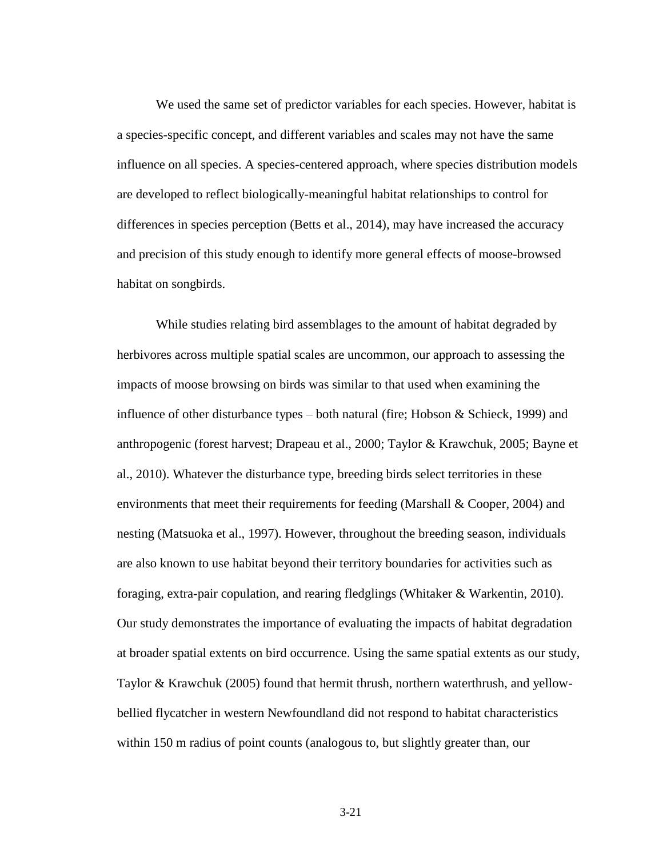We used the same set of predictor variables for each species. However, habitat is a species-specific concept, and different variables and scales may not have the same influence on all species. A species-centered approach, where species distribution models are developed to reflect biologically-meaningful habitat relationships to control for differences in species perception (Betts et al., 2014), may have increased the accuracy and precision of this study enough to identify more general effects of moose-browsed habitat on songbirds.

While studies relating bird assemblages to the amount of habitat degraded by herbivores across multiple spatial scales are uncommon, our approach to assessing the impacts of moose browsing on birds was similar to that used when examining the influence of other disturbance types – both natural (fire; Hobson & Schieck, 1999) and anthropogenic (forest harvest; Drapeau et al., 2000; Taylor & Krawchuk, 2005; Bayne et al., 2010). Whatever the disturbance type, breeding birds select territories in these environments that meet their requirements for feeding (Marshall & Cooper, 2004) and nesting (Matsuoka et al., 1997). However, throughout the breeding season, individuals are also known to use habitat beyond their territory boundaries for activities such as foraging, extra-pair copulation, and rearing fledglings (Whitaker & Warkentin, 2010). Our study demonstrates the importance of evaluating the impacts of habitat degradation at broader spatial extents on bird occurrence. Using the same spatial extents as our study, Taylor & Krawchuk (2005) found that hermit thrush, northern waterthrush, and yellowbellied flycatcher in western Newfoundland did not respond to habitat characteristics within 150 m radius of point counts (analogous to, but slightly greater than, our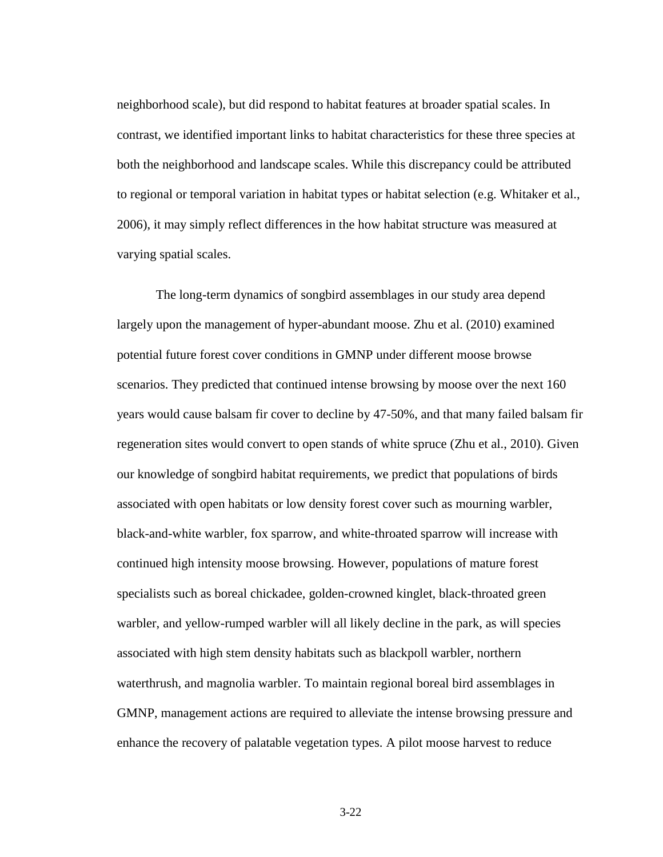neighborhood scale), but did respond to habitat features at broader spatial scales. In contrast, we identified important links to habitat characteristics for these three species at both the neighborhood and landscape scales. While this discrepancy could be attributed to regional or temporal variation in habitat types or habitat selection (e.g. Whitaker et al., 2006), it may simply reflect differences in the how habitat structure was measured at varying spatial scales.

The long-term dynamics of songbird assemblages in our study area depend largely upon the management of hyper-abundant moose. Zhu et al. (2010) examined potential future forest cover conditions in GMNP under different moose browse scenarios. They predicted that continued intense browsing by moose over the next 160 years would cause balsam fir cover to decline by 47-50%, and that many failed balsam fir regeneration sites would convert to open stands of white spruce (Zhu et al., 2010). Given our knowledge of songbird habitat requirements, we predict that populations of birds associated with open habitats or low density forest cover such as mourning warbler, black-and-white warbler, fox sparrow, and white-throated sparrow will increase with continued high intensity moose browsing. However, populations of mature forest specialists such as boreal chickadee, golden-crowned kinglet, black-throated green warbler, and yellow-rumped warbler will all likely decline in the park, as will species associated with high stem density habitats such as blackpoll warbler, northern waterthrush, and magnolia warbler. To maintain regional boreal bird assemblages in GMNP, management actions are required to alleviate the intense browsing pressure and enhance the recovery of palatable vegetation types. A pilot moose harvest to reduce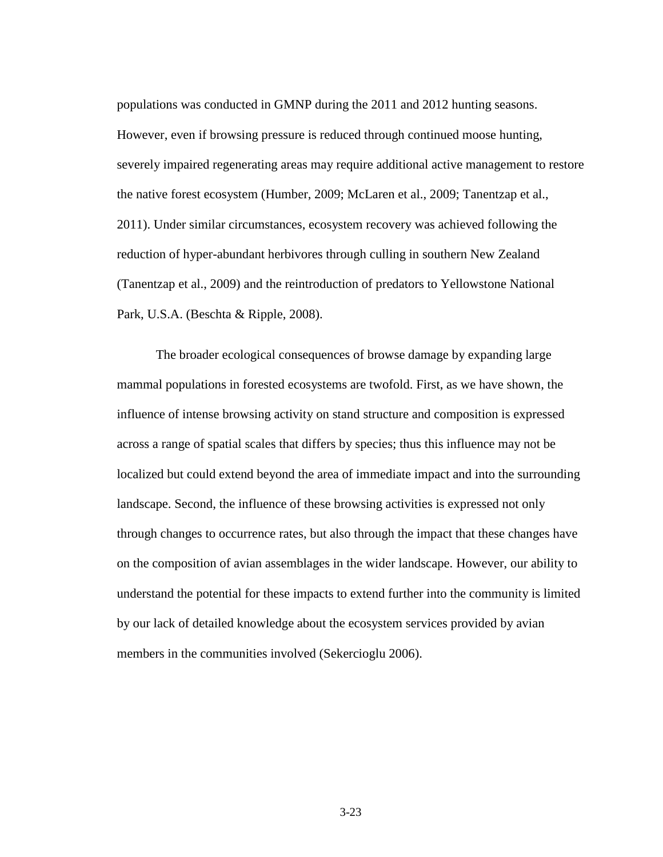populations was conducted in GMNP during the 2011 and 2012 hunting seasons. However, even if browsing pressure is reduced through continued moose hunting, severely impaired regenerating areas may require additional active management to restore the native forest ecosystem (Humber, 2009; McLaren et al., 2009; Tanentzap et al., 2011). Under similar circumstances, ecosystem recovery was achieved following the reduction of hyper-abundant herbivores through culling in southern New Zealand (Tanentzap et al., 2009) and the reintroduction of predators to Yellowstone National Park, U.S.A. (Beschta & Ripple, 2008).

The broader ecological consequences of browse damage by expanding large mammal populations in forested ecosystems are twofold. First, as we have shown, the influence of intense browsing activity on stand structure and composition is expressed across a range of spatial scales that differs by species; thus this influence may not be localized but could extend beyond the area of immediate impact and into the surrounding landscape. Second, the influence of these browsing activities is expressed not only through changes to occurrence rates, but also through the impact that these changes have on the composition of avian assemblages in the wider landscape. However, our ability to understand the potential for these impacts to extend further into the community is limited by our lack of detailed knowledge about the ecosystem services provided by avian members in the communities involved (Sekercioglu 2006).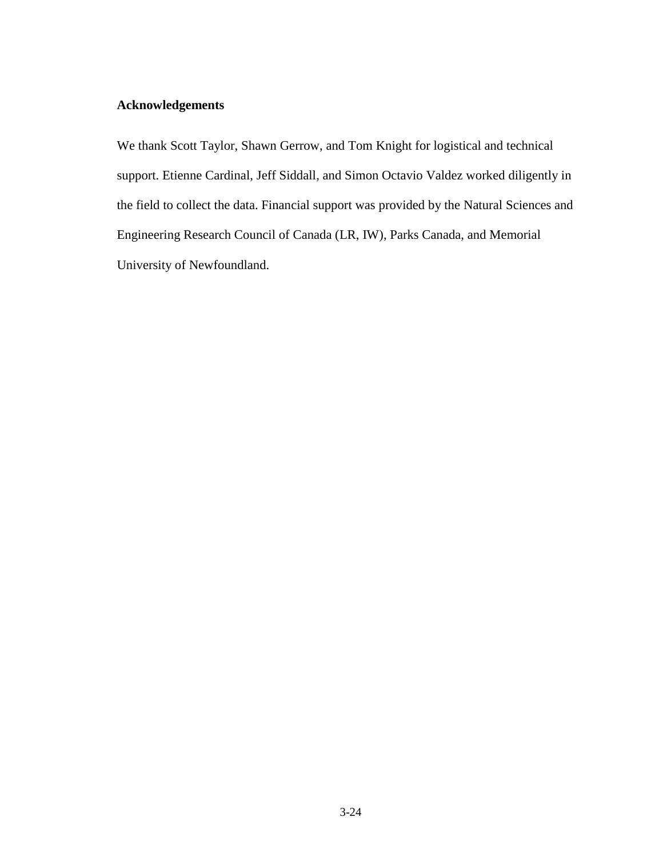# **Acknowledgements**

We thank Scott Taylor, Shawn Gerrow, and Tom Knight for logistical and technical support. Etienne Cardinal, Jeff Siddall, and Simon Octavio Valdez worked diligently in the field to collect the data. Financial support was provided by the Natural Sciences and Engineering Research Council of Canada (LR, IW), Parks Canada, and Memorial University of Newfoundland.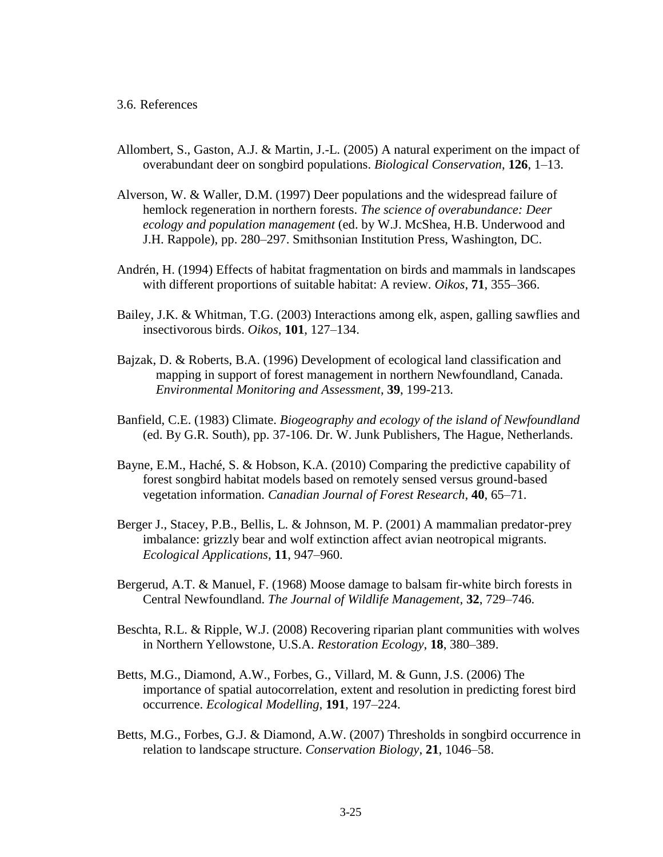- Allombert, S., Gaston, A.J. & Martin, J.-L. (2005) A natural experiment on the impact of overabundant deer on songbird populations. *Biological Conservation*, **126**, 1–13.
- Alverson, W. & Waller, D.M. (1997) Deer populations and the widespread failure of hemlock regeneration in northern forests. *The science of overabundance: Deer ecology and population management* (ed. by W.J. McShea, H.B. Underwood and J.H. Rappole), pp. 280–297. Smithsonian Institution Press, Washington, DC.
- Andrén, H. (1994) Effects of habitat fragmentation on birds and mammals in landscapes with different proportions of suitable habitat: A review. *Oikos*, **71**, 355–366.
- Bailey, J.K. & Whitman, T.G. (2003) Interactions among elk, aspen, galling sawflies and insectivorous birds. *Oikos*, **101**, 127–134.
- Bajzak, D. & Roberts, B.A. (1996) Development of ecological land classification and mapping in support of forest management in northern Newfoundland, Canada. *Environmental Monitoring and Assessment*, **39**, 199-213.
- Banfield, C.E. (1983) Climate. *Biogeography and ecology of the island of Newfoundland* (ed. By G.R. South), pp. 37-106. Dr. W. Junk Publishers, The Hague, Netherlands.
- Bayne, E.M., Haché, S. & Hobson, K.A. (2010) Comparing the predictive capability of forest songbird habitat models based on remotely sensed versus ground-based vegetation information. *Canadian Journal of Forest Research*, **40**, 65–71.
- Berger J., Stacey, P.B., Bellis, L. & Johnson, M. P. (2001) A mammalian predator-prey imbalance: grizzly bear and wolf extinction affect avian neotropical migrants. *Ecological Applications*, **11**, 947–960.
- Bergerud, A.T. & Manuel, F. (1968) Moose damage to balsam fir-white birch forests in Central Newfoundland. *The Journal of Wildlife Management*, **32**, 729–746.
- Beschta, R.L. & Ripple, W.J. (2008) Recovering riparian plant communities with wolves in Northern Yellowstone, U.S.A. *Restoration Ecology*, **18**, 380–389.
- Betts, M.G., Diamond, A.W., Forbes, G., Villard, M. & Gunn, J.S. (2006) The importance of spatial autocorrelation, extent and resolution in predicting forest bird occurrence. *Ecological Modelling*, **191**, 197–224.
- Betts, M.G., Forbes, G.J. & Diamond, A.W. (2007) Thresholds in songbird occurrence in relation to landscape structure. *Conservation Biology*, **21**, 1046–58.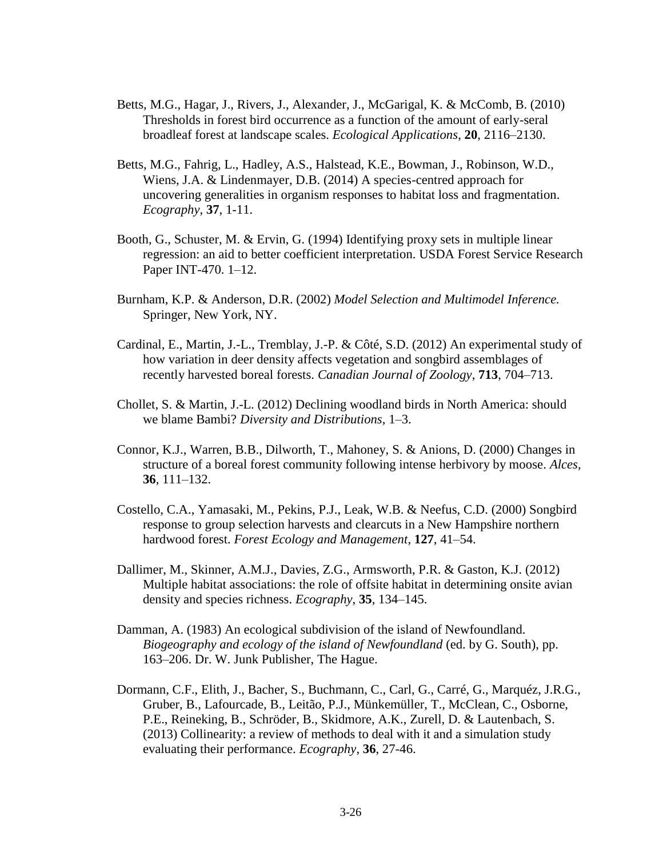- Betts, M.G., Hagar, J., Rivers, J., Alexander, J., McGarigal, K. & McComb, B. (2010) Thresholds in forest bird occurrence as a function of the amount of early-seral broadleaf forest at landscape scales. *Ecological Applications*, **20**, 2116–2130.
- Betts, M.G., Fahrig, L., Hadley, A.S., Halstead, K.E., Bowman, J., Robinson, W.D., Wiens, J.A. & Lindenmayer, D.B. (2014) A species-centred approach for uncovering generalities in organism responses to habitat loss and fragmentation. *Ecography*, **37**, 1-11.
- Booth, G., Schuster, M. & Ervin, G. (1994) Identifying proxy sets in multiple linear regression: an aid to better coefficient interpretation. USDA Forest Service Research Paper INT-470. 1–12.
- Burnham, K.P. & Anderson, D.R. (2002) *Model Selection and Multimodel Inference.*  Springer, New York, NY.
- Cardinal, E., Martin, J.-L., Tremblay, J.-P. & Côté, S.D. (2012) An experimental study of how variation in deer density affects vegetation and songbird assemblages of recently harvested boreal forests. *Canadian Journal of Zoology*, **713**, 704–713.
- Chollet, S. & Martin, J.-L. (2012) Declining woodland birds in North America: should we blame Bambi? *Diversity and Distributions*, 1–3.
- Connor, K.J., Warren, B.B., Dilworth, T., Mahoney, S. & Anions, D. (2000) Changes in structure of a boreal forest community following intense herbivory by moose. *Alces*, **36**, 111–132.
- Costello, C.A., Yamasaki, M., Pekins, P.J., Leak, W.B. & Neefus, C.D. (2000) Songbird response to group selection harvests and clearcuts in a New Hampshire northern hardwood forest. *Forest Ecology and Management*, **127**, 41–54.
- Dallimer, M., Skinner, A.M.J., Davies, Z.G., Armsworth, P.R. & Gaston, K.J. (2012) Multiple habitat associations: the role of offsite habitat in determining onsite avian density and species richness. *Ecography*, **35**, 134–145.
- Damman, A. (1983) An ecological subdivision of the island of Newfoundland. *Biogeography and ecology of the island of Newfoundland* (ed. by G. South), pp. 163–206. Dr. W. Junk Publisher, The Hague.
- Dormann, C.F., Elith, J., Bacher, S., Buchmann, C., Carl, G., Carré, G., Marquéz, J.R.G., Gruber, B., Lafourcade, B., Leitão, P.J., Münkemüller, T., McClean, C., Osborne, P.E., Reineking, B., Schröder, B., Skidmore, A.K., Zurell, D. & Lautenbach, S. (2013) Collinearity: a review of methods to deal with it and a simulation study evaluating their performance. *Ecography*, **36**, 27-46.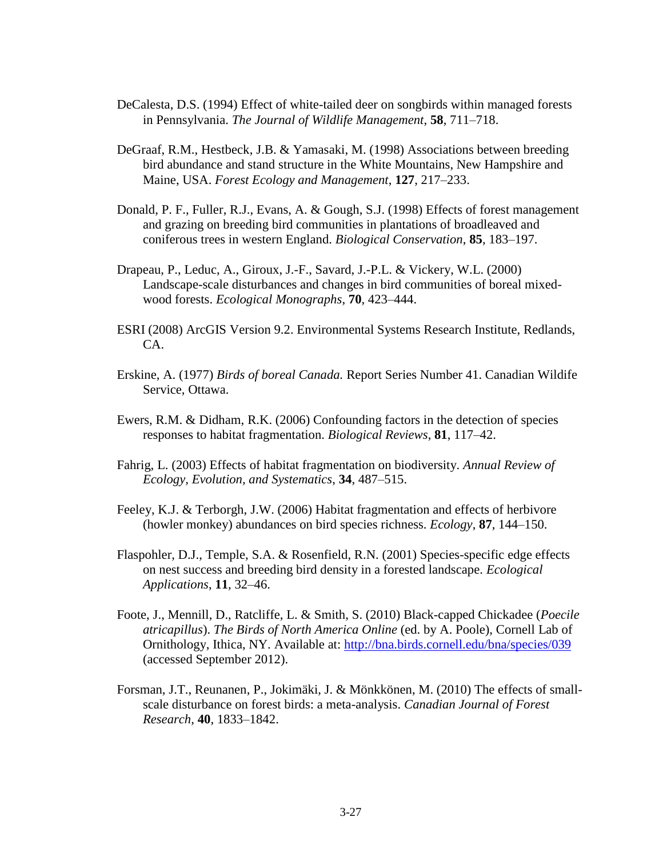- DeCalesta, D.S. (1994) Effect of white-tailed deer on songbirds within managed forests in Pennsylvania. *The Journal of Wildlife Management*, **58**, 711–718.
- DeGraaf, R.M., Hestbeck, J.B. & Yamasaki, M. (1998) Associations between breeding bird abundance and stand structure in the White Mountains, New Hampshire and Maine, USA. *Forest Ecology and Management*, **127**, 217–233.
- Donald, P. F., Fuller, R.J., Evans, A. & Gough, S.J. (1998) Effects of forest management and grazing on breeding bird communities in plantations of broadleaved and coniferous trees in western England. *Biological Conservation*, **85**, 183–197.
- Drapeau, P., Leduc, A., Giroux, J.-F., Savard, J.-P.L. & Vickery, W.L. (2000) Landscape-scale disturbances and changes in bird communities of boreal mixedwood forests. *Ecological Monographs*, **70**, 423–444.
- ESRI (2008) ArcGIS Version 9.2. Environmental Systems Research Institute, Redlands, CA.
- Erskine, A. (1977) *Birds of boreal Canada.* Report Series Number 41. Canadian Wildife Service, Ottawa.
- Ewers, R.M. & Didham, R.K. (2006) Confounding factors in the detection of species responses to habitat fragmentation. *Biological Reviews*, **81**, 117–42.
- Fahrig, L. (2003) Effects of habitat fragmentation on biodiversity. *Annual Review of Ecology, Evolution, and Systematics*, **34**, 487–515.
- Feeley, K.J. & Terborgh, J.W. (2006) Habitat fragmentation and effects of herbivore (howler monkey) abundances on bird species richness. *Ecology*, **87**, 144–150.
- Flaspohler, D.J., Temple, S.A. & Rosenfield, R.N. (2001) Species-specific edge effects on nest success and breeding bird density in a forested landscape. *Ecological Applications*, **11**, 32–46.
- Foote, J., Mennill, D., Ratcliffe, L. & Smith, S. (2010) Black-capped Chickadee (*Poecile atricapillus*). *The Birds of North America Online* (ed. by A. Poole), Cornell Lab of Ornithology, Ithica, NY. Available at:<http://bna.birds.cornell.edu/bna/species/039> (accessed September 2012).
- Forsman, J.T., Reunanen, P., Jokimäki, J. & Mönkkönen, M. (2010) The effects of smallscale disturbance on forest birds: a meta-analysis. *Canadian Journal of Forest Research*, **40**, 1833–1842.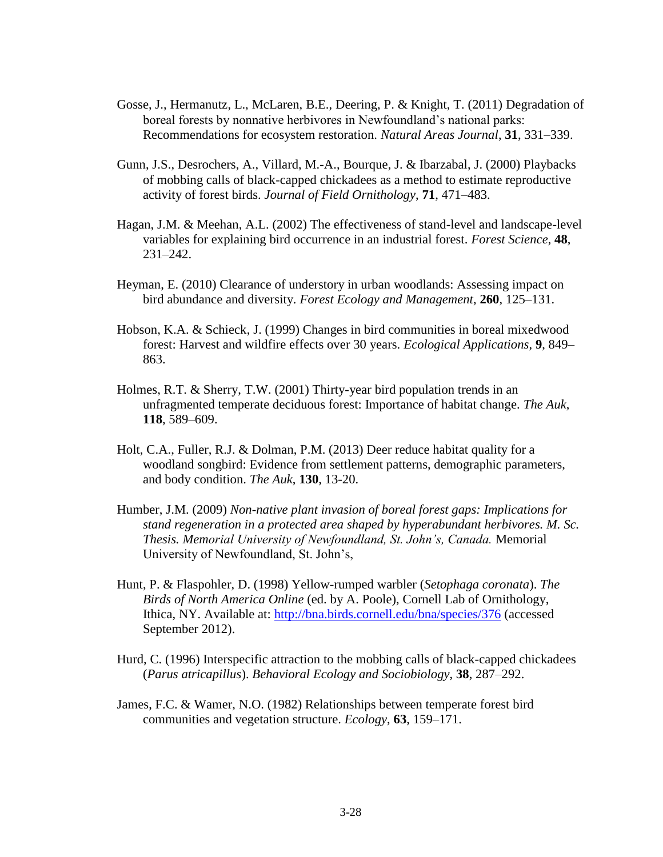- Gosse, J., Hermanutz, L., McLaren, B.E., Deering, P. & Knight, T. (2011) Degradation of boreal forests by nonnative herbivores in Newfoundland's national parks: Recommendations for ecosystem restoration. *Natural Areas Journal*, **31**, 331–339.
- Gunn, J.S., Desrochers, A., Villard, M.-A., Bourque, J. & Ibarzabal, J. (2000) Playbacks of mobbing calls of black-capped chickadees as a method to estimate reproductive activity of forest birds. *Journal of Field Ornithology*, **71**, 471–483.
- Hagan, J.M. & Meehan, A.L. (2002) The effectiveness of stand-level and landscape-level variables for explaining bird occurrence in an industrial forest. *Forest Science*, **48**, 231–242.
- Heyman, E. (2010) Clearance of understory in urban woodlands: Assessing impact on bird abundance and diversity. *Forest Ecology and Management*, **260**, 125–131.
- Hobson, K.A. & Schieck, J. (1999) Changes in bird communities in boreal mixedwood forest: Harvest and wildfire effects over 30 years. *Ecological Applications*, **9**, 849– 863.
- Holmes, R.T. & Sherry, T.W. (2001) Thirty-year bird population trends in an unfragmented temperate deciduous forest: Importance of habitat change. *The Auk*, **118**, 589–609.
- Holt, C.A., Fuller, R.J. & Dolman, P.M. (2013) Deer reduce habitat quality for a woodland songbird: Evidence from settlement patterns, demographic parameters, and body condition. *The Auk*, **130**, 13-20.
- Humber, J.M. (2009) *Non-native plant invasion of boreal forest gaps: Implications for stand regeneration in a protected area shaped by hyperabundant herbivores. M. Sc. Thesis. Memorial University of Newfoundland, St. John's, Canada.* Memorial University of Newfoundland, St. John's,
- Hunt, P. & Flaspohler, D. (1998) Yellow-rumped warbler (*Setophaga coronata*). *The Birds of North America Online* (ed. by A. Poole), Cornell Lab of Ornithology, Ithica, NY. Available at:<http://bna.birds.cornell.edu/bna/species/376> (accessed September 2012).
- Hurd, C. (1996) Interspecific attraction to the mobbing calls of black-capped chickadees (*Parus atricapillus*). *Behavioral Ecology and Sociobiology*, **38**, 287–292.
- James, F.C. & Wamer, N.O. (1982) Relationships between temperate forest bird communities and vegetation structure. *Ecology*, **63**, 159–171.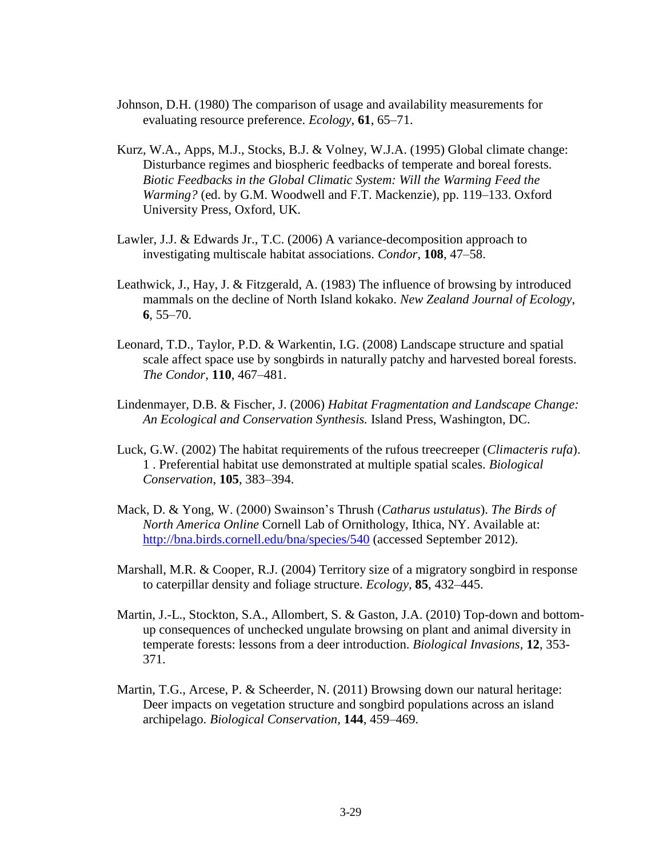- Johnson, D.H. (1980) The comparison of usage and availability measurements for evaluating resource preference. *Ecology*, **61**, 65–71.
- Kurz, W.A., Apps, M.J., Stocks, B.J. & Volney, W.J.A. (1995) Global climate change: Disturbance regimes and biospheric feedbacks of temperate and boreal forests. *Biotic Feedbacks in the Global Climatic System: Will the Warming Feed the Warming?* (ed. by G.M. Woodwell and F.T. Mackenzie), pp. 119–133. Oxford University Press, Oxford, UK.
- Lawler, J.J. & Edwards Jr., T.C. (2006) A variance-decomposition approach to investigating multiscale habitat associations. *Condor*, **108**, 47–58.
- Leathwick, J., Hay, J. & Fitzgerald, A. (1983) The influence of browsing by introduced mammals on the decline of North Island kokako. *New Zealand Journal of Ecology*, **6**, 55–70.
- Leonard, T.D., Taylor, P.D. & Warkentin, I.G. (2008) Landscape structure and spatial scale affect space use by songbirds in naturally patchy and harvested boreal forests. *The Condor*, **110**, 467–481.
- Lindenmayer, D.B. & Fischer, J. (2006) *Habitat Fragmentation and Landscape Change: An Ecological and Conservation Synthesis.* Island Press, Washington, DC.
- Luck, G.W. (2002) The habitat requirements of the rufous treecreeper (*Climacteris rufa*). 1 . Preferential habitat use demonstrated at multiple spatial scales. *Biological Conservation*, **105**, 383–394.
- Mack, D. & Yong, W. (2000) Swainson's Thrush (*Catharus ustulatus*). *The Birds of North America Online* Cornell Lab of Ornithology, Ithica, NY. Available at: <http://bna.birds.cornell.edu/bna/species/540> (accessed September 2012).
- Marshall, M.R. & Cooper, R.J. (2004) Territory size of a migratory songbird in response to caterpillar density and foliage structure. *Ecology*, **85**, 432–445.
- Martin, J.-L., Stockton, S.A., Allombert, S. & Gaston, J.A. (2010) Top-down and bottomup consequences of unchecked ungulate browsing on plant and animal diversity in temperate forests: lessons from a deer introduction. *Biological Invasions,* **12**, 353- 371.
- Martin, T.G., Arcese, P. & Scheerder, N. (2011) Browsing down our natural heritage: Deer impacts on vegetation structure and songbird populations across an island archipelago. *Biological Conservation*, **144**, 459–469.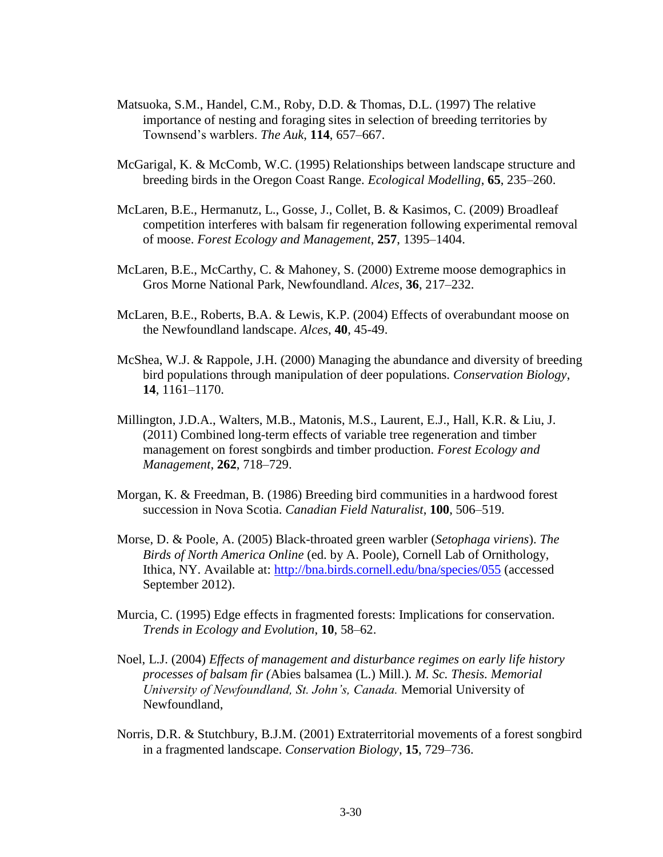- Matsuoka, S.M., Handel, C.M., Roby, D.D. & Thomas, D.L. (1997) The relative importance of nesting and foraging sites in selection of breeding territories by Townsend's warblers. *The Auk*, **114**, 657–667.
- McGarigal, K. & McComb, W.C. (1995) Relationships between landscape structure and breeding birds in the Oregon Coast Range. *Ecological Modelling*, **65**, 235–260.
- McLaren, B.E., Hermanutz, L., Gosse, J., Collet, B. & Kasimos, C. (2009) Broadleaf competition interferes with balsam fir regeneration following experimental removal of moose. *Forest Ecology and Management*, **257**, 1395–1404.
- McLaren, B.E., McCarthy, C. & Mahoney, S. (2000) Extreme moose demographics in Gros Morne National Park, Newfoundland. *Alces*, **36**, 217–232.
- McLaren, B.E., Roberts, B.A. & Lewis, K.P. (2004) Effects of overabundant moose on the Newfoundland landscape. *Alces*, **40**, 45-49.
- McShea, W.J. & Rappole, J.H. (2000) Managing the abundance and diversity of breeding bird populations through manipulation of deer populations. *Conservation Biology*, **14**, 1161–1170.
- Millington, J.D.A., Walters, M.B., Matonis, M.S., Laurent, E.J., Hall, K.R. & Liu, J. (2011) Combined long-term effects of variable tree regeneration and timber management on forest songbirds and timber production. *Forest Ecology and Management*, **262**, 718–729.
- Morgan, K. & Freedman, B. (1986) Breeding bird communities in a hardwood forest succession in Nova Scotia. *Canadian Field Naturalist*, **100**, 506–519.
- Morse, D. & Poole, A. (2005) Black-throated green warbler (*Setophaga viriens*). *The Birds of North America Online* (ed. by A. Poole), Cornell Lab of Ornithology, Ithica, NY. Available at:<http://bna.birds.cornell.edu/bna/species/055> (accessed September 2012).
- Murcia, C. (1995) Edge effects in fragmented forests: Implications for conservation. *Trends in Ecology and Evolution*, **10**, 58–62.
- Noel, L.J. (2004) *Effects of management and disturbance regimes on early life history processes of balsam fir (*Abies balsamea (L.) Mill.)*. M. Sc. Thesis. Memorial University of Newfoundland, St. John's, Canada.* Memorial University of Newfoundland,
- Norris, D.R. & Stutchbury, B.J.M. (2001) Extraterritorial movements of a forest songbird in a fragmented landscape. *Conservation Biology*, **15**, 729–736.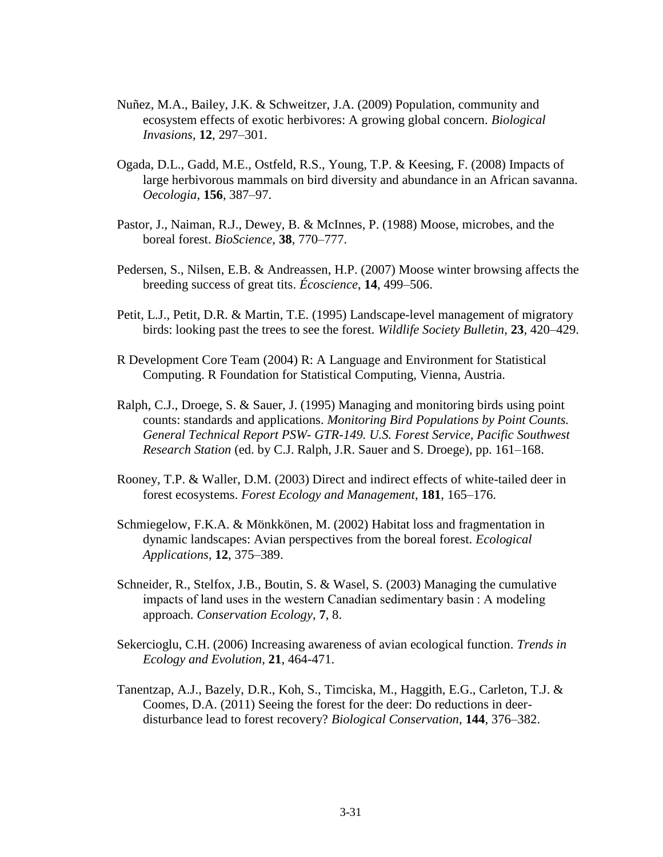- Nuñez, M.A., Bailey, J.K. & Schweitzer, J.A. (2009) Population, community and ecosystem effects of exotic herbivores: A growing global concern. *Biological Invasions*, **12**, 297–301.
- Ogada, D.L., Gadd, M.E., Ostfeld, R.S., Young, T.P. & Keesing, F. (2008) Impacts of large herbivorous mammals on bird diversity and abundance in an African savanna. *Oecologia*, **156**, 387–97.
- Pastor, J., Naiman, R.J., Dewey, B. & McInnes, P. (1988) Moose, microbes, and the boreal forest. *BioScience*, **38**, 770–777.
- Pedersen, S., Nilsen, E.B. & Andreassen, H.P. (2007) Moose winter browsing affects the breeding success of great tits. *Écoscience*, **14**, 499–506.
- Petit, L.J., Petit, D.R. & Martin, T.E. (1995) Landscape-level management of migratory birds: looking past the trees to see the forest. *Wildlife Society Bulletin*, **23**, 420–429.
- R Development Core Team (2004) R: A Language and Environment for Statistical Computing. R Foundation for Statistical Computing, Vienna, Austria.
- Ralph, C.J., Droege, S. & Sauer, J. (1995) Managing and monitoring birds using point counts: standards and applications. *Monitoring Bird Populations by Point Counts. General Technical Report PSW- GTR-149. U.S. Forest Service, Pacific Southwest Research Station* (ed. by C.J. Ralph, J.R. Sauer and S. Droege), pp. 161–168.
- Rooney, T.P. & Waller, D.M. (2003) Direct and indirect effects of white-tailed deer in forest ecosystems. *Forest Ecology and Management*, **181**, 165–176.
- Schmiegelow, F.K.A. & Mönkkönen, M. (2002) Habitat loss and fragmentation in dynamic landscapes: Avian perspectives from the boreal forest. *Ecological Applications*, **12**, 375–389.
- Schneider, R., Stelfox, J.B., Boutin, S. & Wasel, S. (2003) Managing the cumulative impacts of land uses in the western Canadian sedimentary basin : A modeling approach. *Conservation Ecology*, **7**, 8.
- Sekercioglu, C.H. (2006) Increasing awareness of avian ecological function. *Trends in Ecology and Evolution*, **21**, 464-471.
- Tanentzap, A.J., Bazely, D.R., Koh, S., Timciska, M., Haggith, E.G., Carleton, T.J. & Coomes, D.A. (2011) Seeing the forest for the deer: Do reductions in deerdisturbance lead to forest recovery? *Biological Conservation*, **144**, 376–382.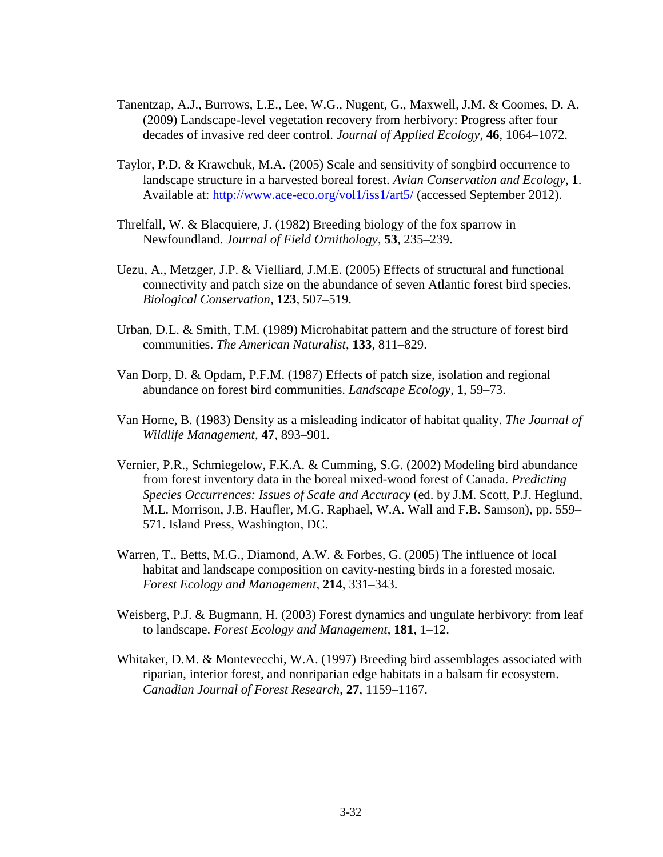- Tanentzap, A.J., Burrows, L.E., Lee, W.G., Nugent, G., Maxwell, J.M. & Coomes, D. A. (2009) Landscape-level vegetation recovery from herbivory: Progress after four decades of invasive red deer control. *Journal of Applied Ecology*, **46**, 1064–1072.
- Taylor, P.D. & Krawchuk, M.A. (2005) Scale and sensitivity of songbird occurrence to landscape structure in a harvested boreal forest. *Avian Conservation and Ecology*, **1**. Available at:<http://www.ace-eco.org/vol1/iss1/art5/> (accessed September 2012).
- Threlfall, W. & Blacquiere, J. (1982) Breeding biology of the fox sparrow in Newfoundland. *Journal of Field Ornithology*, **53**, 235–239.
- Uezu, A., Metzger, J.P. & Vielliard, J.M.E. (2005) Effects of structural and functional connectivity and patch size on the abundance of seven Atlantic forest bird species. *Biological Conservation*, **123**, 507–519.
- Urban, D.L. & Smith, T.M. (1989) Microhabitat pattern and the structure of forest bird communities. *The American Naturalist*, **133**, 811–829.
- Van Dorp, D. & Opdam, P.F.M. (1987) Effects of patch size, isolation and regional abundance on forest bird communities. *Landscape Ecology*, **1**, 59–73.
- Van Horne, B. (1983) Density as a misleading indicator of habitat quality. *The Journal of Wildlife Management*, **47**, 893–901.
- Vernier, P.R., Schmiegelow, F.K.A. & Cumming, S.G. (2002) Modeling bird abundance from forest inventory data in the boreal mixed-wood forest of Canada. *Predicting Species Occurrences: Issues of Scale and Accuracy* (ed. by J.M. Scott, P.J. Heglund, M.L. Morrison, J.B. Haufler, M.G. Raphael, W.A. Wall and F.B. Samson), pp. 559– 571. Island Press, Washington, DC.
- Warren, T., Betts, M.G., Diamond, A.W. & Forbes, G. (2005) The influence of local habitat and landscape composition on cavity-nesting birds in a forested mosaic. *Forest Ecology and Management*, **214**, 331–343.
- Weisberg, P.J. & Bugmann, H. (2003) Forest dynamics and ungulate herbivory: from leaf to landscape. *Forest Ecology and Management*, **181**, 1–12.
- Whitaker, D.M. & Montevecchi, W.A. (1997) Breeding bird assemblages associated with riparian, interior forest, and nonriparian edge habitats in a balsam fir ecosystem. *Canadian Journal of Forest Research*, **27**, 1159–1167.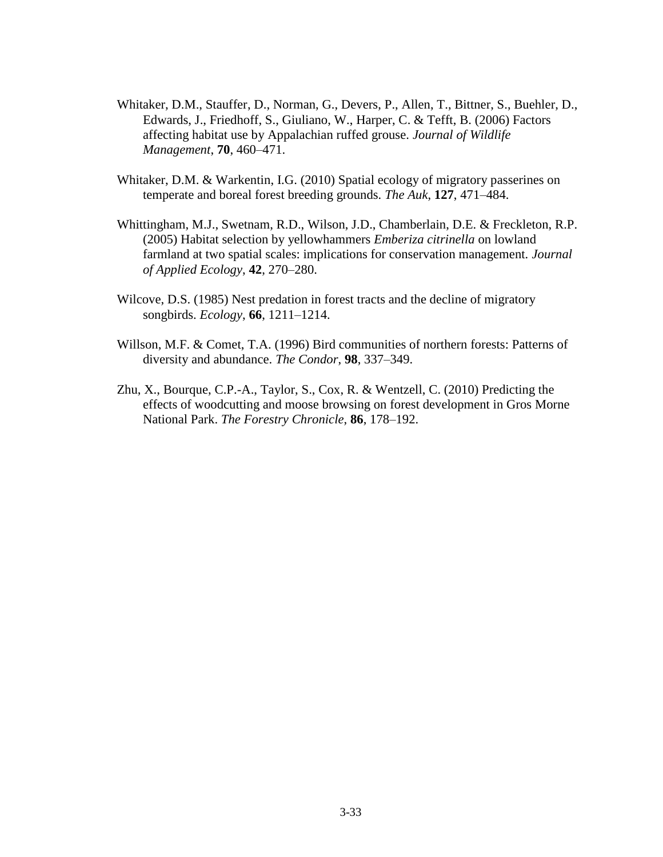- Whitaker, D.M., Stauffer, D., Norman, G., Devers, P., Allen, T., Bittner, S., Buehler, D., Edwards, J., Friedhoff, S., Giuliano, W., Harper, C. & Tefft, B. (2006) Factors affecting habitat use by Appalachian ruffed grouse. *Journal of Wildlife Management*, **70**, 460–471.
- Whitaker, D.M. & Warkentin, I.G. (2010) Spatial ecology of migratory passerines on temperate and boreal forest breeding grounds. *The Auk*, **127**, 471–484.
- Whittingham, M.J., Swetnam, R.D., Wilson, J.D., Chamberlain, D.E. & Freckleton, R.P. (2005) Habitat selection by yellowhammers *Emberiza citrinella* on lowland farmland at two spatial scales: implications for conservation management. *Journal of Applied Ecology*, **42**, 270–280.
- Wilcove, D.S. (1985) Nest predation in forest tracts and the decline of migratory songbirds. *Ecology*, **66**, 1211–1214.
- Willson, M.F. & Comet, T.A. (1996) Bird communities of northern forests: Patterns of diversity and abundance. *The Condor*, **98**, 337–349.
- Zhu, X., Bourque, C.P.-A., Taylor, S., Cox, R. & Wentzell, C. (2010) Predicting the effects of woodcutting and moose browsing on forest development in Gros Morne National Park. *The Forestry Chronicle*, **86**, 178–192.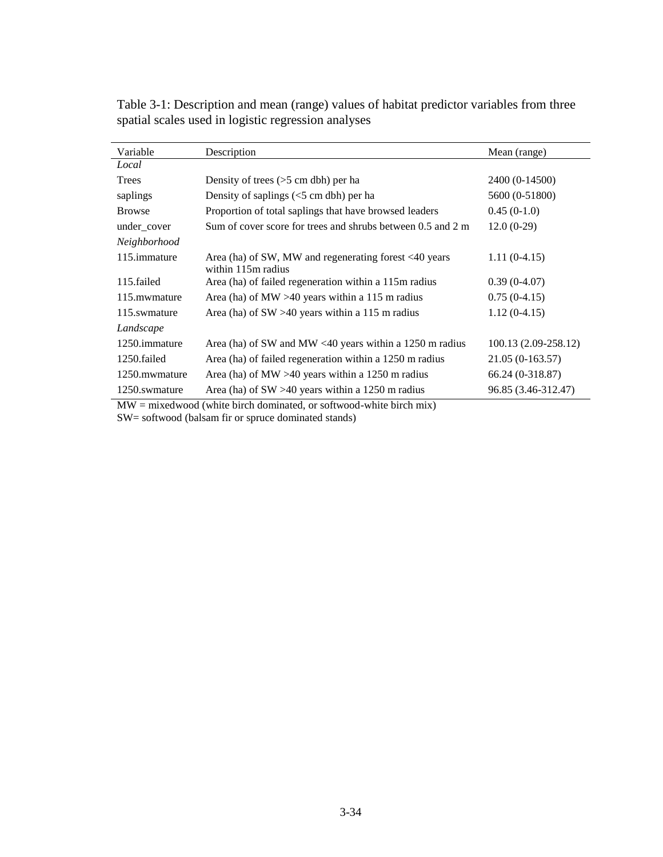| Variable      | Description                                                                 | Mean (range)         |
|---------------|-----------------------------------------------------------------------------|----------------------|
| Local         |                                                                             |                      |
| Trees         | Density of trees $(>5$ cm dbh) per ha                                       | 2400 (0-14500)       |
| saplings      | Density of saplings $(<5$ cm dbh) per ha                                    | 5600 (0-51800)       |
| <b>Browse</b> | Proportion of total saplings that have browsed leaders                      | $0.45(0-1.0)$        |
| under_cover   | Sum of cover score for trees and shrubs between 0.5 and 2 m                 | $12.0(0-29)$         |
| Neighborhood  |                                                                             |                      |
| 115.immature  | Area (ha) of SW, MW and regenerating forest <40 years<br>within 115m radius | $1.11(0-4.15)$       |
| 115.failed    | Area (ha) of failed regeneration within a 115m radius                       | $0.39(0-4.07)$       |
| 115. mwmature | Area (ha) of MW $>40$ years within a 115 m radius                           | $0.75(0-4.15)$       |
| 115.swmature  | Area (ha) of $SW > 40$ years within a 115 m radius                          | $1.12(0-4.15)$       |
| Landscape     |                                                                             |                      |
| 1250.immature | Area (ha) of SW and MW <40 years within a 1250 m radius                     | 100.13 (2.09-258.12) |
| 1250.failed   | Area (ha) of failed regeneration within a 1250 m radius                     | $21.05(0-163.57)$    |
| 1250.mwmature | Area (ha) of MW $>40$ years within a 1250 m radius                          | 66.24 (0-318.87)     |
| 1250.swmature | Area (ha) of $SW > 40$ years within a 1250 m radius                         | 96.85 (3.46-312.47)  |

Table 3-1: Description and mean (range) values of habitat predictor variables from three spatial scales used in logistic regression analyses

MW = mixedwood (white birch dominated, or softwood-white birch mix) SW= softwood (balsam fir or spruce dominated stands)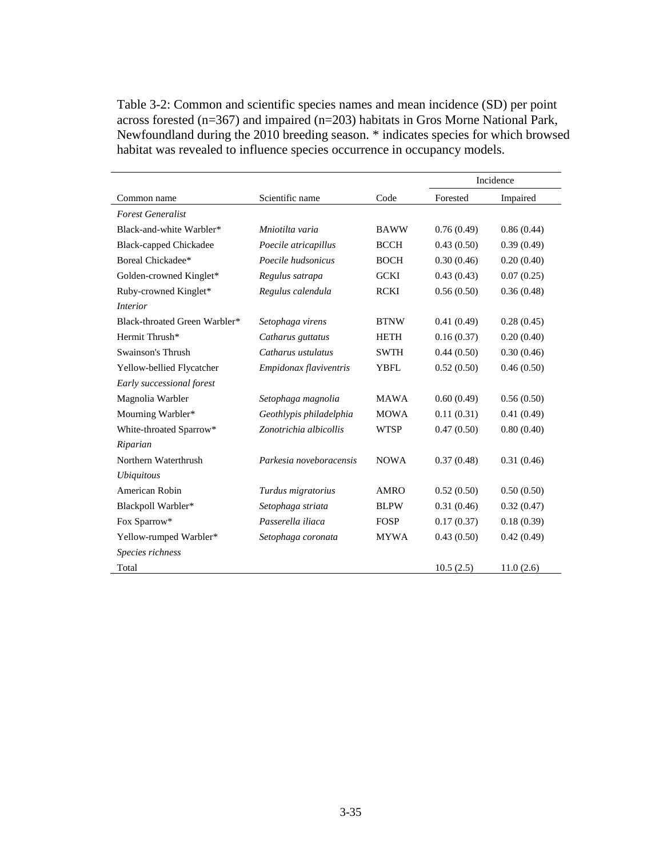Table 3-2: Common and scientific species names and mean incidence (SD) per point across forested (n=367) and impaired (n=203) habitats in Gros Morne National Park, Newfoundland during the 2010 breeding season. \* indicates species for which browsed habitat was revealed to influence species occurrence in occupancy models.

|                               |                         |             | Incidence  |            |  |  |  |  |
|-------------------------------|-------------------------|-------------|------------|------------|--|--|--|--|
| Common name                   | Scientific name         | Code        | Forested   | Impaired   |  |  |  |  |
| <b>Forest Generalist</b>      |                         |             |            |            |  |  |  |  |
| Black-and-white Warbler*      | Mniotilta varia         | <b>BAWW</b> | 0.76(0.49) | 0.86(0.44) |  |  |  |  |
| <b>Black-capped Chickadee</b> | Poecile atricapillus    | <b>BCCH</b> | 0.43(0.50) | 0.39(0.49) |  |  |  |  |
| Boreal Chickadee*             | Poecile hudsonicus      | <b>BOCH</b> | 0.30(0.46) | 0.20(0.40) |  |  |  |  |
| Golden-crowned Kinglet*       | Regulus satrapa         | <b>GCKI</b> | 0.43(0.43) | 0.07(0.25) |  |  |  |  |
| Ruby-crowned Kinglet*         | Regulus calendula       | <b>RCKI</b> | 0.56(0.50) | 0.36(0.48) |  |  |  |  |
| <i>Interior</i>               |                         |             |            |            |  |  |  |  |
| Black-throated Green Warbler* | Setophaga virens        | <b>BTNW</b> | 0.41(0.49) | 0.28(0.45) |  |  |  |  |
| Hermit Thrush*                | Catharus guttatus       | <b>HETH</b> | 0.16(0.37) | 0.20(0.40) |  |  |  |  |
| Swainson's Thrush             | Catharus ustulatus      | <b>SWTH</b> | 0.44(0.50) | 0.30(0.46) |  |  |  |  |
| Yellow-bellied Flycatcher     | Empidonax flaviventris  | <b>YBFL</b> | 0.52(0.50) | 0.46(0.50) |  |  |  |  |
| Early successional forest     |                         |             |            |            |  |  |  |  |
| Magnolia Warbler              | Setophaga magnolia      | <b>MAWA</b> | 0.60(0.49) | 0.56(0.50) |  |  |  |  |
| Mourning Warbler*             | Geothlypis philadelphia | <b>MOWA</b> | 0.11(0.31) | 0.41(0.49) |  |  |  |  |
| White-throated Sparrow*       | Zonotrichia albicollis  | <b>WTSP</b> | 0.47(0.50) | 0.80(0.40) |  |  |  |  |
| Riparian                      |                         |             |            |            |  |  |  |  |
| Northern Waterthrush          | Parkesia noveboracensis | <b>NOWA</b> | 0.37(0.48) | 0.31(0.46) |  |  |  |  |
| <i>Ubiquitous</i>             |                         |             |            |            |  |  |  |  |
| American Robin                | Turdus migratorius      | AMRO        | 0.52(0.50) | 0.50(0.50) |  |  |  |  |
| Blackpoll Warbler*            | Setophaga striata       | <b>BLPW</b> | 0.31(0.46) | 0.32(0.47) |  |  |  |  |
| Fox Sparrow*                  | Passerella iliaca       | <b>FOSP</b> | 0.17(0.37) | 0.18(0.39) |  |  |  |  |
| Yellow-rumped Warbler*        | Setophaga coronata      | <b>MYWA</b> | 0.43(0.50) | 0.42(0.49) |  |  |  |  |
| Species richness              |                         |             |            |            |  |  |  |  |
| Total                         |                         |             | 10.5(2.5)  | 11.0(2.6)  |  |  |  |  |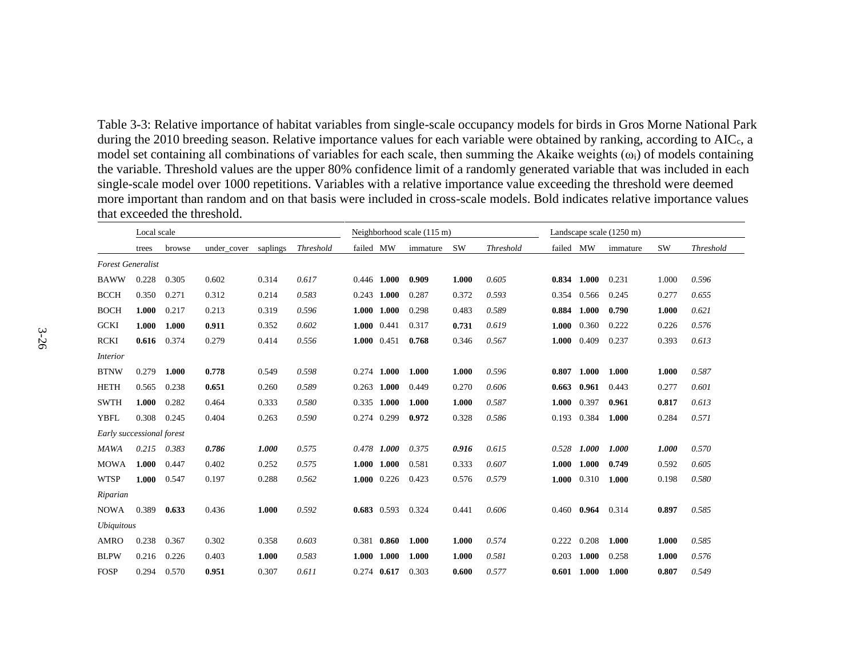Table 3-3: Relative importance of habitat variables from single-scale occupancy models for birds in Gros Morne National Park during the 2010 breeding season. Relative importance values for each variable were obtained by ranking, according to AIC<sub>c</sub>, a model set containing all combinations of variables for each scale, then summing the Akaike weights  $(\omega_i)$  of models containing the variable. Threshold values are the upper 80% confidence limit of a randomly generated variable that was included in each single-scale model over 1000 repetitions. Variables with a relative importance value exceeding the threshold were deemed more important than random and on that basis were included in cross-scale models. Bold indicates relative importance values that exceeded the threshold.

|                           | Local scale |        |             |          | Neighborhood scale (115 m) |               |               |          |           |                  | Landscape scale (1250 m) |               |          |           |                  |  |
|---------------------------|-------------|--------|-------------|----------|----------------------------|---------------|---------------|----------|-----------|------------------|--------------------------|---------------|----------|-----------|------------------|--|
|                           | trees       | browse | under cover | saplings | <b>Threshold</b>           | failed MW     |               | immature | <b>SW</b> | <b>Threshold</b> | failed MW                |               | immature | <b>SW</b> | <b>Threshold</b> |  |
| <b>Forest Generalist</b>  |             |        |             |          |                            |               |               |          |           |                  |                          |               |          |           |                  |  |
| <b>BAWW</b>               | 0.228       | 0.305  | 0.602       | 0.314    | 0.617                      | 0.446         | 1.000         | 0.909    | 1.000     | 0.605            | 0.834                    | 1.000         | 0.231    | 1.000     | 0.596            |  |
| <b>BCCH</b>               | 0.350       | 0.271  | 0.312       | 0.214    | 0.583                      |               | $0.243$ 1.000 | 0.287    | 0.372     | 0.593            | 0.354                    | 0.566         | 0.245    | 0.277     | 0.655            |  |
| <b>BOCH</b>               | 1.000       | 0.217  | 0.213       | 0.319    | 0.596                      | 1.000         | 1.000         | 0.298    | 0.483     | 0.589            | 0.884                    | 1.000         | 0.790    | 1.000     | 0.621            |  |
| <b>GCKI</b>               | 1.000       | 1.000  | 0.911       | 0.352    | 0.602                      | 1.000         | 0.441         | 0.317    | 0.731     | 0.619            | 1.000                    | 0.360         | 0.222    | 0.226     | 0.576            |  |
| <b>RCKI</b>               | 0.616       | 0.374  | 0.279       | 0.414    | 0.556                      |               | 1.000 0.451   | 0.768    | 0.346     | 0.567            | 1.000                    | 0.409         | 0.237    | 0.393     | 0.613            |  |
| <i>Interior</i>           |             |        |             |          |                            |               |               |          |           |                  |                          |               |          |           |                  |  |
| <b>BTNW</b>               | 0.279       | 1.000  | 0.778       | 0.549    | 0.598                      | $0.274$ 1.000 |               | 1.000    | 1.000     | 0.596            | 0.807                    | 1.000         | 1.000    | 1.000     | 0.587            |  |
| <b>HETH</b>               | 0.565       | 0.238  | 0.651       | 0.260    | 0.589                      | 0.263         | 1.000         | 0.449    | 0.270     | 0.606            | 0.663                    | 0.961         | 0.443    | 0.277     | 0.601            |  |
| <b>SWTH</b>               | 1.000       | 0.282  | 0.464       | 0.333    | 0.580                      | 0.335         | 1.000         | 1.000    | 1.000     | 0.587            | 1.000                    | 0.397         | 0.961    | 0.817     | 0.613            |  |
| <b>YBFL</b>               | 0.308       | 0.245  | 0.404       | 0.263    | 0.590                      | 0.274         | 0.299         | 0.972    | 0.328     | 0.586            | 0.193                    | 0.384         | 1.000    | 0.284     | 0.571            |  |
| Early successional forest |             |        |             |          |                            |               |               |          |           |                  |                          |               |          |           |                  |  |
| <b>MAWA</b>               | 0.215       | 0.383  | 0.786       | 1.000    | 0.575                      | 0.478 1.000   |               | 0.375    | 0.916     | 0.615            | 0.528                    | 1.000         | 1.000    | 1.000     | 0.570            |  |
| <b>MOWA</b>               | 1.000       | 0.447  | 0.402       | 0.252    | 0.575                      |               | 1.000 1.000   | 0.581    | 0.333     | 0.607            | 1.000                    | 1.000         | 0.749    | 0.592     | 0.605            |  |
| <b>WTSP</b>               | 1.000       | 0.547  | 0.197       | 0.288    | 0.562                      |               | $1.000$ 0.226 | 0.423    | 0.576     | 0.579            | 1.000                    | 0.310         | 1.000    | 0.198     | 0.580            |  |
| Riparian                  |             |        |             |          |                            |               |               |          |           |                  |                          |               |          |           |                  |  |
| <b>NOWA</b>               | 0.389       | 0.633  | 0.436       | 1.000    | 0.592                      |               | 0.683 0.593   | 0.324    | 0.441     | 0.606            |                          | $0.460$ 0.964 | 0.314    | 0.897     | 0.585            |  |
| <b>Ubiquitous</b>         |             |        |             |          |                            |               |               |          |           |                  |                          |               |          |           |                  |  |
| <b>AMRO</b>               | 0.238       | 0.367  | 0.302       | 0.358    | 0.603                      | 0.381         | 0.860         | 1.000    | 1.000     | 0.574            | 0.222                    | 0.208         | 1.000    | 1.000     | 0.585            |  |
| <b>BLPW</b>               | 0.216       | 0.226  | 0.403       | 1.000    | 0.583                      |               | 1.000 1.000   | 1.000    | 1.000     | 0.581            | 0.203                    | 1.000         | 0.258    | 1.000     | 0.576            |  |
| <b>FOSP</b>               | 0.294       | 0.570  | 0.951       | 0.307    | 0.611                      | $0.274$ 0.617 |               | 0.303    | 0.600     | 0.577            |                          | $0.601$ 1.000 | 1.000    | 0.807     | 0.549            |  |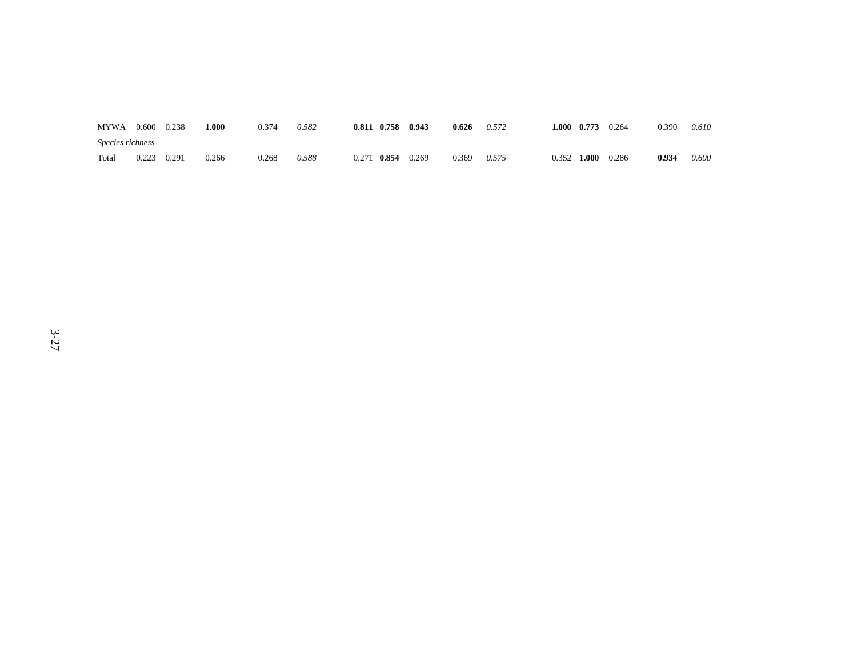| <b>MYWA</b>      | 0.600 | 0.238 | l.000 | 0.374 | 0.582 | 0.811 | 0.758 | 0.943 | 0.626 | 0.572 | 1.000 | 0.773 | 0.264 | 0.390 | 0.610 |
|------------------|-------|-------|-------|-------|-------|-------|-------|-------|-------|-------|-------|-------|-------|-------|-------|
| Species richness |       |       |       |       |       |       |       |       |       |       |       |       |       |       |       |
| Total            | 0.223 | 0.291 | 0.266 | 0.268 | 0.588 | 0.271 | 0.854 | 0.269 | 0.369 | 0.575 | 0.352 | 1.000 | 0.286 | 0.934 | 0.600 |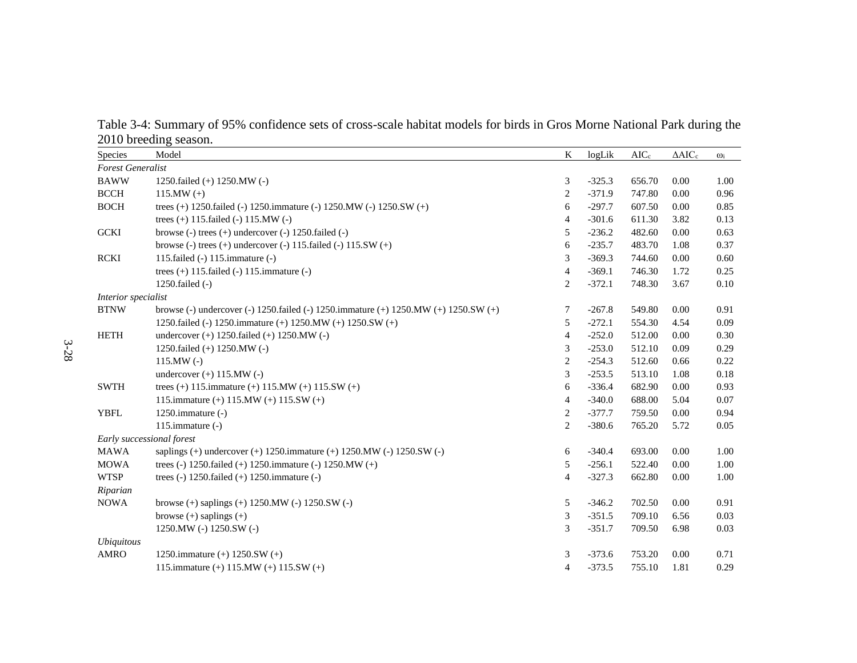Table 3-4: Summary of 95% confidence sets of cross-scale habitat models for birds in Gros Morne National Park during the 2010 breeding season.

| Species                   | Model                                                                                           | K              | logLik   | $AIC_c$ | $\Delta AIC_c$ | $\omega_i$ |
|---------------------------|-------------------------------------------------------------------------------------------------|----------------|----------|---------|----------------|------------|
| <b>Forest Generalist</b>  |                                                                                                 |                |          |         |                |            |
| <b>BAWW</b>               | 1250.failed (+) 1250.MW (-)                                                                     | 3              | $-325.3$ | 656.70  | 0.00           | 1.00       |
| <b>BCCH</b>               | 115.MW $(+)$                                                                                    | $\overline{c}$ | $-371.9$ | 747.80  | 0.00           | 0.96       |
| <b>BOCH</b>               | trees (+) 1250.failed (-) 1250.immature (-) 1250.MW (-) 1250.SW (+)                             | 6              | $-297.7$ | 607.50  | 0.00           | 0.85       |
|                           | trees (+) 115.failed (-) 115.MW (-)                                                             | $\overline{4}$ | $-301.6$ | 611.30  | 3.82           | 0.13       |
| <b>GCKI</b>               | browse $(-)$ trees $(+)$ undercover $(-)$ 1250. failed $(-)$                                    | 5              | $-236.2$ | 482.60  | 0.00           | 0.63       |
|                           | browse (-) trees (+) undercover (-) $115$ failed (-) $115$ SW (+)                               | 6              | $-235.7$ | 483.70  | 1.08           | 0.37       |
| <b>RCKI</b>               | 115. failed $(-)$ 115. immature $(-)$                                                           | 3              | $-369.3$ | 744.60  | 0.00           | 0.60       |
|                           | trees $(+)$ 115. failed $(-)$ 115. immature $(-)$                                               | $\overline{4}$ | $-369.1$ | 746.30  | 1.72           | 0.25       |
|                           | 1250. $failed (-)$                                                                              | 2              | $-372.1$ | 748.30  | 3.67           | $0.10\,$   |
| Interior specialist       |                                                                                                 |                |          |         |                |            |
| <b>BTNW</b>               | browse (-) undercover (-) 1250.failed (-) 1250.immature (+) 1250.MW (+) 1250.SW (+)             | 7              | $-267.8$ | 549.80  | 0.00           | 0.91       |
|                           | 1250.failed (-) 1250.immature (+) 1250.MW (+) 1250.SW (+)                                       | 5              | $-272.1$ | 554.30  | 4.54           | 0.09       |
| <b>HETH</b>               | undercover $(+)$ 1250.failed $(+)$ 1250.MW $(-)$                                                | $\overline{4}$ | $-252.0$ | 512.00  | 0.00           | 0.30       |
|                           | 1250.failed $(+)$ 1250.MW $(-)$                                                                 | 3              | $-253.0$ | 512.10  | 0.09           | 0.29       |
|                           | $115.MW(-)$                                                                                     | $\overline{c}$ | $-254.3$ | 512.60  | 0.66           | 0.22       |
|                           | undercover $(+)$ 115.MW $(-)$                                                                   | 3              | $-253.5$ | 513.10  | 1.08           | 0.18       |
| <b>SWTH</b>               | trees (+) 115.immature (+) 115.MW (+) 115.SW (+)                                                | 6              | $-336.4$ | 682.90  | 0.00           | 0.93       |
|                           | 115.immature (+) $115.MW$ (+) $115.SW$ (+)                                                      | $\overline{4}$ | $-340.0$ | 688.00  | 5.04           | 0.07       |
| <b>YBFL</b>               | 1250.immature $(-)$                                                                             | $\overline{c}$ | $-377.7$ | 759.50  | 0.00           | 0.94       |
|                           | 115.immature $(-)$                                                                              | $\overline{c}$ | $-380.6$ | 765.20  | 5.72           | 0.05       |
| Early successional forest |                                                                                                 |                |          |         |                |            |
| <b>MAWA</b>               | saplings (+) undercover (+) $1250.\text{immature } (+) 1250.\text{MW } (-) 1250.\text{SW } (-)$ | 6              | $-340.4$ | 693.00  | 0.00           | 1.00       |
| <b>MOWA</b>               | trees (-) 1250.failed (+) 1250.immature (-) 1250.MW (+)                                         | 5              | $-256.1$ | 522.40  | 0.00           | 1.00       |
| <b>WTSP</b>               | trees (-) $1250$ . failed (+) $1250$ . immature (-)                                             | $\overline{4}$ | $-327.3$ | 662.80  | 0.00           | 1.00       |
| Riparian                  |                                                                                                 |                |          |         |                |            |
| <b>NOWA</b>               | browse $(+)$ saplings $(+)$ 1250.MW $(-)$ 1250.SW $(-)$                                         | 5              | $-346.2$ | 702.50  | 0.00           | 0.91       |
|                           | browse $(+)$ saplings $(+)$                                                                     | 3              | $-351.5$ | 709.10  | 6.56           | 0.03       |
|                           | 1250. MW (-) $1250.$ SW (-)                                                                     | 3              | $-351.7$ | 709.50  | 6.98           | 0.03       |
| <i>Ubiquitous</i>         |                                                                                                 |                |          |         |                |            |
| <b>AMRO</b>               | 1250.immature $(+)$ 1250.SW $(+)$                                                               | 3              | $-373.6$ | 753.20  | 0.00           | 0.71       |
|                           | 115.immature (+) $115.MW$ (+) $115.SW$ (+)                                                      | $\overline{4}$ | $-373.5$ | 755.10  | 1.81           | 0.29       |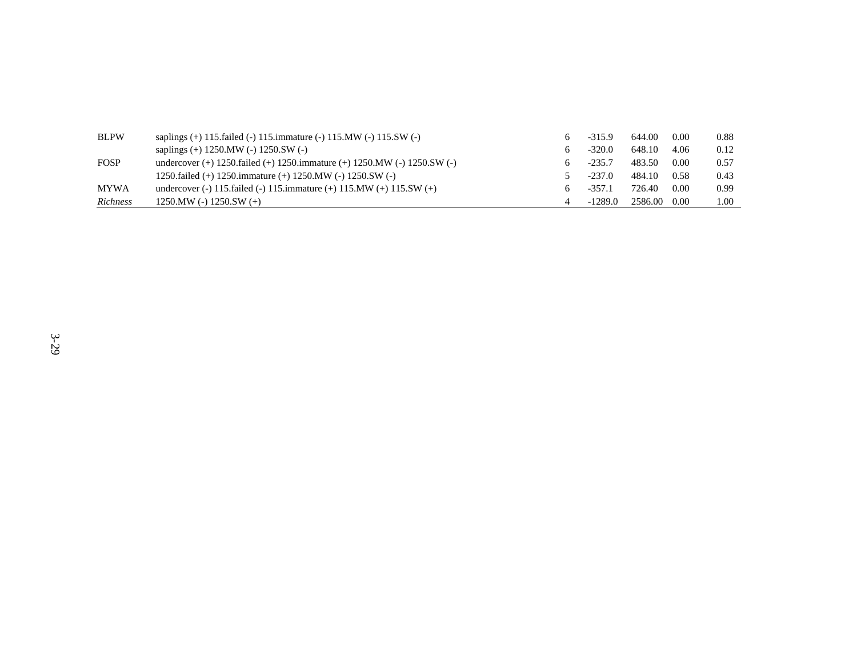| <b>BLPW</b>     | saplings $(+)$ 115. failed $(-)$ 115. immature $(-)$ 115. MW $(-)$ 115. SW $(-)$ | $-315.9$  | 644.00       | 0.00 | 0.88 |
|-----------------|----------------------------------------------------------------------------------|-----------|--------------|------|------|
|                 | saplings $(+)$ 1250.MW $(-)$ 1250.SW $(-)$                                       | $-320.0$  | 648.10       | 4.06 | 0.12 |
| <b>FOSP</b>     | undercover (+) $1250$ failed (+) $1250$ immature (+) $1250$ MW (-) $1250$ SW (-) | $-235.7$  | 483.50       | 0.00 | 0.57 |
|                 | 1250.failed (+) 1250.immature (+) 1250.MW (-) 1250.SW (-)                        | $-237.0$  | 484.10       | 0.58 | 0.43 |
| <b>MYWA</b>     | undercover (-) 115.failed (-) 115.immature (+) 115.MW (+) 115.SW (+)             | $-357.1$  | 726.40       | 0.00 | 0.99 |
| <b>Richness</b> | $1250.MW (-) 1250.SW (+)$                                                        | $-1289.0$ | 2586.00 0.00 |      | 1.00 |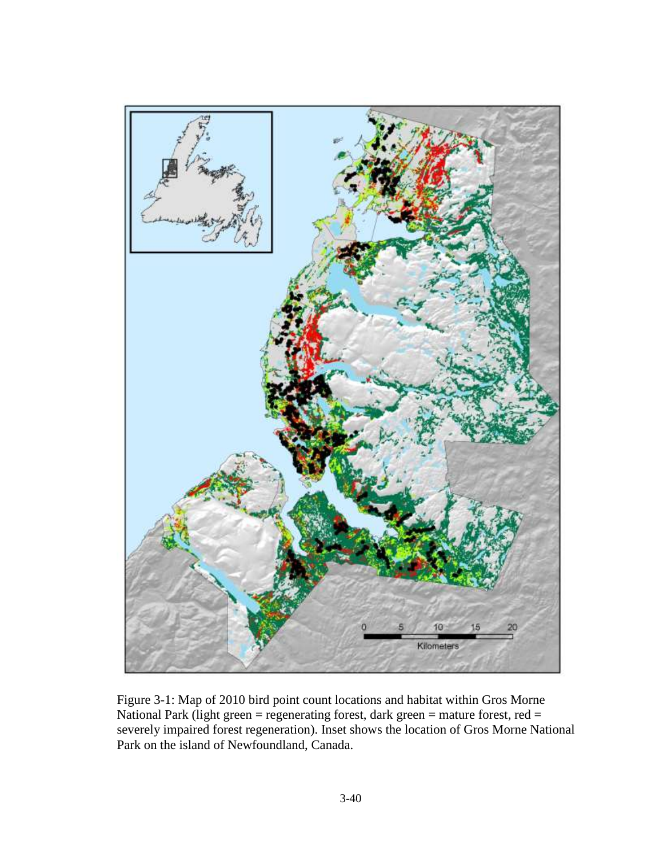

Figure 3-1: Map of 2010 bird point count locations and habitat within Gros Morne National Park (light green = regenerating forest, dark green = mature forest, red = severely impaired forest regeneration). Inset shows the location of Gros Morne National Park on the island of Newfoundland, Canada.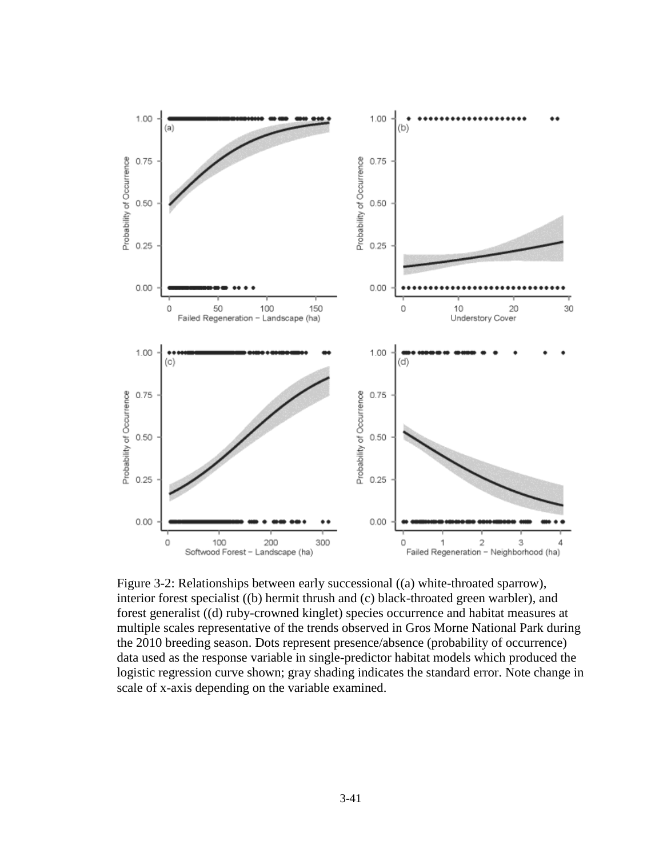

Figure 3-2: Relationships between early successional ((a) white-throated sparrow), interior forest specialist ((b) hermit thrush and (c) black-throated green warbler), and forest generalist ((d) ruby-crowned kinglet) species occurrence and habitat measures at multiple scales representative of the trends observed in Gros Morne National Park during the 2010 breeding season. Dots represent presence/absence (probability of occurrence) data used as the response variable in single-predictor habitat models which produced the logistic regression curve shown; gray shading indicates the standard error. Note change in scale of x-axis depending on the variable examined.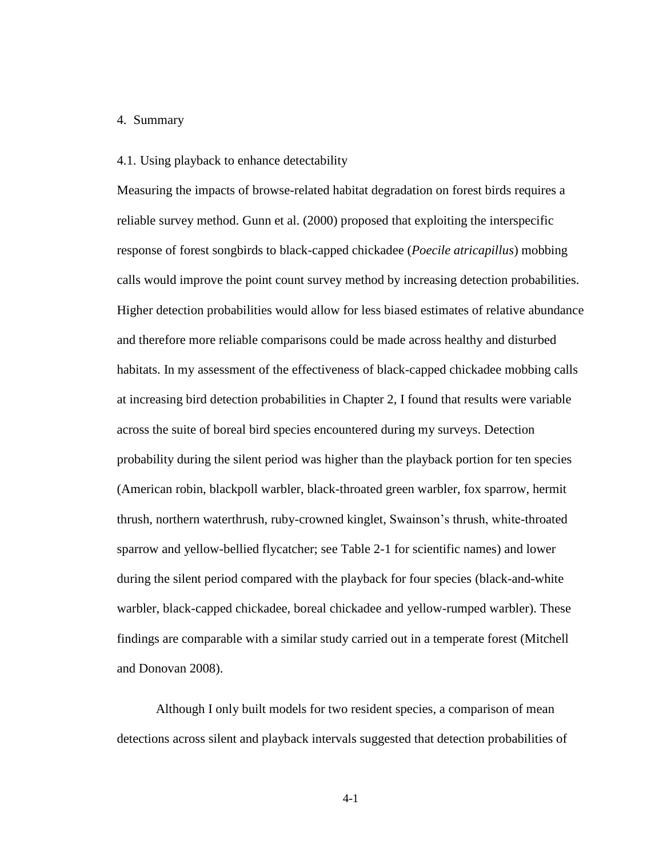# 4. Summary

# 4.1. Using playback to enhance detectability

Measuring the impacts of browse-related habitat degradation on forest birds requires a reliable survey method. Gunn et al. (2000) proposed that exploiting the interspecific response of forest songbirds to black-capped chickadee (*Poecile atricapillus*) mobbing calls would improve the point count survey method by increasing detection probabilities. Higher detection probabilities would allow for less biased estimates of relative abundance and therefore more reliable comparisons could be made across healthy and disturbed habitats. In my assessment of the effectiveness of black-capped chickadee mobbing calls at increasing bird detection probabilities in Chapter 2, I found that results were variable across the suite of boreal bird species encountered during my surveys. Detection probability during the silent period was higher than the playback portion for ten species (American robin, blackpoll warbler, black-throated green warbler, fox sparrow, hermit thrush, northern waterthrush, ruby-crowned kinglet, Swainson's thrush, white-throated sparrow and yellow-bellied flycatcher; see Table 2-1 for scientific names) and lower during the silent period compared with the playback for four species (black-and-white warbler, black-capped chickadee, boreal chickadee and yellow-rumped warbler). These findings are comparable with a similar study carried out in a temperate forest (Mitchell and Donovan 2008).

Although I only built models for two resident species, a comparison of mean detections across silent and playback intervals suggested that detection probabilities of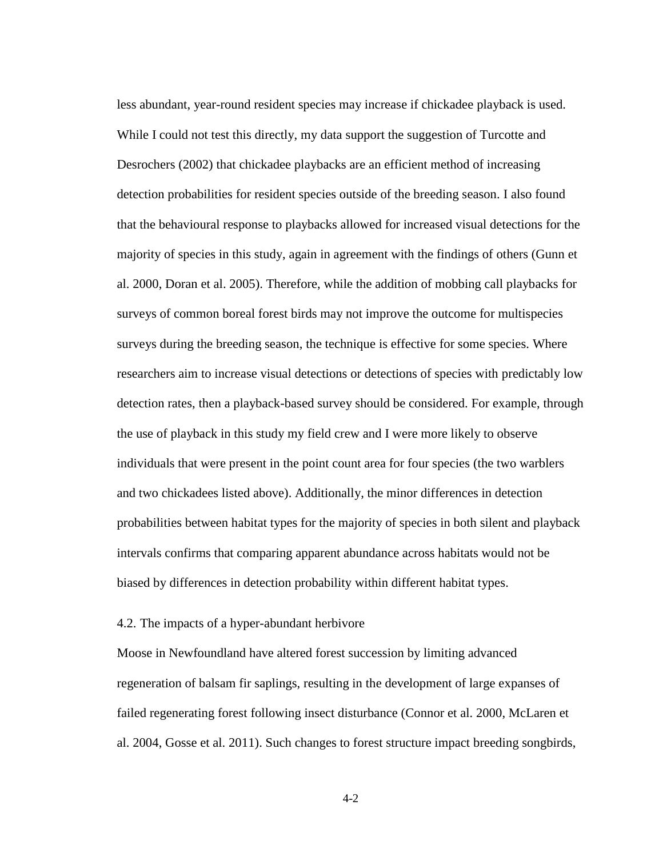less abundant, year-round resident species may increase if chickadee playback is used. While I could not test this directly, my data support the suggestion of Turcotte and Desrochers (2002) that chickadee playbacks are an efficient method of increasing detection probabilities for resident species outside of the breeding season. I also found that the behavioural response to playbacks allowed for increased visual detections for the majority of species in this study, again in agreement with the findings of others (Gunn et al. 2000, Doran et al. 2005). Therefore, while the addition of mobbing call playbacks for surveys of common boreal forest birds may not improve the outcome for multispecies surveys during the breeding season, the technique is effective for some species. Where researchers aim to increase visual detections or detections of species with predictably low detection rates, then a playback-based survey should be considered. For example, through the use of playback in this study my field crew and I were more likely to observe individuals that were present in the point count area for four species (the two warblers and two chickadees listed above). Additionally, the minor differences in detection probabilities between habitat types for the majority of species in both silent and playback intervals confirms that comparing apparent abundance across habitats would not be biased by differences in detection probability within different habitat types.

### 4.2. The impacts of a hyper-abundant herbivore

Moose in Newfoundland have altered forest succession by limiting advanced regeneration of balsam fir saplings, resulting in the development of large expanses of failed regenerating forest following insect disturbance (Connor et al. 2000, McLaren et al. 2004, Gosse et al. 2011). Such changes to forest structure impact breeding songbirds,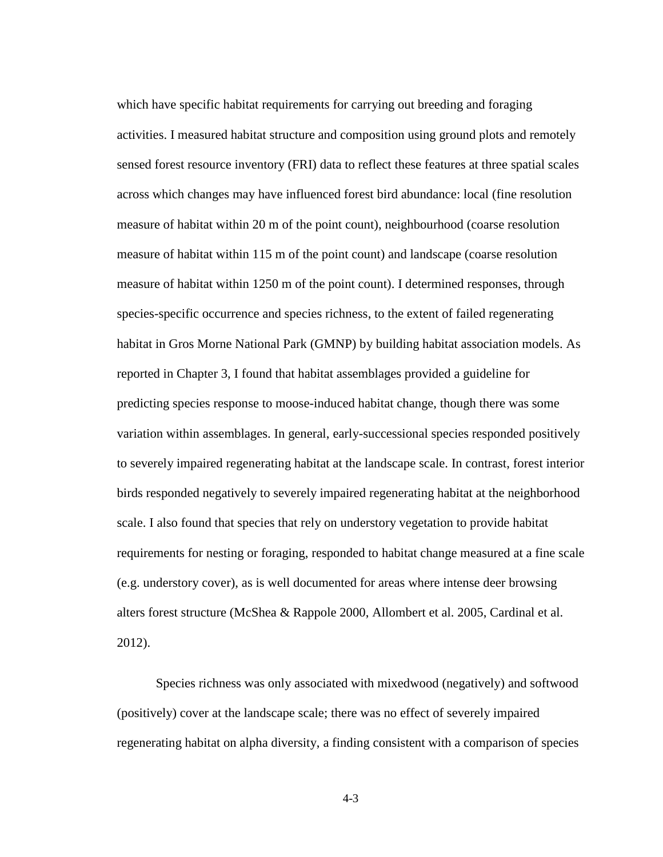which have specific habitat requirements for carrying out breeding and foraging activities. I measured habitat structure and composition using ground plots and remotely sensed forest resource inventory (FRI) data to reflect these features at three spatial scales across which changes may have influenced forest bird abundance: local (fine resolution measure of habitat within 20 m of the point count), neighbourhood (coarse resolution measure of habitat within 115 m of the point count) and landscape (coarse resolution measure of habitat within 1250 m of the point count). I determined responses, through species-specific occurrence and species richness, to the extent of failed regenerating habitat in Gros Morne National Park (GMNP) by building habitat association models. As reported in Chapter 3, I found that habitat assemblages provided a guideline for predicting species response to moose-induced habitat change, though there was some variation within assemblages. In general, early-successional species responded positively to severely impaired regenerating habitat at the landscape scale. In contrast, forest interior birds responded negatively to severely impaired regenerating habitat at the neighborhood scale. I also found that species that rely on understory vegetation to provide habitat requirements for nesting or foraging, responded to habitat change measured at a fine scale (e.g. understory cover), as is well documented for areas where intense deer browsing alters forest structure (McShea & Rappole 2000, Allombert et al. 2005, Cardinal et al. 2012).

Species richness was only associated with mixedwood (negatively) and softwood (positively) cover at the landscape scale; there was no effect of severely impaired regenerating habitat on alpha diversity, a finding consistent with a comparison of species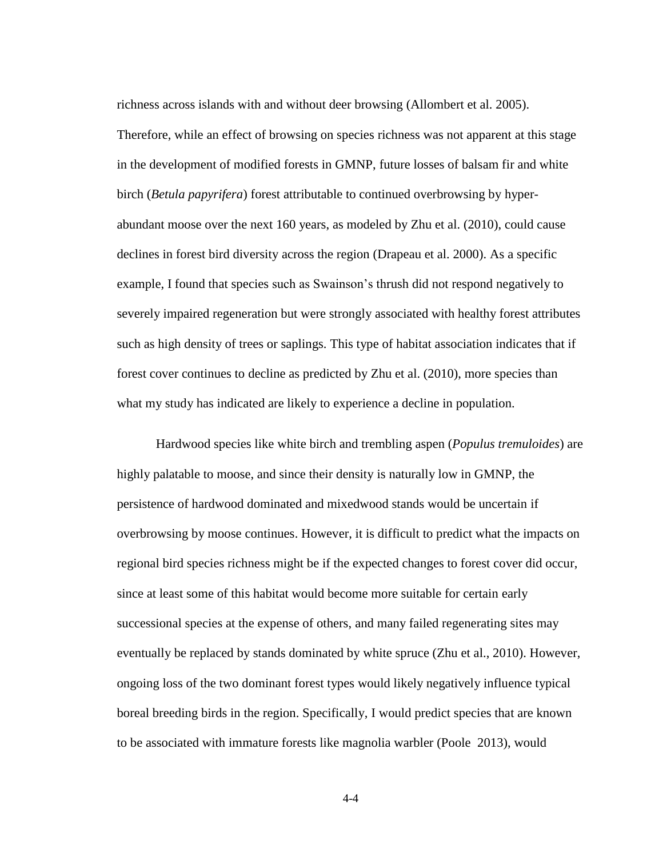richness across islands with and without deer browsing (Allombert et al. 2005). Therefore, while an effect of browsing on species richness was not apparent at this stage in the development of modified forests in GMNP, future losses of balsam fir and white birch (*Betula papyrifera*) forest attributable to continued overbrowsing by hyperabundant moose over the next 160 years, as modeled by Zhu et al. (2010), could cause declines in forest bird diversity across the region (Drapeau et al. 2000). As a specific example, I found that species such as Swainson's thrush did not respond negatively to severely impaired regeneration but were strongly associated with healthy forest attributes such as high density of trees or saplings. This type of habitat association indicates that if forest cover continues to decline as predicted by Zhu et al. (2010), more species than what my study has indicated are likely to experience a decline in population.

Hardwood species like white birch and trembling aspen (*Populus tremuloides*) are highly palatable to moose, and since their density is naturally low in GMNP, the persistence of hardwood dominated and mixedwood stands would be uncertain if overbrowsing by moose continues. However, it is difficult to predict what the impacts on regional bird species richness might be if the expected changes to forest cover did occur, since at least some of this habitat would become more suitable for certain early successional species at the expense of others, and many failed regenerating sites may eventually be replaced by stands dominated by white spruce (Zhu et al., 2010). However, ongoing loss of the two dominant forest types would likely negatively influence typical boreal breeding birds in the region. Specifically, I would predict species that are known to be associated with immature forests like magnolia warbler (Poole 2013), would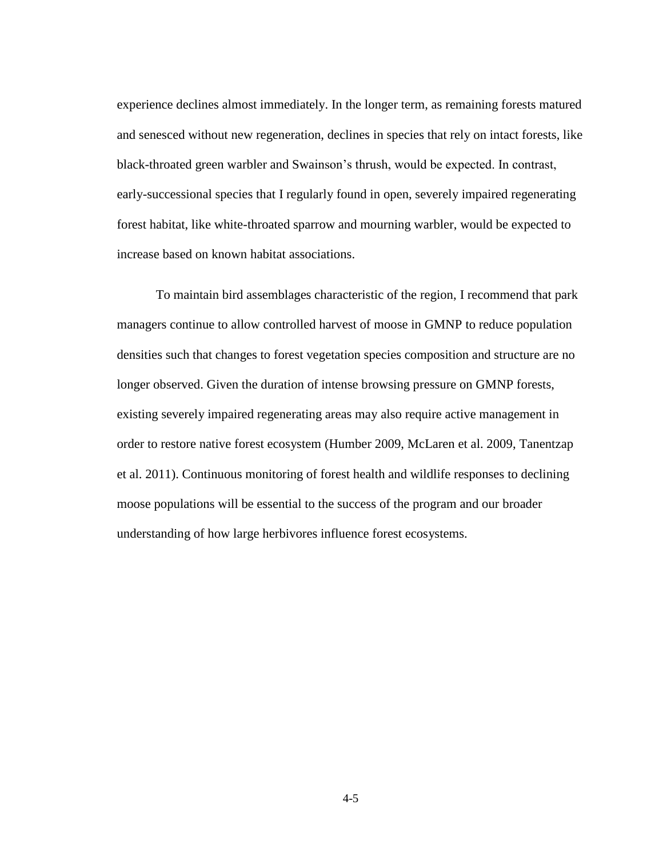experience declines almost immediately. In the longer term, as remaining forests matured and senesced without new regeneration, declines in species that rely on intact forests, like black-throated green warbler and Swainson's thrush, would be expected. In contrast, early-successional species that I regularly found in open, severely impaired regenerating forest habitat, like white-throated sparrow and mourning warbler, would be expected to increase based on known habitat associations.

To maintain bird assemblages characteristic of the region, I recommend that park managers continue to allow controlled harvest of moose in GMNP to reduce population densities such that changes to forest vegetation species composition and structure are no longer observed. Given the duration of intense browsing pressure on GMNP forests, existing severely impaired regenerating areas may also require active management in order to restore native forest ecosystem (Humber 2009, McLaren et al. 2009, Tanentzap et al. 2011). Continuous monitoring of forest health and wildlife responses to declining moose populations will be essential to the success of the program and our broader understanding of how large herbivores influence forest ecosystems.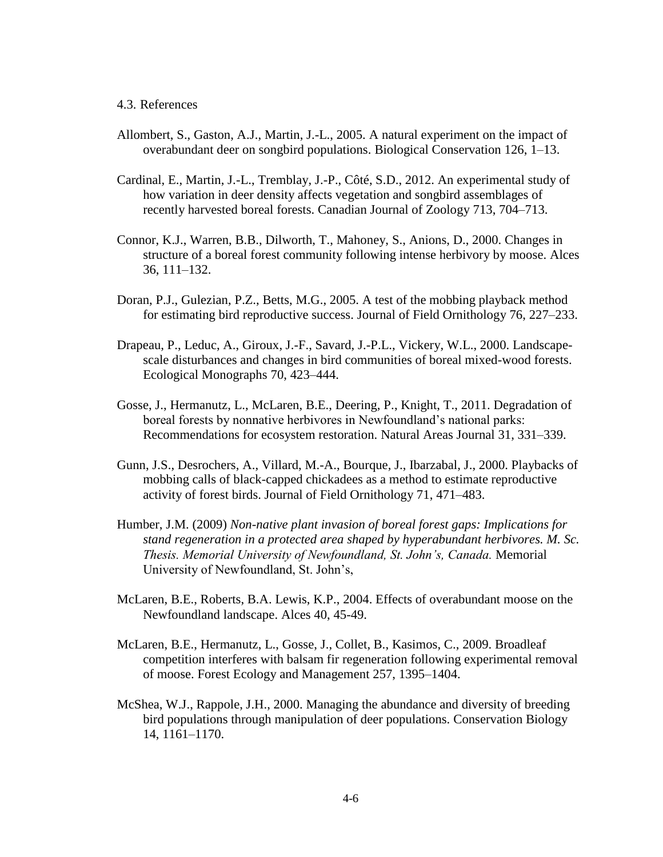# 4.3. References

- Allombert, S., Gaston, A.J., Martin, J.-L., 2005. A natural experiment on the impact of overabundant deer on songbird populations. Biological Conservation 126, 1–13.
- Cardinal, E., Martin, J.-L., Tremblay, J.-P., Côté, S.D., 2012. An experimental study of how variation in deer density affects vegetation and songbird assemblages of recently harvested boreal forests. Canadian Journal of Zoology 713, 704–713.
- Connor, K.J., Warren, B.B., Dilworth, T., Mahoney, S., Anions, D., 2000. Changes in structure of a boreal forest community following intense herbivory by moose. Alces 36, 111–132.
- Doran, P.J., Gulezian, P.Z., Betts, M.G., 2005. A test of the mobbing playback method for estimating bird reproductive success. Journal of Field Ornithology 76, 227–233.
- Drapeau, P., Leduc, A., Giroux, J.-F., Savard, J.-P.L., Vickery, W.L., 2000. Landscapescale disturbances and changes in bird communities of boreal mixed-wood forests. Ecological Monographs 70, 423–444.
- Gosse, J., Hermanutz, L., McLaren, B.E., Deering, P., Knight, T., 2011. Degradation of boreal forests by nonnative herbivores in Newfoundland's national parks: Recommendations for ecosystem restoration. Natural Areas Journal 31, 331–339.
- Gunn, J.S., Desrochers, A., Villard, M.-A., Bourque, J., Ibarzabal, J., 2000. Playbacks of mobbing calls of black-capped chickadees as a method to estimate reproductive activity of forest birds. Journal of Field Ornithology 71, 471–483.
- Humber, J.M. (2009) *Non-native plant invasion of boreal forest gaps: Implications for stand regeneration in a protected area shaped by hyperabundant herbivores. M. Sc. Thesis. Memorial University of Newfoundland, St. John's, Canada.* Memorial University of Newfoundland, St. John's,
- McLaren, B.E., Roberts, B.A. Lewis, K.P., 2004. Effects of overabundant moose on the Newfoundland landscape. Alces 40, 45-49.
- McLaren, B.E., Hermanutz, L., Gosse, J., Collet, B., Kasimos, C., 2009. Broadleaf competition interferes with balsam fir regeneration following experimental removal of moose. Forest Ecology and Management 257, 1395–1404.
- McShea, W.J., Rappole, J.H., 2000. Managing the abundance and diversity of breeding bird populations through manipulation of deer populations. Conservation Biology 14, 1161–1170.